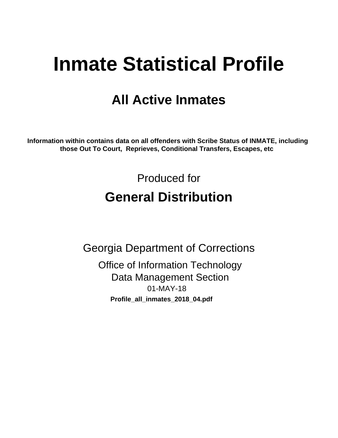# **Inmate Statistical Profile**

# **All Active Inmates**

Information within contains data on all offenders with Scribe Status of INMATE, including those Out To Court, Reprieves, Conditional Transfers, Escapes, etc

> Produced for **General Distribution**

**Georgia Department of Corrections Office of Information Technology** 

**Data Management Section** 01-MAY-18 Profile\_all\_inmates\_2018\_04.pdf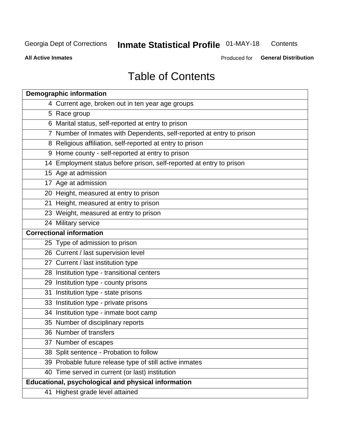#### **Inmate Statistical Profile 01-MAY-18** Contents

**All Active Inmates** 

Produced for General Distribution

# **Table of Contents**

| <b>Demographic information</b>                                        |
|-----------------------------------------------------------------------|
| 4 Current age, broken out in ten year age groups                      |
| 5 Race group                                                          |
| 6 Marital status, self-reported at entry to prison                    |
| 7 Number of Inmates with Dependents, self-reported at entry to prison |
| 8 Religious affiliation, self-reported at entry to prison             |
| 9 Home county - self-reported at entry to prison                      |
| 14 Employment status before prison, self-reported at entry to prison  |
| 15 Age at admission                                                   |
| 17 Age at admission                                                   |
| 20 Height, measured at entry to prison                                |
| 21 Height, measured at entry to prison                                |
| 23 Weight, measured at entry to prison                                |
| 24 Military service                                                   |
| <b>Correctional information</b>                                       |
| 25 Type of admission to prison                                        |
| 26 Current / last supervision level                                   |
| 27 Current / last institution type                                    |
| 28 Institution type - transitional centers                            |
| 29 Institution type - county prisons                                  |
| 31 Institution type - state prisons                                   |
| 33 Institution type - private prisons                                 |
| 34 Institution type - inmate boot camp                                |
| 35 Number of disciplinary reports                                     |
| 36 Number of transfers                                                |
| 37 Number of escapes                                                  |
| 38 Split sentence - Probation to follow                               |
| 39 Probable future release type of still active inmates               |
| 40 Time served in current (or last) institution                       |
| Educational, psychological and physical information                   |
| 41 Highest grade level attained                                       |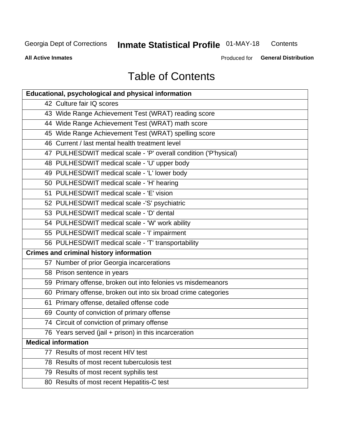#### **Inmate Statistical Profile 01-MAY-18** Contents

**All Active Inmates** 

Produced for General Distribution

# **Table of Contents**

| <b>Educational, psychological and physical information</b>       |
|------------------------------------------------------------------|
| 42 Culture fair IQ scores                                        |
| 43 Wide Range Achievement Test (WRAT) reading score              |
| 44 Wide Range Achievement Test (WRAT) math score                 |
| 45 Wide Range Achievement Test (WRAT) spelling score             |
| 46 Current / last mental health treatment level                  |
| 47 PULHESDWIT medical scale - 'P' overall condition ('P'hysical) |
| 48 PULHESDWIT medical scale - 'U' upper body                     |
| 49 PULHESDWIT medical scale - 'L' lower body                     |
| 50 PULHESDWIT medical scale - 'H' hearing                        |
| 51 PULHESDWIT medical scale - 'E' vision                         |
| 52 PULHESDWIT medical scale -'S' psychiatric                     |
| 53 PULHESDWIT medical scale - 'D' dental                         |
| 54 PULHESDWIT medical scale - 'W' work ability                   |
| 55 PULHESDWIT medical scale - 'I' impairment                     |
| 56 PULHESDWIT medical scale - 'T' transportability               |
| <b>Crimes and criminal history information</b>                   |
| 57 Number of prior Georgia incarcerations                        |
| 58 Prison sentence in years                                      |
| 59 Primary offense, broken out into felonies vs misdemeanors     |
| 60 Primary offense, broken out into six broad crime categories   |
| 61 Primary offense, detailed offense code                        |
| 69 County of conviction of primary offense                       |
| 74 Circuit of conviction of primary offense                      |
| 76 Years served (jail + prison) in this incarceration            |
| <b>Medical information</b>                                       |
| 77 Results of most recent HIV test                               |
| 78 Results of most recent tuberculosis test                      |
| 79 Results of most recent syphilis test                          |
| 80 Results of most recent Hepatitis-C test                       |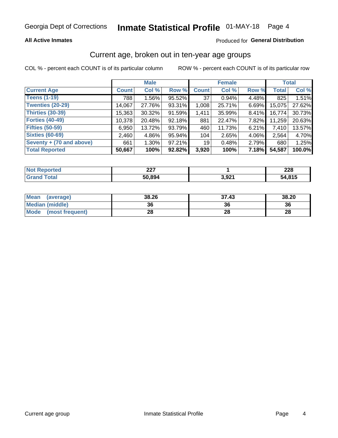### **All Active Inmates**

### Produced for General Distribution

# Current age, broken out in ten-year age groups

COL % - percent each COUNT is of its particular column

|                          | <b>Male</b>  |          |        | <b>Female</b>   |        |          | <b>Total</b> |        |
|--------------------------|--------------|----------|--------|-----------------|--------|----------|--------------|--------|
| <b>Current Age</b>       | <b>Count</b> | Col %    | Row %  | <b>Count</b>    | Col %  | Row %    | <b>Total</b> | Col %  |
| <b>Teens (1-19)</b>      | 788          | 1.56%    | 95.52% | 37              | 0.94%  | 4.48%    | 825          | 1.51%  |
| <b>Twenties (20-29)</b>  | 14,067       | 27.76%   | 93.31% | 1,008           | 25.71% | 6.69%    | 15,075       | 27.62% |
| Thirties (30-39)         | 15,363       | 30.32%   | 91.59% | 1,411           | 35.99% | $8.41\%$ | 16,774       | 30.73% |
| <b>Forties (40-49)</b>   | 10,378       | 20.48%   | 92.18% | 881             | 22.47% | 7.82%    | 11,259       | 20.63% |
| <b>Fifties (50-59)</b>   | 6,950        | 13.72%   | 93.79% | 460             | 11.73% | 6.21%    | 7,410        | 13.57% |
| <b>Sixties (60-69)</b>   | 2.460        | 4.86%    | 95.94% | 104             | 2.65%  | 4.06%    | 2.564        | 4.70%  |
| Seventy + (70 and above) | 661          | $1.30\%$ | 97.21% | 19 <sup>1</sup> | 0.48%  | 2.79%    | 680          | 1.25%  |
| <b>Total Reported</b>    | 50,667       | 100%     | 92.82% | 3,920           | 100%   | 7.18%    | 54,587       | 100.0% |

| <b>Not Reported</b> | <b>007</b><br><u> .</u> |       | າາດ<br>ZZO |
|---------------------|-------------------------|-------|------------|
| <b>Total</b>        | 50,894                  | 3,921 | 54,815     |

| <b>Mean</b><br>(average) | 38.26 | 37.43 | 38.20 |
|--------------------------|-------|-------|-------|
| Median (middle)          | 36    | 36    | 36    |
| Mode<br>(most frequent)  | 28    | 28    | 28    |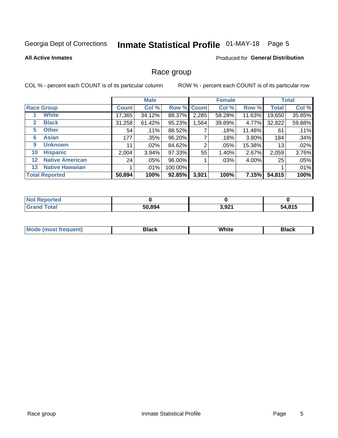# Inmate Statistical Profile 01-MAY-18 Page 5

### **All Active Inmates**

### **Produced for General Distribution**

### Race group

COL % - percent each COUNT is of its particular column

|                   |                        |              | <b>Male</b> |           |             | <b>Female</b> |          |              | <b>Total</b> |  |
|-------------------|------------------------|--------------|-------------|-----------|-------------|---------------|----------|--------------|--------------|--|
|                   | <b>Race Group</b>      | <b>Count</b> | Col %       |           | Row % Count | Col %         | Row %    | <b>Total</b> | Col %        |  |
|                   | <b>White</b>           | 17,365       | 34.12%      | 88.37%    | 2,285       | 58.28%        | 11.63%   | 19,650       | 35.85%       |  |
| $\mathbf{2}$      | <b>Black</b>           | 31,258       | 61.42%      | 95.23%    | 1,564       | 39.89%        | 4.77%    | 32,822       | 59.88%       |  |
| 5.                | <b>Other</b>           | 54           | .11%        | 88.52%    |             | .18%          | 11.48%   | 61           | .11%         |  |
| 6                 | <b>Asian</b>           | 177          | .35%        | 96.20%    |             | .18%          | $3.80\%$ | 184          | .34%         |  |
| 9                 | <b>Unknown</b>         | 11           | $.02\%$     | 84.62%    | 2           | .05%          | 15.38%   | 13           | .02%         |  |
| 10                | <b>Hispanic</b>        | 2,004        | 3.94%       | 97.33%    | 55          | 1.40%         | 2.67%    | 2,059        | 3.76%        |  |
| $12 \overline{ }$ | <b>Native American</b> | 24           | $.05\%$     | 96.00%    |             | .03%          | 4.00%    | 25           | .05%         |  |
| 13                | <b>Native Hawaiian</b> |              | .01%        | 100.00%   |             |               |          |              | .01%         |  |
|                   | <b>Total Reported</b>  | 50,894       | 100%        | $92.85\%$ | 3,921       | 100%          | 7.15%    | 54,815       | 100%         |  |

| <b>Not Reported</b>         |        |       |        |
|-----------------------------|--------|-------|--------|
| <b>Total</b><br><b>Gran</b> | 50,894 | 3,921 | 54,815 |

| <b>Mode</b><br>---<br>most frequent) | Black | White | <b>Black</b> |
|--------------------------------------|-------|-------|--------------|
|                                      |       |       |              |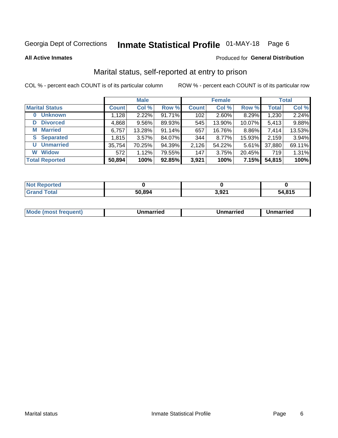# Inmate Statistical Profile 01-MAY-18 Page 6

**All Active Inmates** 

#### Produced for General Distribution

# Marital status, self-reported at entry to prison

COL % - percent each COUNT is of its particular column

|                            | <b>Male</b>  |        |        |                  | <b>Female</b> | <b>Total</b> |              |        |
|----------------------------|--------------|--------|--------|------------------|---------------|--------------|--------------|--------|
| <b>Marital Status</b>      | <b>Count</b> | Col %  | Row %  | <b>Count</b>     | Col %         | Row %        | <b>Total</b> | Col %  |
| <b>Unknown</b><br>$\bf{0}$ | 1,128        | 2.22%  | 91.71% | 102 <sub>1</sub> | 2.60%         | 8.29%        | 1,230        | 2.24%  |
| <b>Divorced</b><br>D       | 4,868        | 9.56%  | 89.93% | 545              | 13.90%        | 10.07%       | 5,413        | 9.88%  |
| <b>Married</b><br>М        | 6,757        | 13.28% | 91.14% | 657              | 16.76%        | 8.86%        | 7,414        | 13.53% |
| <b>Separated</b><br>S.     | 1,815        | 3.57%  | 84.07% | 344              | 8.77%         | 15.93%       | 2,159        | 3.94%  |
| <b>Unmarried</b><br>U      | 35,754       | 70.25% | 94.39% | 2,126            | 54.22%        | 5.61%        | 37,880       | 69.11% |
| <b>Widow</b><br>W          | 572          | 1.12%  | 79.55% | 147              | 3.75%         | 20.45%       | 719          | 1.31%  |
| <b>Total Reported</b>      | 50,894       | 100%   | 92.85% | 3,921            | 100%          | 7.15%        | 54,815       | 100%   |

| <b>Not Repo</b><br>norted |        |              |        |
|---------------------------|--------|--------------|--------|
| <b>Total</b>              | 50.894 | റാ-<br>ו שקט | 54.815 |

|--|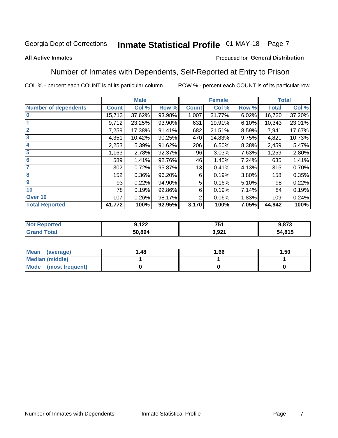#### Inmate Statistical Profile 01-MAY-18 Page 7

#### **All Active Inmates**

### Produced for General Distribution

# Number of Inmates with Dependents, Self-Reported at Entry to Prison

COL % - percent each COUNT is of its particular column

|                             |              | <b>Male</b> |        |                | <b>Female</b> |       |              | <b>Total</b> |
|-----------------------------|--------------|-------------|--------|----------------|---------------|-------|--------------|--------------|
| <b>Number of dependents</b> | <b>Count</b> | Col %       | Row %  | <b>Count</b>   | Col %         | Row % | <b>Total</b> | Col %        |
| l 0                         | 15,713       | 37.62%      | 93.98% | 1,007          | 31.77%        | 6.02% | 16,720       | 37.20%       |
|                             | 9,712        | 23.25%      | 93.90% | 631            | 19.91%        | 6.10% | 10,343       | 23.01%       |
| $\overline{2}$              | 7,259        | 17.38%      | 91.41% | 682            | 21.51%        | 8.59% | 7,941        | 17.67%       |
| $\overline{\mathbf{3}}$     | 4,351        | 10.42%      | 90.25% | 470            | 14.83%        | 9.75% | 4,821        | 10.73%       |
| 4                           | 2,253        | 5.39%       | 91.62% | 206            | 6.50%         | 8.38% | 2,459        | 5.47%        |
| 5                           | 1,163        | 2.78%       | 92.37% | 96             | 3.03%         | 7.63% | 1,259        | 2.80%        |
| 6                           | 589          | 1.41%       | 92.76% | 46             | 1.45%         | 7.24% | 635          | 1.41%        |
| 7                           | 302          | 0.72%       | 95.87% | 13             | 0.41%         | 4.13% | 315          | 0.70%        |
| 8                           | 152          | 0.36%       | 96.20% | 6              | 0.19%         | 3.80% | 158          | 0.35%        |
| 9                           | 93           | 0.22%       | 94.90% | 5              | 0.16%         | 5.10% | 98           | 0.22%        |
| 10                          | 78           | 0.19%       | 92.86% | 6              | 0.19%         | 7.14% | 84           | 0.19%        |
| Over 10                     | 107          | 0.26%       | 98.17% | $\overline{2}$ | 0.06%         | 1.83% | 109          | 0.24%        |
| <b>Total Reported</b>       | 41,772       | 100%        | 92.95% | 3,170          | 100%          | 7.05% | 44,942       | 100%         |

| nu d | <b>100</b><br>J.IZZ | 751<br>ا پ             | 072<br>1.O I J |
|------|---------------------|------------------------|----------------|
|      | 50.894              | <b>021</b><br>. J.JZ . | 54,815         |

| Mean (average)          | 1.48 | 1.66 | 1.50 |
|-------------------------|------|------|------|
| <b>Median (middle)</b>  |      |      |      |
| Mode<br>(most frequent) |      |      |      |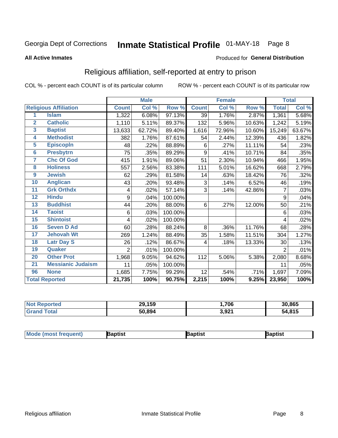# Inmate Statistical Profile 01-MAY-18 Page 8

#### **All Active Inmates**

#### Produced for General Distribution

# Religious affiliation, self-reported at entry to prison

COL % - percent each COUNT is of its particular column

|                |                              |                | <b>Male</b> |         |              | <b>Female</b> |        |              | <b>Total</b> |
|----------------|------------------------------|----------------|-------------|---------|--------------|---------------|--------|--------------|--------------|
|                | <b>Religious Affiliation</b> | <b>Count</b>   | Col %       | Row %   | <b>Count</b> | Col %         | Row %  | <b>Total</b> | Col %        |
| 1              | <b>Islam</b>                 | 1,322          | 6.08%       | 97.13%  | 39           | 1.76%         | 2.87%  | 1,361        | 5.68%        |
| $\overline{2}$ | <b>Catholic</b>              | 1,110          | 5.11%       | 89.37%  | 132          | 5.96%         | 10.63% | 1,242        | 5.19%        |
| 3              | <b>Baptist</b>               | 13,633         | 62.72%      | 89.40%  | 1,616        | 72.96%        | 10.60% | 15,249       | 63.67%       |
| 4              | <b>Methodist</b>             | 382            | 1.76%       | 87.61%  | 54           | 2.44%         | 12.39% | 436          | 1.82%        |
| 5              | <b>EpiscopIn</b>             | 48             | .22%        | 88.89%  | 6            | .27%          | 11.11% | 54           | .23%         |
| 6              | <b>Presbytrn</b>             | 75             | .35%        | 89.29%  | 9            | .41%          | 10.71% | 84           | .35%         |
| 7              | <b>Chc Of God</b>            | 415            | 1.91%       | 89.06%  | 51           | 2.30%         | 10.94% | 466          | 1.95%        |
| 8              | <b>Holiness</b>              | 557            | 2.56%       | 83.38%  | 111          | 5.01%         | 16.62% | 668          | 2.79%        |
| 9              | <b>Jewish</b>                | 62             | .29%        | 81.58%  | 14           | .63%          | 18.42% | 76           | .32%         |
| 10             | <b>Anglican</b>              | 43             | .20%        | 93.48%  | 3            | .14%          | 6.52%  | 46           | .19%         |
| 11             | <b>Grk Orthdx</b>            | 4              | .02%        | 57.14%  | 3            | .14%          | 42.86% | 7            | .03%         |
| 12             | <b>Hindu</b>                 | 9              | .04%        | 100.00% |              |               |        | 9            | .04%         |
| 13             | <b>Buddhist</b>              | 44             | .20%        | 88.00%  | 6            | .27%          | 12.00% | 50           | .21%         |
| 14             | <b>Taoist</b>                | 6              | .03%        | 100.00% |              |               |        | 6            | .03%         |
| 15             | <b>Shintoist</b>             | 4              | .02%        | 100.00% |              |               |        | 4            | .02%         |
| 16             | <b>Seven D Ad</b>            | 60             | .28%        | 88.24%  | 8            | .36%          | 11.76% | 68           | .28%         |
| 17             | <b>Jehovah Wt</b>            | 269            | 1.24%       | 88.49%  | 35           | 1.58%         | 11.51% | 304          | 1.27%        |
| 18             | <b>Latr Day S</b>            | 26             | .12%        | 86.67%  | 4            | .18%          | 13.33% | 30           | .13%         |
| 19             | Quaker                       | $\overline{2}$ | .01%        | 100.00% |              |               |        | 2            | .01%         |
| 20             | <b>Other Prot</b>            | 1,968          | 9.05%       | 94.62%  | 112          | 5.06%         | 5.38%  | 2,080        | 8.68%        |
| 21             | <b>Messianic Judaism</b>     | 11             | .05%        | 100.00% |              |               |        | 11           | .05%         |
| 96             | <b>None</b>                  | 1,685          | 7.75%       | 99.29%  | 12           | .54%          | .71%   | 1,697        | 7.09%        |
|                | <b>Total Reported</b>        | 21,735         | 100%        | 90.75%  | 2,215        | 100%          | 9.25%  | 23,950       | 100%         |

| <b>rteo</b><br>Nt | 29,159 | ,706            | 30,865 |
|-------------------|--------|-----------------|--------|
| ' Gra             | 50.894 | 2.021<br>J.JZ 1 | 54,815 |

| Mode (most frequent) | Baptist | aptist | Baptist |
|----------------------|---------|--------|---------|
|----------------------|---------|--------|---------|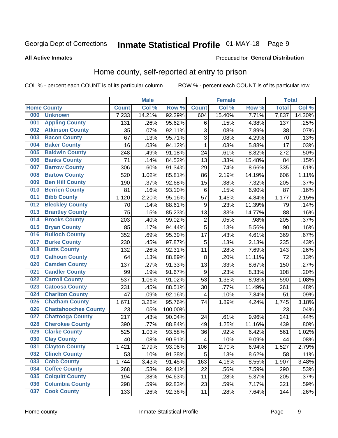# Inmate Statistical Profile 01-MAY-18 Page 9

#### **All Active Inmates**

#### Produced for General Distribution

# Home county, self-reported at entry to prison

COL % - percent each COUNT is of its particular column

|     |                             |              | <b>Male</b> |                  |                         | <b>Female</b> |        | <b>Total</b> |        |
|-----|-----------------------------|--------------|-------------|------------------|-------------------------|---------------|--------|--------------|--------|
|     | <b>Home County</b>          | <b>Count</b> | Col %       | Row <sup>%</sup> | <b>Count</b>            | Col %         | Row %  | <b>Total</b> | Col %  |
| 000 | <b>Unknown</b>              | 7,233        | 14.21%      | 92.29%           | 604                     | 15.40%        | 7.71%  | 7,837        | 14.30% |
| 001 | <b>Appling County</b>       | 131          | .26%        | 95.62%           | 6                       | .15%          | 4.38%  | 137          | .25%   |
| 002 | <b>Atkinson County</b>      | 35           | .07%        | 92.11%           | 3                       | .08%          | 7.89%  | 38           | .07%   |
| 003 | <b>Bacon County</b>         | 67           | .13%        | 95.71%           | 3                       | .08%          | 4.29%  | 70           | .13%   |
| 004 | <b>Baker County</b>         | 16           | .03%        | 94.12%           | $\mathbf{1}$            | .03%          | 5.88%  | 17           | .03%   |
| 005 | <b>Baldwin County</b>       | 248          | .49%        | 91.18%           | 24                      | .61%          | 8.82%  | 272          | .50%   |
| 006 | <b>Banks County</b>         | 71           | .14%        | 84.52%           | 13                      | .33%          | 15.48% | 84           | .15%   |
| 007 | <b>Barrow County</b>        | 306          | .60%        | 91.34%           | 29                      | .74%          | 8.66%  | 335          | .61%   |
| 008 | <b>Bartow County</b>        | 520          | 1.02%       | 85.81%           | 86                      | 2.19%         | 14.19% | 606          | 1.11%  |
| 009 | <b>Ben Hill County</b>      | 190          | .37%        | 92.68%           | 15                      | .38%          | 7.32%  | 205          | .37%   |
| 010 | <b>Berrien County</b>       | 81           | .16%        | 93.10%           | $\,6$                   | .15%          | 6.90%  | 87           | .16%   |
| 011 | <b>Bibb County</b>          | 1,120        | 2.20%       | 95.16%           | 57                      | 1.45%         | 4.84%  | 1,177        | 2.15%  |
| 012 | <b>Bleckley County</b>      | 70           | .14%        | 88.61%           | 9                       | .23%          | 11.39% | 79           | .14%   |
| 013 | <b>Brantley County</b>      | 75           | .15%        | 85.23%           | 13                      | .33%          | 14.77% | 88           | .16%   |
| 014 | <b>Brooks County</b>        | 203          | .40%        | 99.02%           | $\overline{2}$          | .05%          | .98%   | 205          | .37%   |
| 015 | <b>Bryan County</b>         | 85           | .17%        | 94.44%           | 5                       | .13%          | 5.56%  | 90           | .16%   |
| 016 | <b>Bulloch County</b>       | 352          | .69%        | 95.39%           | 17                      | .43%          | 4.61%  | 369          | .67%   |
| 017 | <b>Burke County</b>         | 230          | .45%        | 97.87%           | 5                       | .13%          | 2.13%  | 235          | .43%   |
| 018 | <b>Butts County</b>         | 132          | .26%        | 92.31%           | 11                      | .28%          | 7.69%  | 143          | .26%   |
| 019 | <b>Calhoun County</b>       | 64           | .13%        | 88.89%           | 8                       | .20%          | 11.11% | 72           | .13%   |
| 020 | <b>Camden County</b>        | 137          | .27%        | 91.33%           | 13                      | .33%          | 8.67%  | 150          | .27%   |
| 021 | <b>Candler County</b>       | 99           | .19%        | 91.67%           | $\boldsymbol{9}$        | .23%          | 8.33%  | 108          | .20%   |
| 022 | <b>Carroll County</b>       | 537          | 1.06%       | 91.02%           | 53                      | 1.35%         | 8.98%  | 590          | 1.08%  |
| 023 | <b>Catoosa County</b>       | 231          | .45%        | 88.51%           | 30                      | .77%          | 11.49% | 261          | .48%   |
| 024 | <b>Charlton County</b>      | 47           | .09%        | 92.16%           | 4                       | .10%          | 7.84%  | 51           | .09%   |
| 025 | <b>Chatham County</b>       | 1,671        | 3.28%       | 95.76%           | 74                      | 1.89%         | 4.24%  | 1,745        | 3.18%  |
| 026 | <b>Chattahoochee County</b> | 23           | .05%        | 100.00%          |                         |               |        | 23           | .04%   |
| 027 | <b>Chattooga County</b>     | 217          | .43%        | 90.04%           | 24                      | .61%          | 9.96%  | 241          | .44%   |
| 028 | <b>Cherokee County</b>      | 390          | .77%        | 88.84%           | 49                      | 1.25%         | 11.16% | 439          | .80%   |
| 029 | <b>Clarke County</b>        | 525          | 1.03%       | 93.58%           | 36                      | .92%          | 6.42%  | 561          | 1.02%  |
| 030 | <b>Clay County</b>          | 40           | .08%        | 90.91%           | $\overline{\mathbf{4}}$ | .10%          | 9.09%  | 44           | .08%   |
| 031 | <b>Clayton County</b>       | 1,421        | 2.79%       | 93.06%           | 106                     | 2.70%         | 6.94%  | 1,527        | 2.79%  |
| 032 | <b>Clinch County</b>        | 53           | .10%        | 91.38%           | 5                       | .13%          | 8.62%  | 58           | .11%   |
| 033 | <b>Cobb County</b>          | 1,744        | 3.43%       | 91.45%           | 163                     | 4.16%         | 8.55%  | 1,907        | 3.48%  |
| 034 | <b>Coffee County</b>        | 268          | .53%        | 92.41%           | 22                      | .56%          | 7.59%  | 290          | .53%   |
| 035 | <b>Colquitt County</b>      | 194          | .38%        | 94.63%           | 11                      | .28%          | 5.37%  | 205          | .37%   |
| 036 | <b>Columbia County</b>      | 298          | .59%        | 92.83%           | 23                      | .59%          | 7.17%  | 321          | .59%   |
| 037 | <b>Cook County</b>          | 133          | .26%        | 92.36%           | 11                      | .28%          | 7.64%  | 144          | .26%   |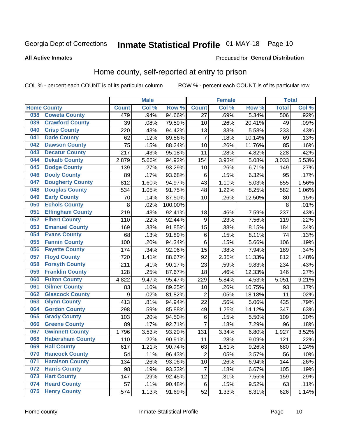# Inmate Statistical Profile 01-MAY-18 Page 10

### **All Active Inmates**

#### Produced for General Distribution

### Home county, self-reported at entry to prison

COL % - percent each COUNT is of its particular column

|     |                         |              | <b>Male</b> |         |                  | <b>Female</b> |        | <b>Total</b> |       |
|-----|-------------------------|--------------|-------------|---------|------------------|---------------|--------|--------------|-------|
|     | <b>Home County</b>      | <b>Count</b> | Col %       | Row %   | <b>Count</b>     | Col %         | Row %  | <b>Total</b> | Col % |
| 038 | <b>Coweta County</b>    | 479          | .94%        | 94.66%  | 27               | .69%          | 5.34%  | 506          | .92%  |
| 039 | <b>Crawford County</b>  | 39           | .08%        | 79.59%  | 10               | .26%          | 20.41% | 49           | .09%  |
| 040 | <b>Crisp County</b>     | 220          | .43%        | 94.42%  | 13               | .33%          | 5.58%  | 233          | .43%  |
| 041 | <b>Dade County</b>      | 62           | .12%        | 89.86%  | $\overline{7}$   | .18%          | 10.14% | 69           | .13%  |
| 042 | <b>Dawson County</b>    | 75           | .15%        | 88.24%  | 10               | .26%          | 11.76% | 85           | .16%  |
| 043 | <b>Decatur County</b>   | 217          | .43%        | 95.18%  | 11               | .28%          | 4.82%  | 228          | .42%  |
| 044 | <b>Dekalb County</b>    | 2,879        | 5.66%       | 94.92%  | 154              | 3.93%         | 5.08%  | 3,033        | 5.53% |
| 045 | <b>Dodge County</b>     | 139          | .27%        | 93.29%  | 10               | .26%          | 6.71%  | 149          | .27%  |
| 046 | <b>Dooly County</b>     | 89           | .17%        | 93.68%  | 6                | .15%          | 6.32%  | 95           | .17%  |
| 047 | <b>Dougherty County</b> | 812          | 1.60%       | 94.97%  | 43               | 1.10%         | 5.03%  | 855          | 1.56% |
| 048 | <b>Douglas County</b>   | 534          | 1.05%       | 91.75%  | 48               | 1.22%         | 8.25%  | 582          | 1.06% |
| 049 | <b>Early County</b>     | 70           | .14%        | 87.50%  | 10               | .26%          | 12.50% | 80           | .15%  |
| 050 | <b>Echols County</b>    | 8            | .02%        | 100.00% |                  |               |        | 8            | .01%  |
| 051 | <b>Effingham County</b> | 219          | .43%        | 92.41%  | 18               | .46%          | 7.59%  | 237          | .43%  |
| 052 | <b>Elbert County</b>    | 110          | .22%        | 92.44%  | $\boldsymbol{9}$ | .23%          | 7.56%  | 119          | .22%  |
| 053 | <b>Emanuel County</b>   | 169          | .33%        | 91.85%  | 15               | .38%          | 8.15%  | 184          | .34%  |
| 054 | <b>Evans County</b>     | 68           | .13%        | 91.89%  | $\,6$            | .15%          | 8.11%  | 74           | .13%  |
| 055 | <b>Fannin County</b>    | 100          | .20%        | 94.34%  | $\,6$            | .15%          | 5.66%  | 106          | .19%  |
| 056 | <b>Fayette County</b>   | 174          | .34%        | 92.06%  | 15               | .38%          | 7.94%  | 189          | .34%  |
| 057 | <b>Floyd County</b>     | 720          | 1.41%       | 88.67%  | 92               | 2.35%         | 11.33% | 812          | 1.48% |
| 058 | <b>Forsyth County</b>   | 211          | .41%        | 90.17%  | 23               | .59%          | 9.83%  | 234          | .43%  |
| 059 | <b>Franklin County</b>  | 128          | .25%        | 87.67%  | 18               | .46%          | 12.33% | 146          | .27%  |
| 060 | <b>Fulton County</b>    | 4,822        | 9.47%       | 95.47%  | 229              | 5.84%         | 4.53%  | 5,051        | 9.21% |
| 061 | <b>Gilmer County</b>    | 83           | .16%        | 89.25%  | 10               | .26%          | 10.75% | 93           | .17%  |
| 062 | <b>Glascock County</b>  | 9            | .02%        | 81.82%  | $\overline{2}$   | .05%          | 18.18% | 11           | .02%  |
| 063 | <b>Glynn County</b>     | 413          | .81%        | 94.94%  | 22               | .56%          | 5.06%  | 435          | .79%  |
| 064 | <b>Gordon County</b>    | 298          | .59%        | 85.88%  | 49               | 1.25%         | 14.12% | 347          | .63%  |
| 065 | <b>Grady County</b>     | 103          | .20%        | 94.50%  | $\,6$            | .15%          | 5.50%  | 109          | .20%  |
| 066 | <b>Greene County</b>    | 89           | .17%        | 92.71%  | 7                | .18%          | 7.29%  | 96           | .18%  |
| 067 | <b>Gwinnett County</b>  | 1,796        | 3.53%       | 93.20%  | 131              | 3.34%         | 6.80%  | 1,927        | 3.52% |
| 068 | <b>Habersham County</b> | 110          | .22%        | 90.91%  | 11               | .28%          | 9.09%  | 121          | .22%  |
| 069 | <b>Hall County</b>      | 617          | 1.21%       | 90.74%  | 63               | 1.61%         | 9.26%  | 680          | 1.24% |
| 070 | <b>Hancock County</b>   | 54           | .11%        | 96.43%  | $\overline{2}$   | .05%          | 3.57%  | 56           | .10%  |
| 071 | <b>Haralson County</b>  | 134          | .26%        | 93.06%  | 10               | .26%          | 6.94%  | 144          | .26%  |
| 072 | <b>Harris County</b>    | 98           | .19%        | 93.33%  | $\overline{7}$   | .18%          | 6.67%  | 105          | .19%  |
| 073 | <b>Hart County</b>      | 147          | .29%        | 92.45%  | 12               | .31%          | 7.55%  | 159          | .29%  |
| 074 | <b>Heard County</b>     | 57           | .11%        | 90.48%  | 6                | .15%          | 9.52%  | 63           | .11%  |
| 075 | <b>Henry County</b>     | 574          | 1.13%       | 91.69%  | 52               | 1.33%         | 8.31%  | 626          | 1.14% |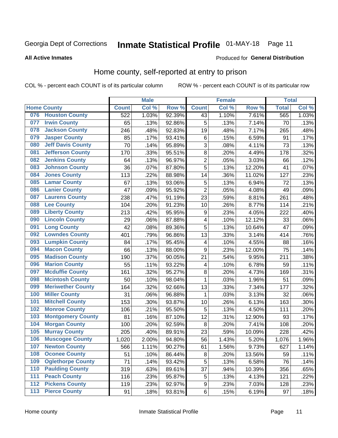# Inmate Statistical Profile 01-MAY-18 Page 11

### **All Active Inmates**

### Produced for General Distribution

### Home county, self-reported at entry to prison

COL % - percent each COUNT is of its particular column

|       |                          |              | <b>Male</b> |                  |                         | <b>Female</b> |        | <b>Total</b> |       |
|-------|--------------------------|--------------|-------------|------------------|-------------------------|---------------|--------|--------------|-------|
|       | <b>Home County</b>       | <b>Count</b> | Col %       | Row <sup>%</sup> | <b>Count</b>            | Col %         | Row %  | <b>Total</b> | Col % |
| 076   | <b>Houston County</b>    | 522          | 1.03%       | 92.39%           | 43                      | 1.10%         | 7.61%  | 565          | 1.03% |
| 077   | <b>Irwin County</b>      | 65           | .13%        | 92.86%           | 5                       | .13%          | 7.14%  | 70           | .13%  |
| 078   | <b>Jackson County</b>    | 246          | .48%        | 92.83%           | 19                      | .48%          | 7.17%  | 265          | .48%  |
| 079   | <b>Jasper County</b>     | 85           | .17%        | 93.41%           | 6                       | .15%          | 6.59%  | 91           | .17%  |
| 080   | <b>Jeff Davis County</b> | 70           | .14%        | 95.89%           | 3                       | .08%          | 4.11%  | 73           | .13%  |
| 081   | <b>Jefferson County</b>  | 170          | .33%        | 95.51%           | $\overline{8}$          | .20%          | 4.49%  | 178          | .32%  |
| 082   | <b>Jenkins County</b>    | 64           | .13%        | 96.97%           | $\overline{2}$          | .05%          | 3.03%  | 66           | .12%  |
| 083   | <b>Johnson County</b>    | 36           | .07%        | 87.80%           | 5                       | .13%          | 12.20% | 41           | .07%  |
| 084   | <b>Jones County</b>      | 113          | .22%        | 88.98%           | 14                      | .36%          | 11.02% | 127          | .23%  |
| 085   | <b>Lamar County</b>      | 67           | .13%        | 93.06%           | 5                       | .13%          | 6.94%  | 72           | .13%  |
| 086   | <b>Lanier County</b>     | 47           | .09%        | 95.92%           | $\overline{2}$          | .05%          | 4.08%  | 49           | .09%  |
| 087   | <b>Laurens County</b>    | 238          | .47%        | 91.19%           | 23                      | .59%          | 8.81%  | 261          | .48%  |
| 088   | <b>Lee County</b>        | 104          | .20%        | 91.23%           | 10                      | .26%          | 8.77%  | 114          | .21%  |
| 089   | <b>Liberty County</b>    | 213          | .42%        | 95.95%           | $\boldsymbol{9}$        | .23%          | 4.05%  | 222          | .40%  |
| 090   | <b>Lincoln County</b>    | 29           | .06%        | 87.88%           | $\overline{\mathbf{4}}$ | .10%          | 12.12% | 33           | .06%  |
| 091   | <b>Long County</b>       | 42           | .08%        | 89.36%           | 5                       | .13%          | 10.64% | 47           | .09%  |
| 092   | <b>Lowndes County</b>    | 401          | .79%        | 96.86%           | 13                      | .33%          | 3.14%  | 414          | .76%  |
| 093   | <b>Lumpkin County</b>    | 84           | .17%        | 95.45%           | 4                       | .10%          | 4.55%  | 88           | .16%  |
| 094   | <b>Macon County</b>      | 66           | .13%        | 88.00%           | $\boldsymbol{9}$        | .23%          | 12.00% | 75           | .14%  |
| 095   | <b>Madison County</b>    | 190          | .37%        | 90.05%           | 21                      | .54%          | 9.95%  | 211          | .38%  |
| 096   | <b>Marion County</b>     | 55           | .11%        | 93.22%           | 4                       | .10%          | 6.78%  | 59           | .11%  |
| 097   | <b>Mcduffie County</b>   | 161          | .32%        | 95.27%           | 8                       | .20%          | 4.73%  | 169          | .31%  |
| 098   | <b>Mcintosh County</b>   | 50           | .10%        | 98.04%           | $\mathbf 1$             | .03%          | 1.96%  | 51           | .09%  |
| 099   | <b>Meriwether County</b> | 164          | .32%        | 92.66%           | 13                      | .33%          | 7.34%  | 177          | .32%  |
| 100   | <b>Miller County</b>     | 31           | .06%        | 96.88%           | 1                       | .03%          | 3.13%  | 32           | .06%  |
| 101   | <b>Mitchell County</b>   | 153          | .30%        | 93.87%           | 10                      | .26%          | 6.13%  | 163          | .30%  |
| 102   | <b>Monroe County</b>     | 106          | .21%        | 95.50%           | 5                       | .13%          | 4.50%  | 111          | .20%  |
| 103   | <b>Montgomery County</b> | 81           | .16%        | 87.10%           | 12                      | .31%          | 12.90% | 93           | .17%  |
| 104   | <b>Morgan County</b>     | 100          | .20%        | 92.59%           | 8                       | .20%          | 7.41%  | 108          | .20%  |
| 105   | <b>Murray County</b>     | 205          | .40%        | 89.91%           | 23                      | .59%          | 10.09% | 228          | .42%  |
| 106   | <b>Muscogee County</b>   | 1,020        | 2.00%       | 94.80%           | 56                      | 1.43%         | 5.20%  | 1,076        | 1.96% |
| 107   | <b>Newton County</b>     | 566          | 1.11%       | 90.27%           | 61                      | 1.56%         | 9.73%  | 627          | 1.14% |
| 108   | <b>Oconee County</b>     | 51           | .10%        | 86.44%           | 8                       | .20%          | 13.56% | 59           | .11%  |
| 109   | <b>Oglethorpe County</b> | 71           | .14%        | 93.42%           | 5                       | .13%          | 6.58%  | 76           | .14%  |
| 110   | <b>Paulding County</b>   | 319          | .63%        | 89.61%           | 37                      | .94%          | 10.39% | 356          | .65%  |
| 111   | <b>Peach County</b>      | 116          | .23%        | 95.87%           | 5                       | .13%          | 4.13%  | 121          | .22%  |
| $112$ | <b>Pickens County</b>    | 119          | .23%        | 92.97%           | $\boldsymbol{9}$        | .23%          | 7.03%  | 128          | .23%  |
| 113   | <b>Pierce County</b>     | 91           | .18%        | 93.81%           | $\,6$                   | .15%          | 6.19%  | 97           | .18%  |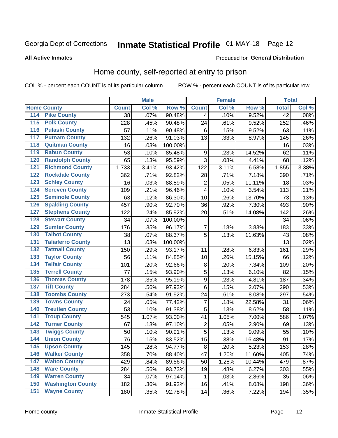# Inmate Statistical Profile 01-MAY-18 Page 12

### **All Active Inmates**

#### Produced for General Distribution

### Home county, self-reported at entry to prison

COL % - percent each COUNT is of its particular column

|                           |                          |              | <b>Male</b> |         |                  | <b>Female</b> |        | <b>Total</b>    |       |
|---------------------------|--------------------------|--------------|-------------|---------|------------------|---------------|--------|-----------------|-------|
| <b>Home County</b>        |                          | <b>Count</b> | Col %       | Row %   | <b>Count</b>     | Col %         | Row %  | <b>Total</b>    | Col % |
| 114                       | <b>Pike County</b>       | 38           | .07%        | 90.48%  | 4                | .10%          | 9.52%  | $\overline{42}$ | .08%  |
| 115                       | <b>Polk County</b>       | 228          | .45%        | 90.48%  | 24               | .61%          | 9.52%  | 252             | .46%  |
| 116                       | <b>Pulaski County</b>    | 57           | .11%        | 90.48%  | $\,6$            | .15%          | 9.52%  | 63              | .11%  |
| 117                       | <b>Putnam County</b>     | 132          | .26%        | 91.03%  | 13               | .33%          | 8.97%  | 145             | .26%  |
| 118                       | <b>Quitman County</b>    | 16           | .03%        | 100.00% |                  |               |        | 16              | .03%  |
| 119                       | <b>Rabun County</b>      | 53           | .10%        | 85.48%  | $\boldsymbol{9}$ | .23%          | 14.52% | 62              | .11%  |
| 120                       | <b>Randolph County</b>   | 65           | .13%        | 95.59%  | 3                | .08%          | 4.41%  | 68              | .12%  |
| 121                       | <b>Richmond County</b>   | 1,733        | 3.41%       | 93.42%  | 122              | 3.11%         | 6.58%  | 1,855           | 3.38% |
| 122                       | <b>Rockdale County</b>   | 362          | .71%        | 92.82%  | 28               | .71%          | 7.18%  | 390             | .71%  |
| 123                       | <b>Schley County</b>     | 16           | .03%        | 88.89%  | $\overline{2}$   | .05%          | 11.11% | 18              | .03%  |
| 124                       | <b>Screven County</b>    | 109          | .21%        | 96.46%  | $\overline{4}$   | .10%          | 3.54%  | 113             | .21%  |
| 125                       | <b>Seminole County</b>   | 63           | .12%        | 86.30%  | 10               | .26%          | 13.70% | 73              | .13%  |
| 126                       | <b>Spalding County</b>   | 457          | .90%        | 92.70%  | 36               | .92%          | 7.30%  | 493             | .90%  |
| 127                       | <b>Stephens County</b>   | 122          | .24%        | 85.92%  | 20               | .51%          | 14.08% | 142             | .26%  |
| 128                       | <b>Stewart County</b>    | 34           | .07%        | 100.00% |                  |               |        | 34              | .06%  |
| 129                       | <b>Sumter County</b>     | 176          | .35%        | 96.17%  | 7                | .18%          | 3.83%  | 183             | .33%  |
| 130                       | <b>Talbot County</b>     | 38           | .07%        | 88.37%  | 5                | .13%          | 11.63% | 43              | .08%  |
| 131                       | <b>Taliaferro County</b> | 13           | .03%        | 100.00% |                  |               |        | 13              | .02%  |
| 132                       | <b>Tattnall County</b>   | 150          | .29%        | 93.17%  | 11               | .28%          | 6.83%  | 161             | .29%  |
| 133                       | <b>Taylor County</b>     | 56           | .11%        | 84.85%  | 10               | .26%          | 15.15% | 66              | .12%  |
| 134                       | <b>Telfair County</b>    | 101          | .20%        | 92.66%  | 8                | .20%          | 7.34%  | 109             | .20%  |
| 135                       | <b>Terrell County</b>    | 77           | .15%        | 93.90%  | 5                | .13%          | 6.10%  | 82              | .15%  |
| 136                       | <b>Thomas County</b>     | 178          | .35%        | 95.19%  | $\overline{9}$   | .23%          | 4.81%  | 187             | .34%  |
| <b>Tift County</b><br>137 |                          | 284          | .56%        | 97.93%  | 6                | .15%          | 2.07%  | 290             | .53%  |
| 138                       | <b>Toombs County</b>     | 273          | .54%        | 91.92%  | 24               | .61%          | 8.08%  | 297             | .54%  |
| 139                       | <b>Towns County</b>      | 24           | .05%        | 77.42%  | 7                | .18%          | 22.58% | 31              | .06%  |
| 140                       | <b>Treutlen County</b>   | 53           | .10%        | 91.38%  | 5                | .13%          | 8.62%  | 58              | .11%  |
| 141                       | <b>Troup County</b>      | 545          | 1.07%       | 93.00%  | 41               | 1.05%         | 7.00%  | 586             | 1.07% |
| $\overline{142}$          | <b>Turner County</b>     | 67           | .13%        | 97.10%  | $\overline{2}$   | .05%          | 2.90%  | 69              | .13%  |
| 143                       | <b>Twiggs County</b>     | 50           | .10%        | 90.91%  | 5                | .13%          | 9.09%  | 55              | .10%  |
| 144                       | <b>Union County</b>      | 76           | .15%        | 83.52%  | 15               | .38%          | 16.48% | 91              | .17%  |
| 145                       | <b>Upson County</b>      | 145          | .28%        | 94.77%  | 8                | .20%          | 5.23%  | 153             | .28%  |
| 146                       | <b>Walker County</b>     | 358          | .70%        | 88.40%  | 47               | 1.20%         | 11.60% | 405             | .74%  |
| 147                       | <b>Walton County</b>     | 429          | .84%        | 89.56%  | 50               | 1.28%         | 10.44% | 479             | .87%  |
| 148                       | <b>Ware County</b>       | 284          | .56%        | 93.73%  | 19               | .48%          | 6.27%  | 303             | .55%  |
| 149                       | <b>Warren County</b>     | 34           | .07%        | 97.14%  | 1                | .03%          | 2.86%  | 35              | .06%  |
| 150                       | <b>Washington County</b> | 182          | .36%        | 91.92%  | 16               | .41%          | 8.08%  | 198             | .36%  |
| 151                       | <b>Wayne County</b>      | 180          | .35%        | 92.78%  | 14               | .36%          | 7.22%  | 194             | .35%  |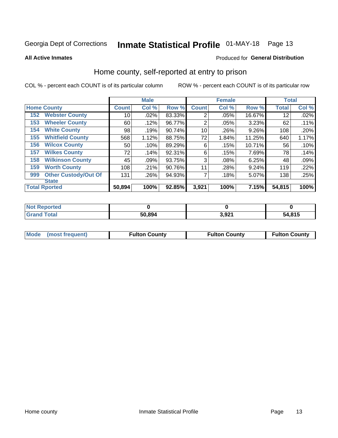# Inmate Statistical Profile 01-MAY-18 Page 13

**All Active Inmates** 

#### Produced for General Distribution

### Home county, self-reported at entry to prison

COL % - percent each COUNT is of its particular column

|     |                             |                 | <b>Male</b> |        |                | <b>Female</b> |          | <b>Total</b> |       |
|-----|-----------------------------|-----------------|-------------|--------|----------------|---------------|----------|--------------|-------|
|     | <b>Home County</b>          | <b>Count</b>    | Col %       | Row %  | <b>Count</b>   | Col %         | Row %    | <b>Total</b> | Col % |
| 152 | <b>Webster County</b>       | 10              | .02%        | 83.33% | $\overline{2}$ | .05%          | 16.67%   | 12           | .02%  |
| 153 | <b>Wheeler County</b>       | 60              | .12%        | 96.77% | $\overline{2}$ | .05%          | 3.23%    | 62           | .11%  |
| 154 | <b>White County</b>         | 98              | .19%        | 90.74% | 10             | .26%          | $9.26\%$ | 108          | .20%  |
| 155 | <b>Whitfield County</b>     | 568             | 1.12%       | 88.75% | 72             | 1.84%         | 11.25%   | 640          | 1.17% |
| 156 | <b>Wilcox County</b>        | 50 <sup>°</sup> | .10%        | 89.29% | 6              | .15%          | 10.71%   | 56           | .10%  |
| 157 | <b>Wilkes County</b>        | 72              | .14%        | 92.31% | 6              | .15%          | 7.69%    | 78           | .14%  |
| 158 | <b>Wilkinson County</b>     | 45              | .09%        | 93.75% | 3              | .08%          | 6.25%    | 48           | .09%  |
| 159 | <b>Worth County</b>         | 108             | .21%        | 90.76% | 11             | .28%          | 9.24%    | 119          | .22%  |
| 999 | <b>Other Custody/Out Of</b> | 131             | .26%        | 94.93% | 7              | .18%          | 5.07%    | 138          | .25%  |
|     | <b>State</b>                |                 |             |        |                |               |          |              |       |
|     | <b>Total Rported</b>        | 50,894          | 100%        | 92.85% | 3,921          | 100%          | 7.15%    | 54,815       | 100%  |

| 'Not<br>Reported |        |               |        |
|------------------|--------|---------------|--------|
| <b>Total</b>     | 50,894 | 2 Q21<br>,,JL | 54,815 |

| Mode (most frequent) | <b>Fulton County</b> | <b>Fulton County</b> | <b>Fulton County</b> |
|----------------------|----------------------|----------------------|----------------------|
|                      |                      |                      |                      |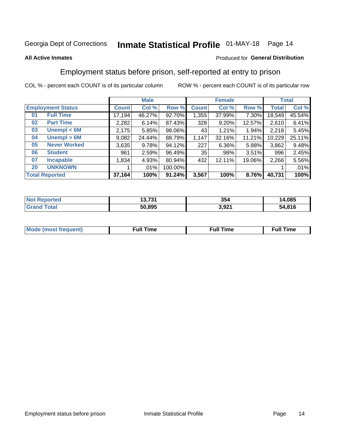# Inmate Statistical Profile 01-MAY-18 Page 14

### **All Active Inmates**

### Produced for General Distribution

# Employment status before prison, self-reported at entry to prison

COL % - percent each COUNT is of its particular column

|                           |              | <b>Male</b> |         |              | <b>Female</b> |          |              | <b>Total</b> |  |
|---------------------------|--------------|-------------|---------|--------------|---------------|----------|--------------|--------------|--|
| <b>Employment Status</b>  | <b>Count</b> | Col %       | Row %   | <b>Count</b> | Col %         | Row %    | <b>Total</b> | Col %        |  |
| <b>Full Time</b><br>01    | 17,194       | 46.27%      | 92.70%  | 1,355        | 37.99%        | 7.30%    | 18,549       | 45.54%       |  |
| <b>Part Time</b><br>02    | 2,282        | 6.14%       | 87.43%  | 328          | 9.20%         | 12.57%   | 2,610        | 6.41%        |  |
| Unempl $<$ 6M<br>03       | 2,175        | 5.85%       | 98.06%  | 43           | 1.21%         | 1.94%    | 2,218        | 5.45%        |  |
| Unempl > 6M<br>04         | 9,082        | 24.44%      | 88.79%  | 1,147        | 32.16%        | 11.21%   | 10,229       | 25.11%       |  |
| <b>Never Worked</b><br>05 | 3,635        | 9.78%       | 94.12%  | 227          | $6.36\%$      | $5.88\%$ | 3,862        | 9.48%        |  |
| 06<br><b>Student</b>      | 961          | 2.59%       | 96.49%  | 35           | .98%          | 3.51%    | 996          | 2.45%        |  |
| 07<br><b>Incapable</b>    | 1,834        | 4.93%       | 80.94%  | 432          | 12.11%        | 19.06%   | 2,266        | 5.56%        |  |
| <b>UNKNOWN</b><br>20      |              | $.01\%$     | 100.00% |              |               |          |              | .01%         |  |
| <b>Total Reported</b>     | 37,164       | 100%        | 91.24%  | 3,567        | 100%          | 8.76%    | 40,731       | 100%         |  |

| <b>Not Reported</b> | 49 794<br>13.731 | 354   | 14,085 |
|---------------------|------------------|-------|--------|
| <b>Grand Total</b>  | 50,895           | 3,921 | 54,816 |

| <b>Mode (most frequent)</b> | Full Time | <b>Full Time</b> | Time |
|-----------------------------|-----------|------------------|------|
|                             |           |                  |      |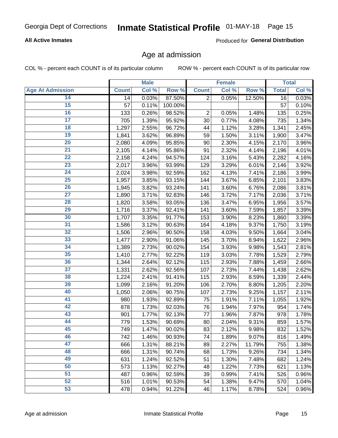### **All Active Inmates**

Produced for General Distribution

### Age at admission

COL % - percent each COUNT is of its particular column

|                         |              | <b>Male</b> |         |                | <b>Female</b> |        |              | <b>Total</b> |
|-------------------------|--------------|-------------|---------|----------------|---------------|--------|--------------|--------------|
| <b>Age At Admission</b> | <b>Count</b> | Col %       | Row %   | <b>Count</b>   | Col %         | Row %  | <b>Total</b> | Col %        |
| 14                      | 14           | 0.03%       | 87.50%  | $\overline{2}$ | 0.05%         | 12.50% | 16           | 0.03%        |
| $\overline{15}$         | 57           | 0.11%       | 100.00% |                |               |        | 57           | 0.10%        |
| 16                      | 133          | 0.26%       | 98.52%  | $\overline{2}$ | 0.05%         | 1.48%  | 135          | 0.25%        |
| $\overline{17}$         | 705          | 1.39%       | 95.92%  | 30             | 0.77%         | 4.08%  | 735          | 1.34%        |
| $\overline{18}$         | 1,297        | 2.55%       | 96.72%  | 44             | 1.12%         | 3.28%  | 1,341        | 2.45%        |
| 19                      | 1,841        | 3.62%       | 96.89%  | 59             | 1.50%         | 3.11%  | 1,900        | 3.47%        |
| 20                      | 2,080        | 4.09%       | 95.85%  | 90             | 2.30%         | 4.15%  | 2,170        | 3.96%        |
| $\overline{21}$         | 2,105        | 4.14%       | 95.86%  | 91             | 2.32%         | 4.14%  | 2,196        | 4.01%        |
| $\overline{22}$         | 2,158        | 4.24%       | 94.57%  | 124            | 3.16%         | 5.43%  | 2,282        | 4.16%        |
| 23                      | 2,017        | 3.96%       | 93.99%  | 129            | 3.29%         | 6.01%  | 2,146        | 3.92%        |
| 24                      | 2,024        | 3.98%       | 92.59%  | 162            | 4.13%         | 7.41%  | 2,186        | 3.99%        |
| $\overline{25}$         | 1,957        | 3.85%       | 93.15%  | 144            | 3.67%         | 6.85%  | 2,101        | 3.83%        |
| $\overline{26}$         | 1,945        | 3.82%       | 93.24%  | 141            | 3.60%         | 6.76%  | 2,086        | 3.81%        |
| $\overline{27}$         | 1,890        | 3.71%       | 92.83%  | 146            | 3.72%         | 7.17%  | 2,036        | 3.71%        |
| 28                      | 1,820        | 3.58%       | 93.05%  | 136            | 3.47%         | 6.95%  | 1,956        | 3.57%        |
| 29                      | 1,716        | 3.37%       | 92.41%  | 141            | 3.60%         | 7.59%  | 1,857        | 3.39%        |
| 30                      | 1,707        | 3.35%       | 91.77%  | 153            | 3.90%         | 8.23%  | 1,860        | 3.39%        |
| 31                      | 1,586        | 3.12%       | 90.63%  | 164            | 4.18%         | 9.37%  | 1,750        | 3.19%        |
| 32                      | 1,506        | 2.96%       | 90.50%  | 158            | 4.03%         | 9.50%  | 1,664        | 3.04%        |
| 33                      | 1,477        | 2.90%       | 91.06%  | 145            | 3.70%         | 8.94%  | 1,622        | 2.96%        |
| 34                      | 1,389        | 2.73%       | 90.02%  | 154            | 3.93%         | 9.98%  | 1,543        | 2.81%        |
| 35                      | 1,410        | 2.77%       | 92.22%  | 119            | 3.03%         | 7.78%  | 1,529        | 2.79%        |
| 36                      | 1,344        | 2.64%       | 92.12%  | 115            | 2.93%         | 7.88%  | 1,459        | 2.66%        |
| $\overline{37}$         | 1,331        | 2.62%       | 92.56%  | 107            | 2.73%         | 7.44%  | 1,438        | 2.62%        |
| 38                      | 1,224        | 2.41%       | 91.41%  | 115            | 2.93%         | 8.59%  | 1,339        | 2.44%        |
| 39                      | 1,099        | 2.16%       | 91.20%  | 106            | 2.70%         | 8.80%  | 1,205        | 2.20%        |
| 40                      | 1,050        | 2.06%       | 90.75%  | 107            | 2.73%         | 9.25%  | 1,157        | 2.11%        |
| 41                      | 980          | 1.93%       | 92.89%  | 75             | 1.91%         | 7.11%  | 1,055        | 1.92%        |
| 42                      | 878          | 1.73%       | 92.03%  | 76             | 1.94%         | 7.97%  | 954          | 1.74%        |
| 43                      | 901          | 1.77%       | 92.13%  | 77             | 1.96%         | 7.87%  | 978          | 1.78%        |
| 44                      | 779          | 1.53%       | 90.69%  | 80             | 2.04%         | 9.31%  | 859          | 1.57%        |
| 45                      | 749          | 1.47%       | 90.02%  | 83             | 2.12%         | 9.98%  | 832          | 1.52%        |
| 46                      | 742          | 1.46%       | 90.93%  | 74             | 1.89%         | 9.07%  | 816          | 1.49%        |
| 47                      | 666          | 1.31%       | 88.21%  | 89             | 2.27%         | 11.79% | 755          | 1.38%        |
| 48                      | 666          | 1.31%       | 90.74%  | 68             | 1.73%         | 9.26%  | 734          | 1.34%        |
| 49                      | 631          | 1.24%       | 92.52%  | 51             | 1.30%         | 7.48%  | 682          | 1.24%        |
| 50                      | 573          | 1.13%       | 92.27%  | 48             | 1.22%         | 7.73%  | 621          | 1.13%        |
| 51                      | 487          | 0.96%       | 92.59%  | 39             | 0.99%         | 7.41%  | 526          | 0.96%        |
| 52                      | 516          | 1.01%       | 90.53%  | 54             | 1.38%         | 9.47%  | 570          | 1.04%        |
| 53                      | 478          | 0.94%       | 91.22%  | 46             | 1.17%         | 8.78%  | 524          | 0.96%        |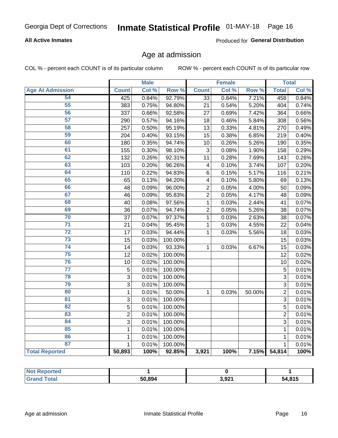### **All Active Inmates**

Produced for General Distribution

### Age at admission

COL % - percent each COUNT is of its particular column

|                         |                | <b>Male</b> |         |                 | <b>Female</b> |        |                | <b>Total</b> |
|-------------------------|----------------|-------------|---------|-----------------|---------------|--------|----------------|--------------|
| <b>Age At Admission</b> | <b>Count</b>   | Col %       | Row %   | <b>Count</b>    | Col %         | Row %  | <b>Total</b>   | Col %        |
| 54                      | 425            | 0.84%       | 92.79%  | $\overline{33}$ | 0.84%         | 7.21%  | 458            | 0.84%        |
| 55                      | 383            | 0.75%       | 94.80%  | 21              | 0.54%         | 5.20%  | 404            | 0.74%        |
| 56                      | 337            | 0.66%       | 92.58%  | 27              | 0.69%         | 7.42%  | 364            | 0.66%        |
| 57                      | 290            | 0.57%       | 94.16%  | 18              | 0.46%         | 5.84%  | 308            | 0.56%        |
| 58                      | 257            | 0.50%       | 95.19%  | 13              | 0.33%         | 4.81%  | 270            | 0.49%        |
| 59                      | 204            | 0.40%       | 93.15%  | 15              | 0.38%         | 6.85%  | 219            | 0.40%        |
| 60                      | 180            | 0.35%       | 94.74%  | 10              | 0.26%         | 5.26%  | 190            | 0.35%        |
| 61                      | 155            | 0.30%       | 98.10%  | 3               | 0.08%         | 1.90%  | 158            | 0.29%        |
| 62                      | 132            | 0.26%       | 92.31%  | 11              | 0.28%         | 7.69%  | 143            | 0.26%        |
| 63                      | 103            | 0.20%       | 96.26%  | 4               | 0.10%         | 3.74%  | 107            | 0.20%        |
| 64                      | 110            | 0.22%       | 94.83%  | $6\phantom{1}6$ | 0.15%         | 5.17%  | 116            | 0.21%        |
| 65                      | 65             | 0.13%       | 94.20%  | 4               | 0.10%         | 5.80%  | 69             | 0.13%        |
| 66                      | 48             | 0.09%       | 96.00%  | $\overline{2}$  | 0.05%         | 4.00%  | 50             | 0.09%        |
| 67                      | 46             | 0.09%       | 95.83%  | $\overline{2}$  | 0.05%         | 4.17%  | 48             | 0.09%        |
| 68                      | 40             | 0.08%       | 97.56%  | 1               | 0.03%         | 2.44%  | 41             | 0.07%        |
| 69                      | 36             | 0.07%       | 94.74%  | $\overline{c}$  | 0.05%         | 5.26%  | 38             | 0.07%        |
| 70                      | 37             | 0.07%       | 97.37%  | 1               | 0.03%         | 2.63%  | 38             | 0.07%        |
| $\overline{71}$         | 21             | 0.04%       | 95.45%  | 1               | 0.03%         | 4.55%  | 22             | 0.04%        |
| $\overline{72}$         | 17             | 0.03%       | 94.44%  | $\mathbf{1}$    | 0.03%         | 5.56%  | 18             | 0.03%        |
| $\overline{73}$         | 15             | 0.03%       | 100.00% |                 |               |        | 15             | 0.03%        |
| $\overline{74}$         | 14             | 0.03%       | 93.33%  | $\mathbf{1}$    | 0.03%         | 6.67%  | 15             | 0.03%        |
| 75                      | 12             | 0.02%       | 100.00% |                 |               |        | 12             | 0.02%        |
| 76                      | 10             | 0.02%       | 100.00% |                 |               |        | 10             | 0.02%        |
| $\overline{77}$         | 5              | 0.01%       | 100.00% |                 |               |        | 5              | 0.01%        |
| 78                      | $\mathbf{3}$   | 0.01%       | 100.00% |                 |               |        | 3              | 0.01%        |
| 79                      | 3              | 0.01%       | 100.00% |                 |               |        | 3              | 0.01%        |
| 80                      | $\mathbf{1}$   | 0.01%       | 50.00%  | $\mathbf{1}$    | 0.03%         | 50.00% | $\overline{2}$ | 0.01%        |
| $\overline{81}$         | 3              | 0.01%       | 100.00% |                 |               |        | 3              | 0.01%        |
| $\overline{82}$         | 5              | 0.01%       | 100.00% |                 |               |        | 5              | 0.01%        |
| 83                      | $\overline{2}$ | 0.01%       | 100.00% |                 |               |        | $\overline{2}$ | 0.01%        |
| 84                      | 3              | 0.01%       | 100.00% |                 |               |        | 3              | 0.01%        |
| 85                      | $\mathbf{1}$   | 0.01%       | 100.00% |                 |               |        | $\mathbf{1}$   | 0.01%        |
| 86                      | $\mathbf 1$    | 0.01%       | 100.00% |                 |               |        | 1              | 0.01%        |
| 87                      | $\mathbf{1}$   | 0.01%       | 100.00% |                 |               |        | $\mathbf{1}$   | 0.01%        |
| <b>Total Reported</b>   | 50,893         | 100%        | 92.85%  | 3,921           | 100%          | 7.15%  | 54,814         | 100%         |

| <b>Not Reported</b> |        |                |        |
|---------------------|--------|----------------|--------|
| Total<br>Gra        | 50,894 | 2 021<br>J.JZ. | 54,815 |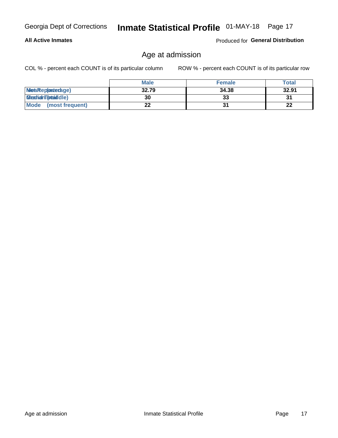### **All Active Inmates**

Produced for General Distribution

### Age at admission

COL % - percent each COUNT is of its particular column

|                         | <b>Male</b> | <b>Female</b> | <b>Total</b> |
|-------------------------|-------------|---------------|--------------|
| MetaRep(anterage)       | 32.79       | 34.38         | 32.91        |
| <b>MeatianTotaddle)</b> | 30          | 33            | 31           |
| Mode<br>(most frequent) | 22          |               | 22           |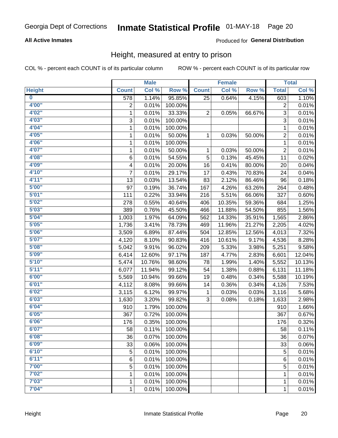### **All Active Inmates**

### Produced for General Distribution

### Height, measured at entry to prison

COL % - percent each COUNT is of its particular column

|                         |                  | <b>Male</b> |         |                 | <b>Female</b> |        |                | <b>Total</b> |
|-------------------------|------------------|-------------|---------|-----------------|---------------|--------|----------------|--------------|
| <b>Height</b>           | <b>Count</b>     | Col %       | Row %   | <b>Count</b>    | Col %         | Row %  | <b>Total</b>   | Col %        |
| $\overline{\mathbf{0}}$ | $\overline{578}$ | 1.14%       | 95.85%  | $\overline{25}$ | 0.64%         | 4.15%  | 603            | 1.10%        |
| 4'00"                   | $\overline{2}$   | 0.01%       | 100.00% |                 |               |        | $\overline{2}$ | 0.01%        |
| 4'02"                   | $\mathbf{1}$     | 0.01%       | 33.33%  | $\overline{2}$  | 0.05%         | 66.67% | $\overline{3}$ | 0.01%        |
| 4'03"                   | 3                | 0.01%       | 100.00% |                 |               |        | 3              | 0.01%        |
| 4'04"                   | 1                | 0.01%       | 100.00% |                 |               |        | 1              | 0.01%        |
| 4'05"                   | 1                | 0.01%       | 50.00%  | 1               | 0.03%         | 50.00% | $\overline{2}$ | 0.01%        |
| 4'06"                   | 1                | 0.01%       | 100.00% |                 |               |        | 1              | 0.01%        |
| 4'07"                   | 1                | 0.01%       | 50.00%  | 1               | 0.03%         | 50.00% | $\overline{2}$ | 0.01%        |
| 4'08"                   | 6                | 0.01%       | 54.55%  | 5               | 0.13%         | 45.45% | 11             | 0.02%        |
| 4'09"                   | 4                | 0.01%       | 20.00%  | 16              | 0.41%         | 80.00% | 20             | 0.04%        |
| 4'10"                   | $\overline{7}$   | 0.01%       | 29.17%  | 17              | 0.43%         | 70.83% | 24             | 0.04%        |
| 4'11''                  | 13               | 0.03%       | 13.54%  | 83              | 2.12%         | 86.46% | 96             | 0.18%        |
| 5'00''                  | 97               | 0.19%       | 36.74%  | 167             | 4.26%         | 63.26% | 264            | 0.48%        |
| 5'01"                   | 111              | 0.22%       | 33.94%  | 216             | 5.51%         | 66.06% | 327            | 0.60%        |
| 5'02"                   | 278              | 0.55%       | 40.64%  | 406             | 10.35%        | 59.36% | 684            | 1.25%        |
| 5'03''                  | 389              | 0.76%       | 45.50%  | 466             | 11.88%        | 54.50% | 855            | 1.56%        |
| 5'04"                   | 1,003            | 1.97%       | 64.09%  | 562             | 14.33%        | 35.91% | 1,565          | 2.86%        |
| 5'05"                   | 1,736            | 3.41%       | 78.73%  | 469             | 11.96%        | 21.27% | 2,205          | 4.02%        |
| 5'06"                   | 3,509            | 6.89%       | 87.44%  | 504             | 12.85%        | 12.56% | 4,013          | 7.32%        |
| 5'07''                  | 4,120            | 8.10%       | 90.83%  | 416             | 10.61%        | 9.17%  | 4,536          | 8.28%        |
| 5'08''                  | 5,042            | 9.91%       | 96.02%  | 209             | 5.33%         | 3.98%  | 5,251          | 9.58%        |
| 5'09''                  | 6,414            | 12.60%      | 97.17%  | 187             | 4.77%         | 2.83%  | 6,601          | 12.04%       |
| 5'10''                  | 5,474            | 10.76%      | 98.60%  | 78              | 1.99%         | 1.40%  | 5,552          | 10.13%       |
| 5'11"                   | 6,077            | 11.94%      | 99.12%  | 54              | 1.38%         | 0.88%  | 6,131          | 11.18%       |
| 6'00''                  | 5,569            | 10.94%      | 99.66%  | 19              | 0.48%         | 0.34%  | 5,588          | 10.19%       |
| 6'01''                  | 4,112            | 8.08%       | 99.66%  | 14              | 0.36%         | 0.34%  | 4,126          | 7.53%        |
| 6'02"                   | 3,115            | 6.12%       | 99.97%  | 1               | 0.03%         | 0.03%  | 3,116          | 5.68%        |
| 6'03''                  | 1,630            | 3.20%       | 99.82%  | 3               | 0.08%         | 0.18%  | 1,633          | 2.98%        |
| 6'04"                   | 910              | 1.79%       | 100.00% |                 |               |        | 910            | 1.66%        |
| 6'05"                   | 367              | 0.72%       | 100.00% |                 |               |        | 367            | 0.67%        |
| 6'06"                   | 176              | 0.35%       | 100.00% |                 |               |        | 176            | 0.32%        |
| 6'07"                   | 58               | 0.11%       | 100.00% |                 |               |        | 58             | 0.11%        |
| 6'08''                  | 36               | 0.07%       | 100.00% |                 |               |        | 36             | 0.07%        |
| 6'09''                  | 33               | 0.06%       | 100.00% |                 |               |        | 33             | 0.06%        |
| 6'10''                  | 5                | 0.01%       | 100.00% |                 |               |        | 5              | 0.01%        |
| 6'11''                  | 6                | 0.01%       | 100.00% |                 |               |        | 6              | 0.01%        |
| 7'00''                  | 5                | 0.01%       | 100.00% |                 |               |        | 5              | 0.01%        |
| 7'02"                   | 1                | 0.01%       | 100.00% |                 |               |        | 1              | 0.01%        |
| 7'03''                  | 1                | 0.01%       | 100.00% |                 |               |        | 1              | 0.01%        |
| 7'04"                   | 1                | 0.01%       | 100.00% |                 |               |        | 1              | 0.01%        |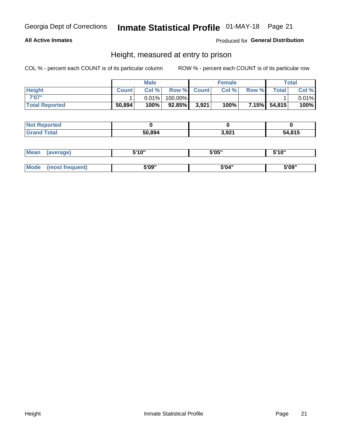### **All Active Inmates**

### Produced for General Distribution

### Height, measured at entry to prison

COL % - percent each COUNT is of its particular column

|                       |              | <b>Male</b> |           |             | <b>Female</b> |       |              | Total |
|-----------------------|--------------|-------------|-----------|-------------|---------------|-------|--------------|-------|
| <b>Height</b>         | <b>Count</b> | Col %       |           | Row % Count | Col %         | Row % | <b>Total</b> | Col % |
| 7'07"                 |              | $0.01\%$    | 100.00%   |             |               |       |              | 0.01% |
| <b>Total Reported</b> | 50,894       | 100%        | $92.85\%$ | 3,921       | 100%          |       | 7.15% 54,815 | 100%  |

| <b>Not Reported</b> |        |       |        |
|---------------------|--------|-------|--------|
| <b>Grand Total</b>  | 50.894 | 3,921 | 54,815 |

| <b>Mean</b> | (average)       | 5'10" | 5'05" | 5'10" |
|-------------|-----------------|-------|-------|-------|
|             |                 |       |       |       |
| <b>Mode</b> | (most frequent) | 5'09" | 5'04" | 5'09" |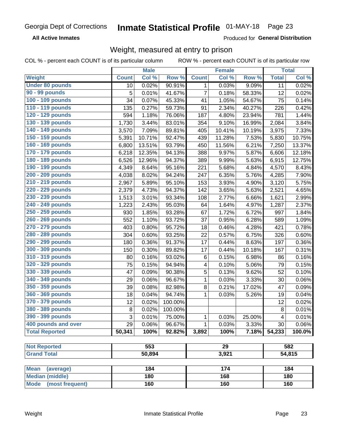**All Active Inmates** 

Produced for General Distribution

# Weight, measured at entry to prison

COL % - percent each COUNT is of its particular column

| Col %<br>Row %<br>Col %<br>Row %<br><b>Total</b><br>Col %<br><b>Count</b><br><b>Count</b><br>90.91%<br>0.02%<br>0.03%<br>9.09%<br>0.02%<br>1<br>11<br>10<br>$\overline{7}$<br>5<br>0.01%<br>41.67%<br>0.18%<br>58.33%<br>0.02%<br>12<br>100 - 109 pounds<br>34<br>0.07%<br>45.33%<br>75<br>0.14%<br>41<br>1.05%<br>54.67%<br>110 - 119 pounds<br>2.34%<br>0.42%<br>135<br>0.27%<br>59.73%<br>91<br>40.27%<br>226<br>120 - 129 pounds<br>1.18%<br>76.06%<br>187<br>4.80%<br>23.94%<br>781<br>1.44%<br>594<br>130 - 139 pounds<br>1,730<br>3.44%<br>83.01%<br>354<br>9.10%<br>16.99%<br>2,084<br>3.84%<br>140 - 149 pounds<br>89.81%<br>405<br>10.19%<br>7.33%<br>3,570<br>7.09%<br>10.41%<br>3,975<br>150 - 159 pounds<br>10.75%<br>10.71%<br>92.47%<br>11.28%<br>7.53%<br>5,830<br>5,391<br>439<br>160 - 169 pounds<br>93.79%<br>11.56%<br>6.21%<br>7,250<br>13.37%<br>6,800<br>13.51%<br>450<br>12.35%<br>388<br>9.97%<br>12.18%<br>6,218<br>94.13%<br>5.87%<br>6,606<br>5.63%<br>6,915<br>12.75%<br>6,526<br>12.96%<br>94.37%<br>389<br>9.99%<br>190 - 199 pounds<br>8.43%<br>4,349<br>8.64%<br>95.16%<br>221<br>5.68%<br>4.84%<br>4,570<br>200 - 209 pounds<br>8.02%<br>94.24%<br>247<br>6.35%<br>5.76%<br>4,285<br>7.90%<br>4,038<br>210 - 219 pounds<br>3.93%<br>5.75%<br>2,967<br>5.89%<br>95.10%<br>153<br>4.90%<br>3,120<br>220 - 229 pounds<br>5.63%<br>4.65%<br>4.73%<br>94.37%<br>142<br>3.65%<br>2,521<br>2,379<br>230 - 239 pounds<br>2.99%<br>1,513<br>3.01%<br>93.34%<br>2.77%<br>6.66%<br>1,621<br>108<br>240 - 249 pounds<br>2.37%<br>1,223<br>2.43%<br>95.03%<br>1.64%<br>4.97%<br>1,287<br>64<br>250 - 259 pounds<br>1.85%<br>93.28%<br>1.72%<br>6.72%<br>1.84%<br>930<br>67<br>997<br>260 - 269 pounds<br>1.10%<br>93.72%<br>1.09%<br>552<br>37<br>0.95%<br>6.28%<br>589<br>270 - 279 pounds<br>0.80%<br>95.72%<br>0.46%<br>4.28%<br>421<br>0.78%<br>403<br>18<br>280 - 289 pounds<br>0.60%<br>93.25%<br>0.57%<br>6.75%<br>326<br>0.60%<br>304<br>22<br>290 - 299 pounds<br>0.36%<br>0.36%<br>91.37%<br>17<br>0.44%<br>8.63%<br>197<br>180<br>300 - 309 pounds<br>0.30%<br>0.31%<br>89.82%<br>17<br>0.44%<br>10.18%<br>167<br>150<br>310 - 319 pounds<br>0.16%<br>0.16%<br>93.02%<br>6<br>0.15%<br>6.98%<br>80<br>86<br>320 - 329 pounds<br>75<br>0.15%<br>94.94%<br>0.10%<br>5.06%<br>0.15%<br>4<br>79<br>330 - 339 pounds<br>5<br>47<br>0.09%<br>90.38%<br>0.13%<br>9.62%<br>52<br>0.10%<br>340 - 349 pounds<br>0.06%<br>96.67%<br>0.06%<br>29<br>1<br>0.03%<br>3.33%<br>30<br>350 - 359 pounds<br>39<br>0.08%<br>82.98%<br>8<br>0.21%<br>17.02%<br>47<br>0.09%<br>360 - 369 pounds<br>18<br>94.74%<br>0.03%<br>5.26%<br>0.04%<br>0.04%<br>1<br>19<br>370 - 379 pounds<br>12<br>0.02%<br>100.00%<br>12<br>0.02%<br>380 - 389 pounds<br>8<br>8<br>100.00%<br>0.01%<br>0.02%<br>390 - 399 pounds<br>0.01%<br>0.03%<br>0.01%<br>25.00%<br>3<br>75.00%<br>1<br>4<br>400 pounds and over<br>0.06%<br>29<br>0.06%<br>1<br>0.03%<br>3.33%<br>30<br>96.67%<br>100.0%<br><b>Total Reported</b><br>50,341<br>100%<br>92.82%<br>100%<br>7.18%<br>54,233<br>3,892<br>553<br>$\overline{29}$<br>582<br><b>Not Reported</b><br><b>Grand Total</b><br>50,894<br>3,921<br>54,815<br>184<br>174<br>184<br><b>Mean</b><br>(average) |                        | <b>Male</b> |  | <b>Female</b> |  | <b>Total</b> |
|-----------------------------------------------------------------------------------------------------------------------------------------------------------------------------------------------------------------------------------------------------------------------------------------------------------------------------------------------------------------------------------------------------------------------------------------------------------------------------------------------------------------------------------------------------------------------------------------------------------------------------------------------------------------------------------------------------------------------------------------------------------------------------------------------------------------------------------------------------------------------------------------------------------------------------------------------------------------------------------------------------------------------------------------------------------------------------------------------------------------------------------------------------------------------------------------------------------------------------------------------------------------------------------------------------------------------------------------------------------------------------------------------------------------------------------------------------------------------------------------------------------------------------------------------------------------------------------------------------------------------------------------------------------------------------------------------------------------------------------------------------------------------------------------------------------------------------------------------------------------------------------------------------------------------------------------------------------------------------------------------------------------------------------------------------------------------------------------------------------------------------------------------------------------------------------------------------------------------------------------------------------------------------------------------------------------------------------------------------------------------------------------------------------------------------------------------------------------------------------------------------------------------------------------------------------------------------------------------------------------------------------------------------------------------------------------------------------------------------------------------------------------------------------------------------------------------------------------------------------------------------------------------------------------------------------------------------------------------------------------------------------------------------------------------------------------------------------------------------------------------------------------------------------------------------------------------------------------------------------------|------------------------|-------------|--|---------------|--|--------------|
|                                                                                                                                                                                                                                                                                                                                                                                                                                                                                                                                                                                                                                                                                                                                                                                                                                                                                                                                                                                                                                                                                                                                                                                                                                                                                                                                                                                                                                                                                                                                                                                                                                                                                                                                                                                                                                                                                                                                                                                                                                                                                                                                                                                                                                                                                                                                                                                                                                                                                                                                                                                                                                                                                                                                                                                                                                                                                                                                                                                                                                                                                                                                                                                                                                         | Weight                 |             |  |               |  |              |
|                                                                                                                                                                                                                                                                                                                                                                                                                                                                                                                                                                                                                                                                                                                                                                                                                                                                                                                                                                                                                                                                                                                                                                                                                                                                                                                                                                                                                                                                                                                                                                                                                                                                                                                                                                                                                                                                                                                                                                                                                                                                                                                                                                                                                                                                                                                                                                                                                                                                                                                                                                                                                                                                                                                                                                                                                                                                                                                                                                                                                                                                                                                                                                                                                                         | <b>Under 80 pounds</b> |             |  |               |  |              |
|                                                                                                                                                                                                                                                                                                                                                                                                                                                                                                                                                                                                                                                                                                                                                                                                                                                                                                                                                                                                                                                                                                                                                                                                                                                                                                                                                                                                                                                                                                                                                                                                                                                                                                                                                                                                                                                                                                                                                                                                                                                                                                                                                                                                                                                                                                                                                                                                                                                                                                                                                                                                                                                                                                                                                                                                                                                                                                                                                                                                                                                                                                                                                                                                                                         | <b>90 - 99 pounds</b>  |             |  |               |  |              |
|                                                                                                                                                                                                                                                                                                                                                                                                                                                                                                                                                                                                                                                                                                                                                                                                                                                                                                                                                                                                                                                                                                                                                                                                                                                                                                                                                                                                                                                                                                                                                                                                                                                                                                                                                                                                                                                                                                                                                                                                                                                                                                                                                                                                                                                                                                                                                                                                                                                                                                                                                                                                                                                                                                                                                                                                                                                                                                                                                                                                                                                                                                                                                                                                                                         |                        |             |  |               |  |              |
|                                                                                                                                                                                                                                                                                                                                                                                                                                                                                                                                                                                                                                                                                                                                                                                                                                                                                                                                                                                                                                                                                                                                                                                                                                                                                                                                                                                                                                                                                                                                                                                                                                                                                                                                                                                                                                                                                                                                                                                                                                                                                                                                                                                                                                                                                                                                                                                                                                                                                                                                                                                                                                                                                                                                                                                                                                                                                                                                                                                                                                                                                                                                                                                                                                         |                        |             |  |               |  |              |
|                                                                                                                                                                                                                                                                                                                                                                                                                                                                                                                                                                                                                                                                                                                                                                                                                                                                                                                                                                                                                                                                                                                                                                                                                                                                                                                                                                                                                                                                                                                                                                                                                                                                                                                                                                                                                                                                                                                                                                                                                                                                                                                                                                                                                                                                                                                                                                                                                                                                                                                                                                                                                                                                                                                                                                                                                                                                                                                                                                                                                                                                                                                                                                                                                                         |                        |             |  |               |  |              |
|                                                                                                                                                                                                                                                                                                                                                                                                                                                                                                                                                                                                                                                                                                                                                                                                                                                                                                                                                                                                                                                                                                                                                                                                                                                                                                                                                                                                                                                                                                                                                                                                                                                                                                                                                                                                                                                                                                                                                                                                                                                                                                                                                                                                                                                                                                                                                                                                                                                                                                                                                                                                                                                                                                                                                                                                                                                                                                                                                                                                                                                                                                                                                                                                                                         |                        |             |  |               |  |              |
|                                                                                                                                                                                                                                                                                                                                                                                                                                                                                                                                                                                                                                                                                                                                                                                                                                                                                                                                                                                                                                                                                                                                                                                                                                                                                                                                                                                                                                                                                                                                                                                                                                                                                                                                                                                                                                                                                                                                                                                                                                                                                                                                                                                                                                                                                                                                                                                                                                                                                                                                                                                                                                                                                                                                                                                                                                                                                                                                                                                                                                                                                                                                                                                                                                         |                        |             |  |               |  |              |
|                                                                                                                                                                                                                                                                                                                                                                                                                                                                                                                                                                                                                                                                                                                                                                                                                                                                                                                                                                                                                                                                                                                                                                                                                                                                                                                                                                                                                                                                                                                                                                                                                                                                                                                                                                                                                                                                                                                                                                                                                                                                                                                                                                                                                                                                                                                                                                                                                                                                                                                                                                                                                                                                                                                                                                                                                                                                                                                                                                                                                                                                                                                                                                                                                                         |                        |             |  |               |  |              |
|                                                                                                                                                                                                                                                                                                                                                                                                                                                                                                                                                                                                                                                                                                                                                                                                                                                                                                                                                                                                                                                                                                                                                                                                                                                                                                                                                                                                                                                                                                                                                                                                                                                                                                                                                                                                                                                                                                                                                                                                                                                                                                                                                                                                                                                                                                                                                                                                                                                                                                                                                                                                                                                                                                                                                                                                                                                                                                                                                                                                                                                                                                                                                                                                                                         |                        |             |  |               |  |              |
|                                                                                                                                                                                                                                                                                                                                                                                                                                                                                                                                                                                                                                                                                                                                                                                                                                                                                                                                                                                                                                                                                                                                                                                                                                                                                                                                                                                                                                                                                                                                                                                                                                                                                                                                                                                                                                                                                                                                                                                                                                                                                                                                                                                                                                                                                                                                                                                                                                                                                                                                                                                                                                                                                                                                                                                                                                                                                                                                                                                                                                                                                                                                                                                                                                         | 170 - 179 pounds       |             |  |               |  |              |
|                                                                                                                                                                                                                                                                                                                                                                                                                                                                                                                                                                                                                                                                                                                                                                                                                                                                                                                                                                                                                                                                                                                                                                                                                                                                                                                                                                                                                                                                                                                                                                                                                                                                                                                                                                                                                                                                                                                                                                                                                                                                                                                                                                                                                                                                                                                                                                                                                                                                                                                                                                                                                                                                                                                                                                                                                                                                                                                                                                                                                                                                                                                                                                                                                                         | 180 - 189 pounds       |             |  |               |  |              |
|                                                                                                                                                                                                                                                                                                                                                                                                                                                                                                                                                                                                                                                                                                                                                                                                                                                                                                                                                                                                                                                                                                                                                                                                                                                                                                                                                                                                                                                                                                                                                                                                                                                                                                                                                                                                                                                                                                                                                                                                                                                                                                                                                                                                                                                                                                                                                                                                                                                                                                                                                                                                                                                                                                                                                                                                                                                                                                                                                                                                                                                                                                                                                                                                                                         |                        |             |  |               |  |              |
|                                                                                                                                                                                                                                                                                                                                                                                                                                                                                                                                                                                                                                                                                                                                                                                                                                                                                                                                                                                                                                                                                                                                                                                                                                                                                                                                                                                                                                                                                                                                                                                                                                                                                                                                                                                                                                                                                                                                                                                                                                                                                                                                                                                                                                                                                                                                                                                                                                                                                                                                                                                                                                                                                                                                                                                                                                                                                                                                                                                                                                                                                                                                                                                                                                         |                        |             |  |               |  |              |
|                                                                                                                                                                                                                                                                                                                                                                                                                                                                                                                                                                                                                                                                                                                                                                                                                                                                                                                                                                                                                                                                                                                                                                                                                                                                                                                                                                                                                                                                                                                                                                                                                                                                                                                                                                                                                                                                                                                                                                                                                                                                                                                                                                                                                                                                                                                                                                                                                                                                                                                                                                                                                                                                                                                                                                                                                                                                                                                                                                                                                                                                                                                                                                                                                                         |                        |             |  |               |  |              |
|                                                                                                                                                                                                                                                                                                                                                                                                                                                                                                                                                                                                                                                                                                                                                                                                                                                                                                                                                                                                                                                                                                                                                                                                                                                                                                                                                                                                                                                                                                                                                                                                                                                                                                                                                                                                                                                                                                                                                                                                                                                                                                                                                                                                                                                                                                                                                                                                                                                                                                                                                                                                                                                                                                                                                                                                                                                                                                                                                                                                                                                                                                                                                                                                                                         |                        |             |  |               |  |              |
|                                                                                                                                                                                                                                                                                                                                                                                                                                                                                                                                                                                                                                                                                                                                                                                                                                                                                                                                                                                                                                                                                                                                                                                                                                                                                                                                                                                                                                                                                                                                                                                                                                                                                                                                                                                                                                                                                                                                                                                                                                                                                                                                                                                                                                                                                                                                                                                                                                                                                                                                                                                                                                                                                                                                                                                                                                                                                                                                                                                                                                                                                                                                                                                                                                         |                        |             |  |               |  |              |
|                                                                                                                                                                                                                                                                                                                                                                                                                                                                                                                                                                                                                                                                                                                                                                                                                                                                                                                                                                                                                                                                                                                                                                                                                                                                                                                                                                                                                                                                                                                                                                                                                                                                                                                                                                                                                                                                                                                                                                                                                                                                                                                                                                                                                                                                                                                                                                                                                                                                                                                                                                                                                                                                                                                                                                                                                                                                                                                                                                                                                                                                                                                                                                                                                                         |                        |             |  |               |  |              |
|                                                                                                                                                                                                                                                                                                                                                                                                                                                                                                                                                                                                                                                                                                                                                                                                                                                                                                                                                                                                                                                                                                                                                                                                                                                                                                                                                                                                                                                                                                                                                                                                                                                                                                                                                                                                                                                                                                                                                                                                                                                                                                                                                                                                                                                                                                                                                                                                                                                                                                                                                                                                                                                                                                                                                                                                                                                                                                                                                                                                                                                                                                                                                                                                                                         |                        |             |  |               |  |              |
|                                                                                                                                                                                                                                                                                                                                                                                                                                                                                                                                                                                                                                                                                                                                                                                                                                                                                                                                                                                                                                                                                                                                                                                                                                                                                                                                                                                                                                                                                                                                                                                                                                                                                                                                                                                                                                                                                                                                                                                                                                                                                                                                                                                                                                                                                                                                                                                                                                                                                                                                                                                                                                                                                                                                                                                                                                                                                                                                                                                                                                                                                                                                                                                                                                         |                        |             |  |               |  |              |
|                                                                                                                                                                                                                                                                                                                                                                                                                                                                                                                                                                                                                                                                                                                                                                                                                                                                                                                                                                                                                                                                                                                                                                                                                                                                                                                                                                                                                                                                                                                                                                                                                                                                                                                                                                                                                                                                                                                                                                                                                                                                                                                                                                                                                                                                                                                                                                                                                                                                                                                                                                                                                                                                                                                                                                                                                                                                                                                                                                                                                                                                                                                                                                                                                                         |                        |             |  |               |  |              |
|                                                                                                                                                                                                                                                                                                                                                                                                                                                                                                                                                                                                                                                                                                                                                                                                                                                                                                                                                                                                                                                                                                                                                                                                                                                                                                                                                                                                                                                                                                                                                                                                                                                                                                                                                                                                                                                                                                                                                                                                                                                                                                                                                                                                                                                                                                                                                                                                                                                                                                                                                                                                                                                                                                                                                                                                                                                                                                                                                                                                                                                                                                                                                                                                                                         |                        |             |  |               |  |              |
|                                                                                                                                                                                                                                                                                                                                                                                                                                                                                                                                                                                                                                                                                                                                                                                                                                                                                                                                                                                                                                                                                                                                                                                                                                                                                                                                                                                                                                                                                                                                                                                                                                                                                                                                                                                                                                                                                                                                                                                                                                                                                                                                                                                                                                                                                                                                                                                                                                                                                                                                                                                                                                                                                                                                                                                                                                                                                                                                                                                                                                                                                                                                                                                                                                         |                        |             |  |               |  |              |
|                                                                                                                                                                                                                                                                                                                                                                                                                                                                                                                                                                                                                                                                                                                                                                                                                                                                                                                                                                                                                                                                                                                                                                                                                                                                                                                                                                                                                                                                                                                                                                                                                                                                                                                                                                                                                                                                                                                                                                                                                                                                                                                                                                                                                                                                                                                                                                                                                                                                                                                                                                                                                                                                                                                                                                                                                                                                                                                                                                                                                                                                                                                                                                                                                                         |                        |             |  |               |  |              |
|                                                                                                                                                                                                                                                                                                                                                                                                                                                                                                                                                                                                                                                                                                                                                                                                                                                                                                                                                                                                                                                                                                                                                                                                                                                                                                                                                                                                                                                                                                                                                                                                                                                                                                                                                                                                                                                                                                                                                                                                                                                                                                                                                                                                                                                                                                                                                                                                                                                                                                                                                                                                                                                                                                                                                                                                                                                                                                                                                                                                                                                                                                                                                                                                                                         |                        |             |  |               |  |              |
|                                                                                                                                                                                                                                                                                                                                                                                                                                                                                                                                                                                                                                                                                                                                                                                                                                                                                                                                                                                                                                                                                                                                                                                                                                                                                                                                                                                                                                                                                                                                                                                                                                                                                                                                                                                                                                                                                                                                                                                                                                                                                                                                                                                                                                                                                                                                                                                                                                                                                                                                                                                                                                                                                                                                                                                                                                                                                                                                                                                                                                                                                                                                                                                                                                         |                        |             |  |               |  |              |
|                                                                                                                                                                                                                                                                                                                                                                                                                                                                                                                                                                                                                                                                                                                                                                                                                                                                                                                                                                                                                                                                                                                                                                                                                                                                                                                                                                                                                                                                                                                                                                                                                                                                                                                                                                                                                                                                                                                                                                                                                                                                                                                                                                                                                                                                                                                                                                                                                                                                                                                                                                                                                                                                                                                                                                                                                                                                                                                                                                                                                                                                                                                                                                                                                                         |                        |             |  |               |  |              |
|                                                                                                                                                                                                                                                                                                                                                                                                                                                                                                                                                                                                                                                                                                                                                                                                                                                                                                                                                                                                                                                                                                                                                                                                                                                                                                                                                                                                                                                                                                                                                                                                                                                                                                                                                                                                                                                                                                                                                                                                                                                                                                                                                                                                                                                                                                                                                                                                                                                                                                                                                                                                                                                                                                                                                                                                                                                                                                                                                                                                                                                                                                                                                                                                                                         |                        |             |  |               |  |              |
|                                                                                                                                                                                                                                                                                                                                                                                                                                                                                                                                                                                                                                                                                                                                                                                                                                                                                                                                                                                                                                                                                                                                                                                                                                                                                                                                                                                                                                                                                                                                                                                                                                                                                                                                                                                                                                                                                                                                                                                                                                                                                                                                                                                                                                                                                                                                                                                                                                                                                                                                                                                                                                                                                                                                                                                                                                                                                                                                                                                                                                                                                                                                                                                                                                         |                        |             |  |               |  |              |
|                                                                                                                                                                                                                                                                                                                                                                                                                                                                                                                                                                                                                                                                                                                                                                                                                                                                                                                                                                                                                                                                                                                                                                                                                                                                                                                                                                                                                                                                                                                                                                                                                                                                                                                                                                                                                                                                                                                                                                                                                                                                                                                                                                                                                                                                                                                                                                                                                                                                                                                                                                                                                                                                                                                                                                                                                                                                                                                                                                                                                                                                                                                                                                                                                                         |                        |             |  |               |  |              |
|                                                                                                                                                                                                                                                                                                                                                                                                                                                                                                                                                                                                                                                                                                                                                                                                                                                                                                                                                                                                                                                                                                                                                                                                                                                                                                                                                                                                                                                                                                                                                                                                                                                                                                                                                                                                                                                                                                                                                                                                                                                                                                                                                                                                                                                                                                                                                                                                                                                                                                                                                                                                                                                                                                                                                                                                                                                                                                                                                                                                                                                                                                                                                                                                                                         |                        |             |  |               |  |              |
|                                                                                                                                                                                                                                                                                                                                                                                                                                                                                                                                                                                                                                                                                                                                                                                                                                                                                                                                                                                                                                                                                                                                                                                                                                                                                                                                                                                                                                                                                                                                                                                                                                                                                                                                                                                                                                                                                                                                                                                                                                                                                                                                                                                                                                                                                                                                                                                                                                                                                                                                                                                                                                                                                                                                                                                                                                                                                                                                                                                                                                                                                                                                                                                                                                         |                        |             |  |               |  |              |
|                                                                                                                                                                                                                                                                                                                                                                                                                                                                                                                                                                                                                                                                                                                                                                                                                                                                                                                                                                                                                                                                                                                                                                                                                                                                                                                                                                                                                                                                                                                                                                                                                                                                                                                                                                                                                                                                                                                                                                                                                                                                                                                                                                                                                                                                                                                                                                                                                                                                                                                                                                                                                                                                                                                                                                                                                                                                                                                                                                                                                                                                                                                                                                                                                                         |                        |             |  |               |  |              |
|                                                                                                                                                                                                                                                                                                                                                                                                                                                                                                                                                                                                                                                                                                                                                                                                                                                                                                                                                                                                                                                                                                                                                                                                                                                                                                                                                                                                                                                                                                                                                                                                                                                                                                                                                                                                                                                                                                                                                                                                                                                                                                                                                                                                                                                                                                                                                                                                                                                                                                                                                                                                                                                                                                                                                                                                                                                                                                                                                                                                                                                                                                                                                                                                                                         |                        |             |  |               |  |              |
|                                                                                                                                                                                                                                                                                                                                                                                                                                                                                                                                                                                                                                                                                                                                                                                                                                                                                                                                                                                                                                                                                                                                                                                                                                                                                                                                                                                                                                                                                                                                                                                                                                                                                                                                                                                                                                                                                                                                                                                                                                                                                                                                                                                                                                                                                                                                                                                                                                                                                                                                                                                                                                                                                                                                                                                                                                                                                                                                                                                                                                                                                                                                                                                                                                         |                        |             |  |               |  |              |
|                                                                                                                                                                                                                                                                                                                                                                                                                                                                                                                                                                                                                                                                                                                                                                                                                                                                                                                                                                                                                                                                                                                                                                                                                                                                                                                                                                                                                                                                                                                                                                                                                                                                                                                                                                                                                                                                                                                                                                                                                                                                                                                                                                                                                                                                                                                                                                                                                                                                                                                                                                                                                                                                                                                                                                                                                                                                                                                                                                                                                                                                                                                                                                                                                                         |                        |             |  |               |  |              |
|                                                                                                                                                                                                                                                                                                                                                                                                                                                                                                                                                                                                                                                                                                                                                                                                                                                                                                                                                                                                                                                                                                                                                                                                                                                                                                                                                                                                                                                                                                                                                                                                                                                                                                                                                                                                                                                                                                                                                                                                                                                                                                                                                                                                                                                                                                                                                                                                                                                                                                                                                                                                                                                                                                                                                                                                                                                                                                                                                                                                                                                                                                                                                                                                                                         |                        |             |  |               |  |              |
|                                                                                                                                                                                                                                                                                                                                                                                                                                                                                                                                                                                                                                                                                                                                                                                                                                                                                                                                                                                                                                                                                                                                                                                                                                                                                                                                                                                                                                                                                                                                                                                                                                                                                                                                                                                                                                                                                                                                                                                                                                                                                                                                                                                                                                                                                                                                                                                                                                                                                                                                                                                                                                                                                                                                                                                                                                                                                                                                                                                                                                                                                                                                                                                                                                         |                        |             |  |               |  |              |
|                                                                                                                                                                                                                                                                                                                                                                                                                                                                                                                                                                                                                                                                                                                                                                                                                                                                                                                                                                                                                                                                                                                                                                                                                                                                                                                                                                                                                                                                                                                                                                                                                                                                                                                                                                                                                                                                                                                                                                                                                                                                                                                                                                                                                                                                                                                                                                                                                                                                                                                                                                                                                                                                                                                                                                                                                                                                                                                                                                                                                                                                                                                                                                                                                                         |                        |             |  |               |  |              |
| 180<br>168<br>180                                                                                                                                                                                                                                                                                                                                                                                                                                                                                                                                                                                                                                                                                                                                                                                                                                                                                                                                                                                                                                                                                                                                                                                                                                                                                                                                                                                                                                                                                                                                                                                                                                                                                                                                                                                                                                                                                                                                                                                                                                                                                                                                                                                                                                                                                                                                                                                                                                                                                                                                                                                                                                                                                                                                                                                                                                                                                                                                                                                                                                                                                                                                                                                                                       | <b>Median (middle)</b> |             |  |               |  |              |
| (most frequent)<br>160<br>160<br>160                                                                                                                                                                                                                                                                                                                                                                                                                                                                                                                                                                                                                                                                                                                                                                                                                                                                                                                                                                                                                                                                                                                                                                                                                                                                                                                                                                                                                                                                                                                                                                                                                                                                                                                                                                                                                                                                                                                                                                                                                                                                                                                                                                                                                                                                                                                                                                                                                                                                                                                                                                                                                                                                                                                                                                                                                                                                                                                                                                                                                                                                                                                                                                                                    | <b>Mode</b>            |             |  |               |  |              |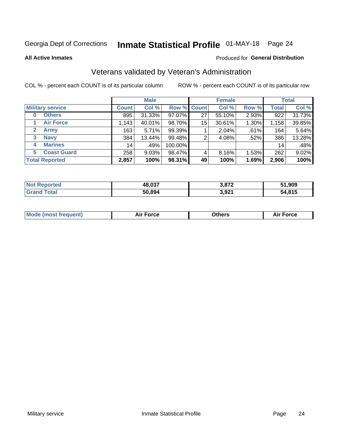# Inmate Statistical Profile 01-MAY-18 Page 24

**All Active Inmates** 

#### Produced for General Distribution

# Veterans validated by Veteran's Administration

COL % - percent each COUNT is of its particular column

|                             |              | <b>Male</b> |         |                    | <b>Female</b> |          |              | <b>Total</b> |
|-----------------------------|--------------|-------------|---------|--------------------|---------------|----------|--------------|--------------|
| <b>Military service</b>     | <b>Count</b> | Col %       |         | <b>Row % Count</b> | Col %         | Row %    | <b>Total</b> | Col %        |
| <b>Others</b><br>0          | 895          | 31.33%      | 97.07%  | 27                 | 55.10%        | 2.93%    | 922          | 31.73%       |
| <b>Air Force</b>            | 1,143        | 40.01%      | 98.70%  | 15                 | 30.61%        | 1.30%    | 1,158        | 39.85%       |
| <b>Army</b><br>$\mathbf{2}$ | 163          | 5.71%       | 99.39%  |                    | 2.04%         | .61%     | 164          | 5.64%        |
| <b>Navy</b><br>3            | 384          | 13.44%      | 99.48%  | 2                  | 4.08%         | .52%     | 386          | 13.28%       |
| <b>Marines</b><br>4         | 14           | .49%        | 100.00% |                    |               |          | 14           | .48%         |
| <b>Coast Guard</b><br>5.    | 258          | $9.03\%$    | 98.47%  | 4                  | 8.16%         | $1.53\%$ | 262          | 9.02%        |
| <b>Total Reported</b>       | 2,857        | 100%        | 98.31%  | 49                 | 100%          | 1.69%    | 2,906        | 100%         |

| rted<br><b>NOT</b> | 48,037 | 2070  | 51,909 |
|--------------------|--------|-------|--------|
|                    | 50,894 | 3,921 | 54,815 |

|  |  | <b>Mode (most frequent)</b> | <b>Force</b><br>Aır | วthers | orce |
|--|--|-----------------------------|---------------------|--------|------|
|--|--|-----------------------------|---------------------|--------|------|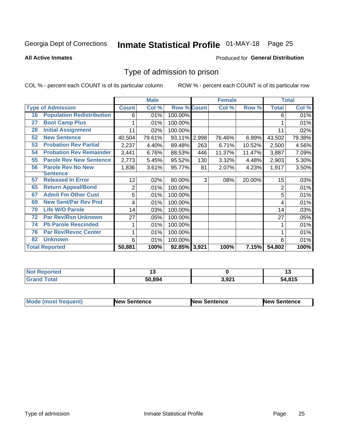# Inmate Statistical Profile 01-MAY-18 Page 25

**All Active Inmates** 

#### Produced for General Distribution

# Type of admission to prison

COL % - percent each COUNT is of its particular column

|    |                                  |              | <b>Male</b> |                    |     | <b>Female</b> |        |              | <b>Total</b> |
|----|----------------------------------|--------------|-------------|--------------------|-----|---------------|--------|--------------|--------------|
|    | <b>Type of Admission</b>         | <b>Count</b> | Col %       | <b>Row % Count</b> |     | Col %         | Row %  | <b>Total</b> | Col %        |
| 16 | <b>Population Redistribution</b> | 6            | .01%        | 100.00%            |     |               |        | 6            | .01%         |
| 27 | <b>Boot Camp Plus</b>            |              | .01%        | 100.00%            |     |               |        |              | .01%         |
| 28 | <b>Initial Assignment</b>        | 11           | .02%        | 100.00%            |     |               |        | 11           | .02%         |
| 52 | <b>New Sentence</b>              | 40,504       | 79.61%      | 93.11% 2,998       |     | 76.46%        | 6.89%  | 43,502       | 79.38%       |
| 53 | <b>Probation Rev Partial</b>     | 2,237        | 4.40%       | 89.48%             | 263 | 6.71%         | 10.52% | 2,500        | 4.56%        |
| 54 | <b>Probation Rev Remainder</b>   | 3,441        | 6.76%       | 88.53%             | 446 | 11.37%        | 11.47% | 3,887        | 7.09%        |
| 55 | <b>Parole Rev New Sentence</b>   | 2,773        | 5.45%       | 95.52%             | 130 | 3.32%         | 4.48%  | 2,903        | 5.30%        |
| 56 | <b>Parole Rev No New</b>         | 1,836        | 3.61%       | 95.77%             | 81  | 2.07%         | 4.23%  | 1,917        | 3.50%        |
|    | <b>Sentence</b>                  |              |             |                    |     |               |        |              |              |
| 57 | <b>Released In Error</b>         | 12           | .02%        | 80.00%             | 3   | .08%          | 20.00% | 15           | .03%         |
| 65 | <b>Return Appeal/Bond</b>        | 2            | .01%        | 100.00%            |     |               |        | 2            | .01%         |
| 67 | <b>Admit Fm Other Cust</b>       | 5            | .01%        | 100.00%            |     |               |        | 5            | .01%         |
| 69 | <b>New Sent/Par Rev Pnd</b>      | 4            | .01%        | 100.00%            |     |               |        | 4            | .01%         |
| 70 | <b>Life W/O Parole</b>           | 14           | .03%        | 100.00%            |     |               |        | 14           | .03%         |
| 72 | <b>Par Rev/Rsn Unknown</b>       | 27           | .05%        | 100.00%            |     |               |        | 27           | .05%         |
| 74 | <b>Pb Parole Rescinded</b>       |              | .01%        | 100.00%            |     |               |        |              | .01%         |
| 76 | <b>Par Rev/Revoc Center</b>      |              | .01%        | 100.00%            |     |               |        |              | .01%         |
| 82 | <b>Unknown</b>                   | 6            | .01%        | 100.00%            |     |               |        | 6            | .01%         |
|    | <b>Total Reported</b>            | 50,881       | 100%        | 92.85% 3,921       |     | 100%          | 7.15%  | 54,802       | 100%         |

| <b>Not</b><br>orted |        |                                          | .,   |
|---------------------|--------|------------------------------------------|------|
| 'otal               | 50.894 | 2 021<br>$\mathcal{L}$ , $\mathcal{L}$ , | .815 |

| <b>Mode (most frequent)</b> | New Sentence | <b>New Sentence</b> | <b>New Sentence</b> |
|-----------------------------|--------------|---------------------|---------------------|
|                             |              |                     |                     |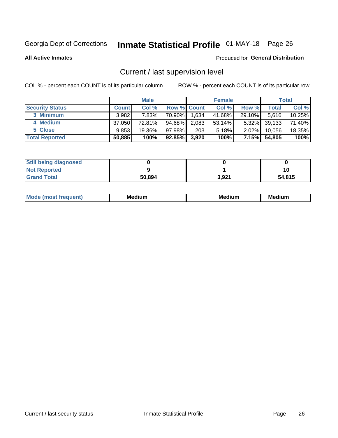# Inmate Statistical Profile 01-MAY-18 Page 26

**All Active Inmates** 

#### Produced for General Distribution

# Current / last supervision level

COL % - percent each COUNT is of its particular column

|                        |              | <b>Male</b> |                    |       | <b>Female</b> |          |        | <b>Total</b> |
|------------------------|--------------|-------------|--------------------|-------|---------------|----------|--------|--------------|
| <b>Security Status</b> | <b>Count</b> | Col %       | <b>Row % Count</b> |       | Col %         | Row %    | Total  | Col %        |
| 3 Minimum              | 3.982        | 7.83%       | 70.90%             | 1,634 | 41.68%        | 29.10%   | 5.616  | 10.25%       |
| 4 Medium               | 37,050       | 72.81%      | 94.68%             | 2,083 | 53.14%        | $5.32\%$ | 39,133 | 71.40%       |
| 5 Close                | 9.853        | 19.36%      | $97.98\%$          | 203   | 5.18%         | $2.02\%$ | 10,056 | 18.35%       |
| <b>Total Reported</b>  | 50,885       | 100%        | 92.85%             | 3,920 | 100%          | $7.15\%$ | 54,805 | 100%         |

| <b>Still being diagnosed</b> |        |       |        |
|------------------------------|--------|-------|--------|
| <b>Not Reported</b>          |        |       | 10     |
| <b>Grand Total</b>           | 50,894 | 3.921 | 54,815 |

| M | . | -- |
|---|---|----|
|   |   |    |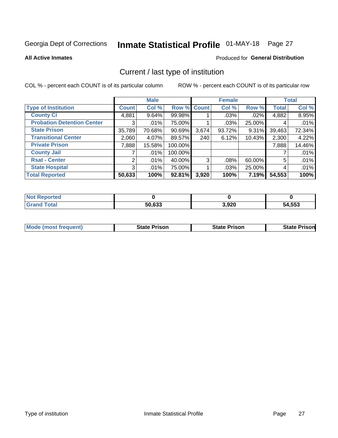# Inmate Statistical Profile 01-MAY-18 Page 27

**All Active Inmates** 

### Produced for General Distribution

# Current / last type of institution

COL % - percent each COUNT is of its particular column

|                                   |              | <b>Male</b> |           |             | <b>Female</b> |          |              | <b>Total</b> |
|-----------------------------------|--------------|-------------|-----------|-------------|---------------|----------|--------------|--------------|
| <b>Type of Institution</b>        | <b>Count</b> | Col %       |           | Row % Count | Col %         | Row %    | <b>Total</b> | Col %        |
| <b>County Ci</b>                  | 4,881        | 9.64%       | 99.98%    |             | $.03\%$       | $.02\%$  | 4,882        | 8.95%        |
| <b>Probation Detention Center</b> | 3            | .01%        | 75.00%    |             | $.03\%$       | 25.00%   | 4            | .01%         |
| <b>State Prison</b>               | 35,789       | 70.68%      | $90.69\%$ | 3,674       | $93.72\%$     | $9.31\%$ | 39,463       | 72.34%       |
| <b>Transitional Center</b>        | 2,060        | 4.07%       | 89.57%    | 240         | 6.12%         | 10.43%   | 2,300        | 4.22%        |
| <b>Private Prison</b>             | 7,888        | 15.58%      | 100.00%   |             |               |          | 7,888        | 14.46%       |
| <b>County Jail</b>                |              | .01%        | 100.00%   |             |               |          |              | .01%         |
| <b>Rsat - Center</b>              | 2            | $.01\%$     | 40.00%    | 3           | $.08\%$       | 60.00%   | 5            | .01%         |
| <b>State Hospital</b>             | 3            | .01%        | 75.00%    |             | .03%          | 25.00%   | 4            | .01%         |
| <b>Total Reported</b>             | 50,633       | 100%        | 92.81%    | 3,920       | 100%          | 7.19%    | 54,553       | 100%         |

| oorted<br><b>NO</b> |        |       |        |
|---------------------|--------|-------|--------|
| `otal               | 50,633 | 3,920 | 54,553 |

| Mode (most frequent) | <b>State Prison</b> | <b>State Prison</b> | <b>State Prisonl</b> |
|----------------------|---------------------|---------------------|----------------------|
|                      |                     |                     |                      |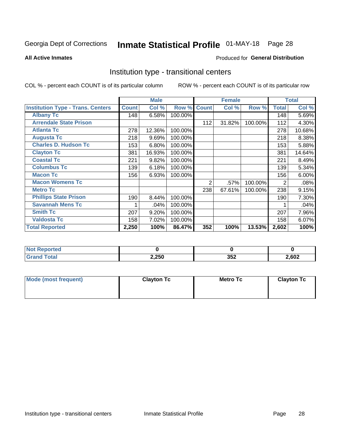# Inmate Statistical Profile 01-MAY-18 Page 28

**All Active Inmates** 

#### Produced for General Distribution

### Institution type - transitional centers

COL % - percent each COUNT is of its particular column

|                                          |              | <b>Male</b> |         |              | <b>Female</b> |         |              | <b>Total</b> |
|------------------------------------------|--------------|-------------|---------|--------------|---------------|---------|--------------|--------------|
| <b>Institution Type - Trans. Centers</b> | <b>Count</b> | Col %       | Row %   | <b>Count</b> | Col %         | Row %   | <b>Total</b> | Col %        |
| <b>Albany Tc</b>                         | 148          | 6.58%       | 100.00% |              |               |         | 148          | 5.69%        |
| <b>Arrendale State Prison</b>            |              |             |         | 112          | 31.82%        | 100.00% | 112          | 4.30%        |
| <b>Atlanta Tc</b>                        | 278          | 12.36%      | 100.00% |              |               |         | 278          | 10.68%       |
| <b>Augusta Tc</b>                        | 218          | 9.69%       | 100.00% |              |               |         | 218          | 8.38%        |
| <b>Charles D. Hudson Tc</b>              | 153          | 6.80%       | 100.00% |              |               |         | 153          | 5.88%        |
| <b>Clayton Tc</b>                        | 381          | 16.93%      | 100.00% |              |               |         | 381          | 14.64%       |
| <b>Coastal Tc</b>                        | 221          | 9.82%       | 100.00% |              |               |         | 221          | 8.49%        |
| <b>Columbus Tc</b>                       | 139          | 6.18%       | 100.00% |              |               |         | 139          | 5.34%        |
| <b>Macon Tc</b>                          | 156          | 6.93%       | 100.00% |              |               |         | 156          | 6.00%        |
| <b>Macon Womens Tc</b>                   |              |             |         | 2            | .57%          | 100.00% | 2            | .08%         |
| <b>Metro Tc</b>                          |              |             |         | 238          | 67.61%        | 100.00% | 238          | 9.15%        |
| <b>Phillips State Prison</b>             | 190          | 8.44%       | 100.00% |              |               |         | 190          | 7.30%        |
| <b>Savannah Mens Tc</b>                  | 1            | .04%        | 100.00% |              |               |         |              | .04%         |
| <b>Smith Tc</b>                          | 207          | 9.20%       | 100.00% |              |               |         | 207          | 7.96%        |
| <b>Valdosta Tc</b>                       | 158          | 7.02%       | 100.00% |              |               |         | 158          | 6.07%        |
| <b>Total Reported</b>                    | 2,250        | 100%        | 86.47%  | 352          | 100%          | 13.53%  | 2,602        | 100%         |

| τeι |       |           |      |
|-----|-------|-----------|------|
|     | 2,250 | 2E<br>◡◡▴ | ,602 |

| Mode (most frequent) | <b>Clayton Tc</b> | Metro Tc | <b>Clayton Tc</b> |
|----------------------|-------------------|----------|-------------------|
|                      |                   |          |                   |
|                      |                   |          |                   |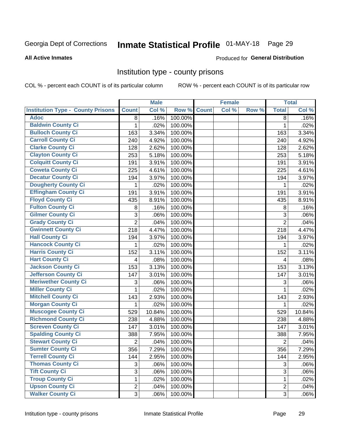# Inmate Statistical Profile 01-MAY-18 Page 29

#### **All Active Inmates**

#### Produced for General Distribution

### Institution type - county prisons

COL % - percent each COUNT is of its particular column

|                                          |                | <b>Male</b> |         |              | <b>Female</b> |       |                | <b>Total</b> |
|------------------------------------------|----------------|-------------|---------|--------------|---------------|-------|----------------|--------------|
| <b>Institution Type - County Prisons</b> | <b>Count</b>   | Col %       | Row %   | <b>Count</b> | Col %         | Row % | <b>Total</b>   | Col %        |
| <b>Adoc</b>                              | 8              | .16%        | 100.00% |              |               |       | 8              | .16%         |
| <b>Baldwin County Ci</b>                 | 1              | .02%        | 100.00% |              |               |       | 1              | .02%         |
| <b>Bulloch County Ci</b>                 | 163            | 3.34%       | 100.00% |              |               |       | 163            | 3.34%        |
| <b>Carroll County Ci</b>                 | 240            | 4.92%       | 100.00% |              |               |       | 240            | 4.92%        |
| <b>Clarke County Ci</b>                  | 128            | 2.62%       | 100.00% |              |               |       | 128            | 2.62%        |
| <b>Clayton County Ci</b>                 | 253            | 5.18%       | 100.00% |              |               |       | 253            | 5.18%        |
| <b>Colquitt County Ci</b>                | 191            | 3.91%       | 100.00% |              |               |       | 191            | 3.91%        |
| <b>Coweta County Ci</b>                  | 225            | 4.61%       | 100.00% |              |               |       | 225            | 4.61%        |
| <b>Decatur County Ci</b>                 | 194            | 3.97%       | 100.00% |              |               |       | 194            | 3.97%        |
| <b>Dougherty County Ci</b>               | 1              | .02%        | 100.00% |              |               |       | 1              | .02%         |
| <b>Effingham County Ci</b>               | 191            | 3.91%       | 100.00% |              |               |       | 191            | 3.91%        |
| <b>Floyd County Ci</b>                   | 435            | 8.91%       | 100.00% |              |               |       | 435            | 8.91%        |
| <b>Fulton County Ci</b>                  | 8              | .16%        | 100.00% |              |               |       | 8              | .16%         |
| <b>Gilmer County Ci</b>                  | 3              | .06%        | 100.00% |              |               |       | 3              | .06%         |
| <b>Grady County Ci</b>                   | $\overline{2}$ | .04%        | 100.00% |              |               |       | $\overline{2}$ | .04%         |
| <b>Gwinnett County Ci</b>                | 218            | 4.47%       | 100.00% |              |               |       | 218            | 4.47%        |
| <b>Hall County Ci</b>                    | 194            | 3.97%       | 100.00% |              |               |       | 194            | 3.97%        |
| <b>Hancock County Ci</b>                 | 1              | .02%        | 100.00% |              |               |       | 1              | .02%         |
| <b>Harris County Ci</b>                  | 152            | 3.11%       | 100.00% |              |               |       | 152            | 3.11%        |
| <b>Hart County Ci</b>                    | 4              | .08%        | 100.00% |              |               |       | 4              | .08%         |
| <b>Jackson County Ci</b>                 | 153            | 3.13%       | 100.00% |              |               |       | 153            | 3.13%        |
| <b>Jefferson County Ci</b>               | 147            | 3.01%       | 100.00% |              |               |       | 147            | 3.01%        |
| <b>Meriwether County Ci</b>              | 3              | .06%        | 100.00% |              |               |       | 3              | .06%         |
| <b>Miller County Ci</b>                  | 1              | .02%        | 100.00% |              |               |       | 1              | .02%         |
| <b>Mitchell County Ci</b>                | 143            | 2.93%       | 100.00% |              |               |       | 143            | 2.93%        |
| <b>Morgan County Ci</b>                  | 1              | .02%        | 100.00% |              |               |       | 1              | .02%         |
| <b>Muscogee County Ci</b>                | 529            | 10.84%      | 100.00% |              |               |       | 529            | 10.84%       |
| <b>Richmond County Ci</b>                | 238            | 4.88%       | 100.00% |              |               |       | 238            | 4.88%        |
| <b>Screven County Ci</b>                 | 147            | 3.01%       | 100.00% |              |               |       | 147            | 3.01%        |
| <b>Spalding County Ci</b>                | 388            | 7.95%       | 100.00% |              |               |       | 388            | 7.95%        |
| <b>Stewart County Ci</b>                 | $\overline{c}$ | .04%        | 100.00% |              |               |       | $\overline{2}$ | .04%         |
| <b>Sumter County Ci</b>                  | 356            | 7.29%       | 100.00% |              |               |       | 356            | 7.29%        |
| <b>Terrell County Ci</b>                 | 144            | 2.95%       | 100.00% |              |               |       | 144            | 2.95%        |
| <b>Thomas County Ci</b>                  | 3              | .06%        | 100.00% |              |               |       | 3              | .06%         |
| <b>Tift County Ci</b>                    | $\overline{3}$ | .06%        | 100.00% |              |               |       | $\overline{3}$ | .06%         |
| <b>Troup County Ci</b>                   | 1              | .02%        | 100.00% |              |               |       | $\mathbf 1$    | .02%         |
| <b>Upson County Ci</b>                   | $\overline{2}$ | .04%        | 100.00% |              |               |       | $\overline{2}$ | .04%         |
| <b>Walker County Ci</b>                  | 3              | .06%        | 100.00% |              |               |       | 3              | .06%         |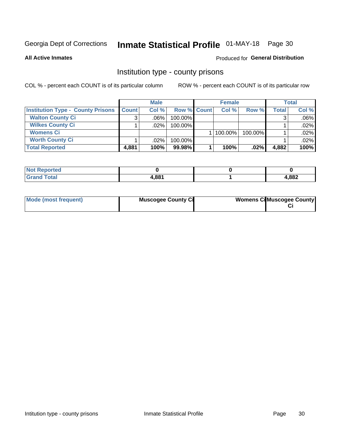# Inmate Statistical Profile 01-MAY-18 Page 30

**All Active Inmates** 

### Produced for General Distribution

### Institution type - county prisons

COL % - percent each COUNT is of its particular column

|                                          |              | <b>Male</b> |                    | <b>Female</b> |         |              | Total   |
|------------------------------------------|--------------|-------------|--------------------|---------------|---------|--------------|---------|
| <b>Institution Type - County Prisons</b> | <b>Count</b> | Col%        | <b>Row % Count</b> | Col%          | Row %   | <b>Total</b> | Col %   |
| <b>Walton County Ci</b>                  | 3            | $.06\%$     | 100.00%            |               |         |              | $.06\%$ |
| <b>Wilkes County Ci</b>                  |              | $.02\%$     | 100.00%            |               |         |              | .02%    |
| <b>Womens Ci</b>                         |              |             |                    | $ 100.00\% $  | 100.00% |              | .02%    |
| <b>Worth County Ci</b>                   |              | $.02\%$     | 100.00%            |               |         |              | .02%    |
| <b>Total Reported</b>                    | 4,881        | 100%        | 99.98%             | 100%          | $.02\%$ | 4,882        | 100%    |

| ported<br>' NOT |       |       |
|-----------------|-------|-------|
| _____           | l,881 | 1,882 |

| Mode (most frequent) | <b>Muscogee County Ci</b> | <b>Womens Ci</b> Muscogee County |
|----------------------|---------------------------|----------------------------------|
|                      |                           |                                  |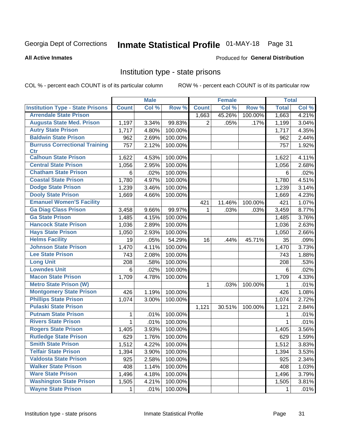# Inmate Statistical Profile 01-MAY-18 Page 31

#### **All Active Inmates**

#### Produced for General Distribution

### Institution type - state prisons

COL % - percent each COUNT is of its particular column

|                                         |              | <b>Male</b> |         |              | <b>Female</b> |         | <b>Total</b> |       |
|-----------------------------------------|--------------|-------------|---------|--------------|---------------|---------|--------------|-------|
| <b>Institution Type - State Prisons</b> | <b>Count</b> | Col %       | Row %   | <b>Count</b> | Col %         | Row %   | <b>Total</b> | Col % |
| <b>Arrendale State Prison</b>           |              |             |         | 1,663        | 45.26%        | 100.00% | 1,663        | 4.21% |
| <b>Augusta State Med. Prison</b>        | 1,197        | 3.34%       | 99.83%  | 2            | .05%          | .17%    | 1,199        | 3.04% |
| <b>Autry State Prison</b>               | 1,717        | 4.80%       | 100.00% |              |               |         | 1,717        | 4.35% |
| <b>Baldwin State Prison</b>             | 962          | 2.69%       | 100.00% |              |               |         | 962          | 2.44% |
| <b>Burruss Correctional Training</b>    | 757          | 2.12%       | 100.00% |              |               |         | 757          | 1.92% |
| <b>Ctr</b>                              |              |             |         |              |               |         |              |       |
| <b>Calhoun State Prison</b>             | 1,622        | 4.53%       | 100.00% |              |               |         | 1,622        | 4.11% |
| <b>Central State Prison</b>             | 1,056        | 2.95%       | 100.00% |              |               |         | 1,056        | 2.68% |
| <b>Chatham State Prison</b>             | 6            | .02%        | 100.00% |              |               |         | 6            | .02%  |
| <b>Coastal State Prison</b>             | 1,780        | 4.97%       | 100.00% |              |               |         | 1,780        | 4.51% |
| <b>Dodge State Prison</b>               | 1,239        | 3.46%       | 100.00% |              |               |         | 1,239        | 3.14% |
| <b>Dooly State Prison</b>               | 1,669        | 4.66%       | 100.00% |              |               |         | 1,669        | 4.23% |
| <b>Emanuel Women'S Facility</b>         |              |             |         | 421          | 11.46%        | 100.00% | 421          | 1.07% |
| <b>Ga Diag Class Prison</b>             | 3,458        | 9.66%       | 99.97%  | $\mathbf 1$  | .03%          | .03%    | 3,459        | 8.77% |
| <b>Ga State Prison</b>                  | 1,485        | 4.15%       | 100.00% |              |               |         | 1,485        | 3.76% |
| <b>Hancock State Prison</b>             | 1,036        | 2.89%       | 100.00% |              |               |         | 1,036        | 2.63% |
| <b>Hays State Prison</b>                | 1,050        | 2.93%       | 100.00% |              |               |         | 1,050        | 2.66% |
| <b>Helms Facility</b>                   | 19           | .05%        | 54.29%  | 16           | .44%          | 45.71%  | 35           | .09%  |
| <b>Johnson State Prison</b>             | 1,470        | 4.11%       | 100.00% |              |               |         | 1,470        | 3.73% |
| <b>Lee State Prison</b>                 | 743          | 2.08%       | 100.00% |              |               |         | 743          | 1.88% |
| <b>Long Unit</b>                        | 208          | .58%        | 100.00% |              |               |         | 208          | .53%  |
| <b>Lowndes Unit</b>                     | 6            | .02%        | 100.00% |              |               |         | 6            | .02%  |
| <b>Macon State Prison</b>               | 1,709        | 4.78%       | 100.00% |              |               |         | 1,709        | 4.33% |
| <b>Metro State Prison (W)</b>           |              |             |         | 1            | .03%          | 100.00% | 1            | .01%  |
| <b>Montgomery State Prison</b>          | 426          | 1.19%       | 100.00% |              |               |         | 426          | 1.08% |
| <b>Phillips State Prison</b>            | 1,074        | 3.00%       | 100.00% |              |               |         | 1,074        | 2.72% |
| <b>Pulaski State Prison</b>             |              |             |         | 1,121        | 30.51%        | 100.00% | 1,121        | 2.84% |
| <b>Putnam State Prison</b>              | 1            | .01%        | 100.00% |              |               |         | 1            | .01%  |
| <b>Rivers State Prison</b>              | 1            | .01%        | 100.00% |              |               |         | 1            | .01%  |
| <b>Rogers State Prison</b>              | 1,405        | 3.93%       | 100.00% |              |               |         | 1,405        | 3.56% |
| <b>Rutledge State Prison</b>            | 629          | 1.76%       | 100.00% |              |               |         | 629          | 1.59% |
| <b>Smith State Prison</b>               | 1,512        | 4.22%       | 100.00% |              |               |         | 1,512        | 3.83% |
| <b>Telfair State Prison</b>             | 1,394        | 3.90%       | 100.00% |              |               |         | 1,394        | 3.53% |
| <b>Valdosta State Prison</b>            | 925          | 2.58%       | 100.00% |              |               |         | 925          | 2.34% |
| <b>Walker State Prison</b>              | 408          | 1.14%       | 100.00% |              |               |         | 408          | 1.03% |
| <b>Ware State Prison</b>                | 1,496        | 4.18%       | 100.00% |              |               |         | 1,496        | 3.79% |
| <b>Washington State Prison</b>          | 1,505        | 4.21%       | 100.00% |              |               |         | 1,505        | 3.81% |
| <b>Wayne State Prison</b>               | 1            | .01%        | 100.00% |              |               |         | 1            | .01%  |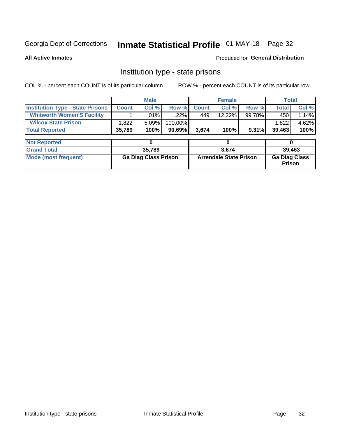# Inmate Statistical Profile 01-MAY-18 Page 32

**All Active Inmates** 

#### Produced for General Distribution

### Institution type - state prisons

COL % - percent each COUNT is of its particular column ROW % - percent each COUNT is of its particular row

|                                         |              | <b>Male</b>                 |           | <b>Female</b> |                               |          | <b>Total</b>                   |       |
|-----------------------------------------|--------------|-----------------------------|-----------|---------------|-------------------------------|----------|--------------------------------|-------|
| <b>Institution Type - State Prisons</b> | <b>Count</b> | Col %                       | Row %     | <b>Count</b>  | Col %                         | Row %    | <b>Total</b>                   | Col % |
| <b>Whitworth Women'S Facility</b>       |              | .01%                        | .22%      | 449           | 12.22%                        | 99.78%   | 450                            | 1.14% |
| <b>Wilcox State Prison</b>              | 1,822        | 5.09%                       | 100.00%   |               |                               |          | 1,822                          | 4.62% |
| <b>Total Reported</b>                   | 35,789       | 100%                        | $90.69\%$ | 3,674         | 100%                          | $9.31\%$ | 39,463                         | 100%  |
| <b>Not Reported</b>                     |              | 0                           |           |               | 0                             |          | 0                              |       |
|                                         |              |                             |           |               |                               |          |                                |       |
| <b>Grand Total</b>                      |              | 35,789                      |           |               | 3,674                         |          | 39,463                         |       |
| <b>Mode (most frequent)</b>             |              | <b>Ga Diag Class Prison</b> |           |               | <b>Arrendale State Prison</b> |          | <b>Ga Diag Class</b><br>Prison |       |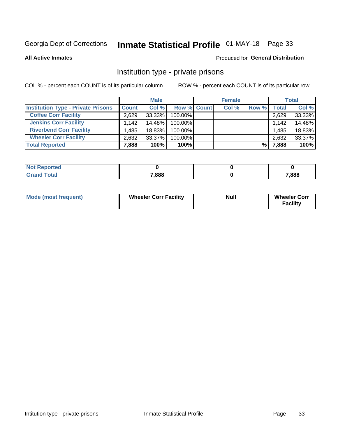# Inmate Statistical Profile 01-MAY-18 Page 33

**All Active Inmates** 

### Produced for General Distribution

# Institution type - private prisons

COL % - percent each COUNT is of its particular column

|                                           |              | <b>Male</b> |                    | <b>Female</b> |       |       | <b>Total</b> |
|-------------------------------------------|--------------|-------------|--------------------|---------------|-------|-------|--------------|
| <b>Institution Type - Private Prisons</b> | <b>Count</b> | Col %       | <b>Row % Count</b> | Col %         | Row % | Total | Col %        |
| <b>Coffee Corr Facility</b>               | 2.629        | 33.33%      | 100.00%            |               |       | 2,629 | 33.33%       |
| <b>Jenkins Corr Facility</b>              | 1.142        | 14.48%      | $100.00\%$         |               |       | 1,142 | 14.48%       |
| <b>Riverbend Corr Facility</b>            | .485         | 18.83%      | 100.00%            |               |       | 1,485 | 18.83%       |
| <b>Wheeler Corr Facility</b>              | 2.632        | $33.37\%$   | 100.00%            |               |       | 2,632 | 33.37%       |
| <b>Total Reported</b>                     | 7,888        | 100%        | 100%               |               | %     | 7,888 | 100%         |

| <b>Reported</b><br>NOT |       |       |
|------------------------|-------|-------|
| 'otal                  | 7,888 | 7,888 |

| <b>Mode (most frequent)</b> | <b>Wheeler Corr Facility</b> | <b>Null</b> | <b>Wheeler Corr</b><br><b>Facility</b> |
|-----------------------------|------------------------------|-------------|----------------------------------------|
|-----------------------------|------------------------------|-------------|----------------------------------------|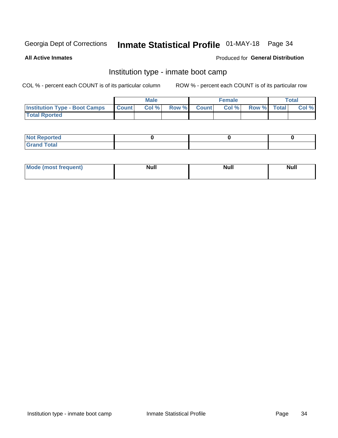# Inmate Statistical Profile 01-MAY-18 Page 34

**All Active Inmates** 

### Produced for General Distribution

# Institution type - inmate boot camp

COL % - percent each COUNT is of its particular column

|                                      |              | <b>Male</b> |             | <b>Female</b> |                   | <b>Total</b> |
|--------------------------------------|--------------|-------------|-------------|---------------|-------------------|--------------|
| <b>Institution Type - Boot Camps</b> | <b>Count</b> | Col %       | Row % Count |               | Col % Row % Total | Col %        |
| <b>Total Rported</b>                 |              |             |             |               |                   |              |

| <b>Not Reported</b>            |  |  |
|--------------------------------|--|--|
| <b>Total</b><br>C <sub>r</sub> |  |  |

| Mod<br>uamo | Nul.<br>$- - - - - -$ | <b>Null</b> | <br>uu.<br>------ |
|-------------|-----------------------|-------------|-------------------|
|             |                       |             |                   |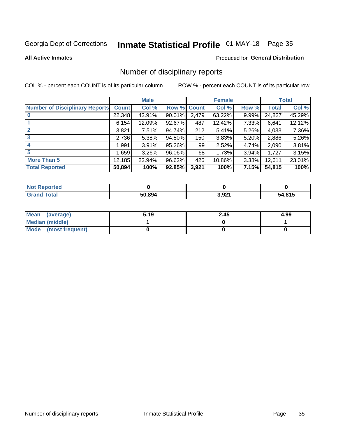# Inmate Statistical Profile 01-MAY-18 Page 35

#### **All Active Inmates**

#### Produced for General Distribution

# Number of disciplinary reports

COL % - percent each COUNT is of its particular column

|                                       |              | <b>Male</b> |        |              | <b>Female</b> |          |              | <b>Total</b> |
|---------------------------------------|--------------|-------------|--------|--------------|---------------|----------|--------------|--------------|
| <b>Number of Disciplinary Reports</b> | <b>Count</b> | Col %       | Row %  | <b>Count</b> | Col %         | Row %    | <b>Total</b> | Col %        |
|                                       | 22,348       | 43.91%      | 90.01% | 2,479        | 63.22%        | $9.99\%$ | 24,827       | 45.29%       |
|                                       | 6,154        | 12.09%      | 92.67% | 487          | 12.42%        | 7.33%    | 6,641        | 12.12%       |
|                                       | 3,821        | 7.51%       | 94.74% | 212          | 5.41%         | $5.26\%$ | 4,033        | 7.36%        |
| 3                                     | 2,736        | 5.38%       | 94.80% | 150          | 3.83%         | $5.20\%$ | 2,886        | 5.26%        |
| 4                                     | 1,991        | 3.91%       | 95.26% | 99           | 2.52%         | 4.74%    | 2,090        | 3.81%        |
| 5                                     | 1,659        | $3.26\%$    | 96.06% | 68           | 1.73%         | $3.94\%$ | 1,727        | 3.15%        |
| <b>More Than 5</b>                    | 12,185       | 23.94%      | 96.62% | 426          | 10.86%        | $3.38\%$ | 12,611       | 23.01%       |
| <b>Total Reported</b>                 | 50,894       | 100%        | 92.85% | 3,921        | 100%          | 7.15%    | 54,815       | 100%         |

| <b>Reported</b><br>Not F |        |       |        |
|--------------------------|--------|-------|--------|
| Total                    | 50.894 | 3,921 | 54,815 |

| Mean (average)         | 5.19 | 2.45 | 4.99 |
|------------------------|------|------|------|
| <b>Median (middle)</b> |      |      |      |
| Mode (most frequent)   |      |      |      |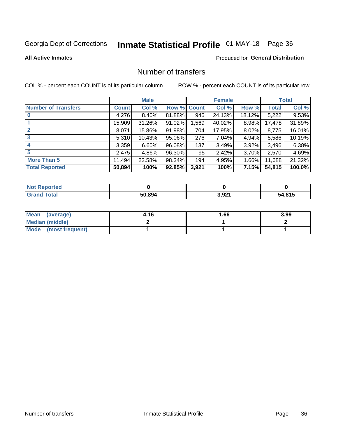# Inmate Statistical Profile 01-MAY-18 Page 36

#### **All Active Inmates**

### **Produced for General Distribution**

# Number of transfers

COL % - percent each COUNT is of its particular column

|                            |         | <b>Male</b> |        |              | <b>Female</b> |          |              | <b>Total</b> |
|----------------------------|---------|-------------|--------|--------------|---------------|----------|--------------|--------------|
| <b>Number of Transfers</b> | Count l | Col %       | Row %  | <b>Count</b> | Col %         | Row %    | <b>Total</b> | Col %        |
|                            | 4,276   | $8.40\%$    | 81.88% | 946          | 24.13%        | 18.12%   | 5,222        | 9.53%        |
|                            | 15,909  | 31.26%      | 91.02% | 1,569        | 40.02%        | 8.98%    | 17,478       | 31.89%       |
| $\mathbf{2}$               | 8,071   | 15.86%      | 91.98% | 704          | 17.95%        | $8.02\%$ | 8,775        | 16.01%       |
| 3                          | 5,310   | 10.43%      | 95.06% | 276          | 7.04%         | 4.94%    | 5,586        | 10.19%       |
| 4                          | 3,359   | $6.60\%$    | 96.08% | 137          | 3.49%         | $3.92\%$ | 3,496        | 6.38%        |
| 5                          | 2,475   | 4.86%       | 96.30% | 95           | 2.42%         | $3.70\%$ | 2,570        | 4.69%        |
| <b>More Than 5</b>         | 11,494  | 22.58%      | 98.34% | 194          | 4.95%         | 1.66%    | 11,688       | 21.32%       |
| <b>Total Reported</b>      | 50,894  | 100%        | 92.85% | 3,921        | 100%          | 7.15%    | 54,815       | 100.0%       |

| Reported<br>Not <b>F</b> |        |       |                    |
|--------------------------|--------|-------|--------------------|
| <b>Total</b>             | 50.894 | 3,921 | <b>1.815</b><br>34 |

| Mean (average)         | 4.16 | 1.66 | 3.99 |
|------------------------|------|------|------|
| <b>Median (middle)</b> |      |      |      |
| Mode (most frequent)   |      |      |      |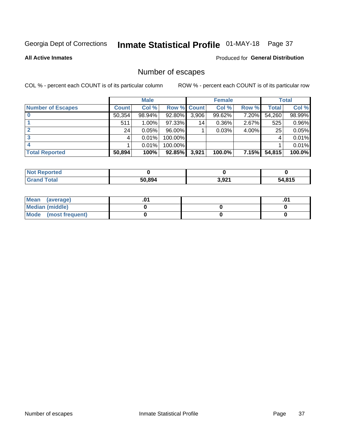# Inmate Statistical Profile 01-MAY-18 Page 37

**All Active Inmates** 

#### Produced for General Distribution

# Number of escapes

COL % - percent each COUNT is of its particular column

|                          |              | <b>Male</b> |             |       | <b>Female</b> |       |        | <b>Total</b> |
|--------------------------|--------------|-------------|-------------|-------|---------------|-------|--------|--------------|
| <b>Number of Escapes</b> | <b>Count</b> | Col %       | Row % Count |       | Col %         | Row % | Total  | Col %        |
|                          | 50,354       | 98.94%      | 92.80%      | 3,906 | 99.62%        | 7.20% | 54,260 | 98.99%       |
|                          | 511          | $1.00\%$    | 97.33%      | 14    | $0.36\%$      | 2.67% | 525    | 0.96%        |
| 2                        | 24           | 0.05%       | $96.00\%$   |       | 0.03%         | 4.00% | 25     | 0.05%        |
| 3                        |              | 0.01%       | 100.00%     |       |               |       |        | 0.01%        |
|                          |              | 0.01%       | 100.00%     |       |               |       |        | 0.01%        |
| <b>Total Reported</b>    | 50,894       | 100%        | $92.85\%$   | 3,921 | 100.0%        | 7.15% | 54,815 | 100.0%       |

| orted        |        |              |      |
|--------------|--------|--------------|------|
| <b>Total</b> | 50.894 | 391<br>J,JL. | .815 |

| Mean (average)       |  | .0 <sup>1</sup> |
|----------------------|--|-----------------|
| Median (middle)      |  |                 |
| Mode (most frequent) |  |                 |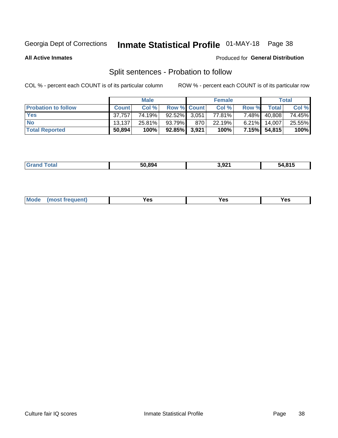# Inmate Statistical Profile 01-MAY-18 Page 38

**All Active Inmates** 

### Produced for General Distribution

# Split sentences - Probation to follow

COL % - percent each COUNT is of its particular column

|                            |              | <b>Male</b> |                    |     | <b>Female</b> |          |              | <b>Total</b> |
|----------------------------|--------------|-------------|--------------------|-----|---------------|----------|--------------|--------------|
| <b>Probation to follow</b> | <b>Count</b> | Col%        | <b>Row % Count</b> |     | Col %         | Row %    | Total        | Col %        |
| <b>Yes</b>                 | 37.757       | 74.19%      | 92.52% 3.051       |     | 77.81%        | $7.48\%$ | 40,808       | 74.45%       |
| <b>No</b>                  | 13.137       | 25.81%      | 93.79%             | 870 | 22.19%        | $6.21\%$ | 14.007       | 25.55%       |
| <b>Total Reported</b>      | 50,894       | 100%        | $92.85\%$ 3,921    |     | 100%          |          | 7.15% 54,815 | 100%         |

| _______ | 50.894 | 3.92 <sup>4</sup><br>--- | <b>A 945</b><br>74 |
|---------|--------|--------------------------|--------------------|
|         |        |                          |                    |

| Vac<br>(most frequent)<br>Yes<br>V ac<br>w |  | Mode |  |  |  |
|--------------------------------------------|--|------|--|--|--|
|--------------------------------------------|--|------|--|--|--|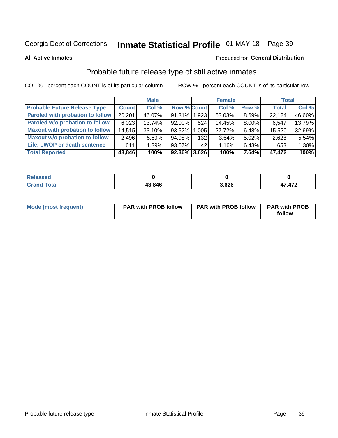# Inmate Statistical Profile 01-MAY-18 Page 39

**All Active Inmates** 

#### Produced for General Distribution

# Probable future release type of still active inmates

COL % - percent each COUNT is of its particular column

|                                         |              | <b>Male</b> |                    |     | <b>Female</b> |       | <b>Total</b> |        |
|-----------------------------------------|--------------|-------------|--------------------|-----|---------------|-------|--------------|--------|
| <b>Probable Future Release Type</b>     | <b>Count</b> | Col %       | <b>Row % Count</b> |     | Col %         | Row % | <b>Total</b> | Col %  |
| <b>Paroled with probation to follow</b> | 20,201       | 46.07%      | 91.31% 1,923       |     | 53.03%        | 8.69% | 22,124       | 46.60% |
| Paroled w/o probation to follow         | 6,023        | 13.74%      | $92.00\%$          | 524 | 14.45%        | 8.00% | 6,547        | 13.79% |
| <b>Maxout with probation to follow</b>  | 14,515       | 33.10%      | 93.52% 1.005       |     | 27.72%        | 6.48% | 15,520       | 32.69% |
| <b>Maxout w/o probation to follow</b>   | 2,496        | 5.69%       | 94.98%             | 132 | 3.64%         | 5.02% | 2,628        | 5.54%  |
| Life, LWOP or death sentence            | 611          | 1.39%       | 93.57%             | 42  | 1.16%         | 6.43% | 653          | 1.38%  |
| <b>Total Reported</b>                   | 43,846       | 100%        | $92.36\%$ 3,626    |     | 100%          | 7.64% | 47,472       | 100%   |

| ased                   |        |       |      |
|------------------------|--------|-------|------|
| $f \wedge f \wedge f'$ | 43,846 | 3,626 | ,472 |

| <b>Mode (most frequent)</b> | <b>PAR with PROB follow</b> | <b>PAR with PROB follow</b> | <b>PAR with PROB</b> |
|-----------------------------|-----------------------------|-----------------------------|----------------------|
|                             |                             |                             | follow               |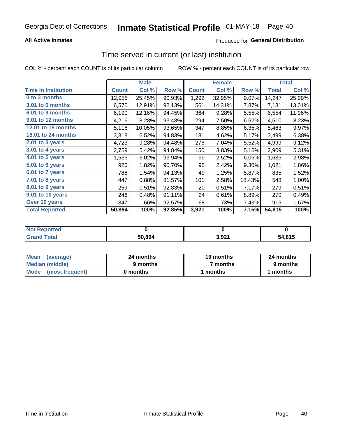### **All Active Inmates**

### **Produced for General Distribution**

### Time served in current (or last) institution

COL % - percent each COUNT is of its particular column

|                            |              | <b>Male</b> |        |              | <b>Female</b> |        |              | <b>Total</b> |
|----------------------------|--------------|-------------|--------|--------------|---------------|--------|--------------|--------------|
| <b>Time In Institution</b> | <b>Count</b> | Col %       | Row %  | <b>Count</b> | Col %         | Row %  | <b>Total</b> | Col %        |
| 0 to 3 months              | 12,955       | 25.45%      | 90.93% | 1,292        | 32.95%        | 9.07%  | 14,247       | 25.99%       |
| 3.01 to 6 months           | 6,570        | 12.91%      | 92.13% | 561          | 14.31%        | 7.87%  | 7,131        | 13.01%       |
| 6.01 to 9 months           | 6,190        | 12.16%      | 94.45% | 364          | 9.28%         | 5.55%  | 6,554        | 11.96%       |
| 9.01 to 12 months          | 4,216        | 8.28%       | 93.48% | 294          | 7.50%         | 6.52%  | 4,510        | 8.23%        |
| 12.01 to 18 months         | 5,116        | 10.05%      | 93.65% | 347          | 8.85%         | 6.35%  | 5,463        | 9.97%        |
| <b>18.01 to 24 months</b>  | 3,318        | 6.52%       | 94.83% | 181          | 4.62%         | 5.17%  | 3,499        | 6.38%        |
| 2.01 to 3 years            | 4,723        | 9.28%       | 94.48% | 276          | 7.04%         | 5.52%  | 4,999        | 9.12%        |
| 3.01 to 4 years            | 2,759        | 5.42%       | 94.84% | 150          | 3.83%         | 5.16%  | 2,909        | 5.31%        |
| $4.01$ to 5 years          | 1,536        | 3.02%       | 93.94% | 99           | 2.52%         | 6.06%  | 1,635        | 2.98%        |
| 5.01 to 6 years            | 926          | 1.82%       | 90.70% | 95           | 2.42%         | 9.30%  | 1,021        | 1.86%        |
| 6.01 to 7 years            | 786          | 1.54%       | 94.13% | 49           | 1.25%         | 5.87%  | 835          | 1.52%        |
| 7.01 to 8 years            | 447          | 0.88%       | 81.57% | 101          | 2.58%         | 18.43% | 548          | 1.00%        |
| $8.01$ to 9 years          | 259          | 0.51%       | 92.83% | 20           | 0.51%         | 7.17%  | 279          | 0.51%        |
| 9.01 to 10 years           | 246          | 0.48%       | 91.11% | 24           | 0.61%         | 8.89%  | 270          | 0.49%        |
| Over 10 years              | 847          | 1.66%       | 92.57% | 68           | 1.73%         | 7.43%  | 915          | 1.67%        |
| <b>Total Reported</b>      | 50,894       | 100%        | 92.85% | 3,921        | 100%          | 7.15%  | 54,815       | 100%         |

| <b>Not R</b><br>Reported |        |    |        |
|--------------------------|--------|----|--------|
| <b>Total</b>             | 50.894 | റാ | 54.815 |

| <b>Mean</b><br>(average) | 24 months | 19 months | 24 months |
|--------------------------|-----------|-----------|-----------|
| Median (middle)          | 9 months  | 7 months  | 9 months  |
| Mode (most frequent)     | 0 months  | months    | 1 months  |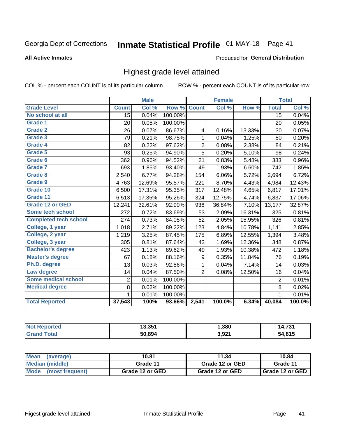# Inmate Statistical Profile 01-MAY-18 Page 41

### **All Active Inmates**

### **Produced for General Distribution**

### Highest grade level attained

COL % - percent each COUNT is of its particular column

|                              |                 | <b>Male</b> |         |                | <b>Female</b> |        |                 | <b>Total</b> |
|------------------------------|-----------------|-------------|---------|----------------|---------------|--------|-----------------|--------------|
| <b>Grade Level</b>           | <b>Count</b>    | Col %       | Row %   | <b>Count</b>   | Col %         | Row %  | <b>Total</b>    | Col %        |
| No school at all             | $\overline{15}$ | 0.04%       | 100.00% |                |               |        | $\overline{15}$ | 0.04%        |
| <b>Grade 1</b>               | 20              | 0.05%       | 100.00% |                |               |        | 20              | 0.05%        |
| <b>Grade 2</b>               | 26              | 0.07%       | 86.67%  | 4              | 0.16%         | 13.33% | 30              | 0.07%        |
| Grade 3                      | 79              | 0.21%       | 98.75%  | $\mathbf{1}$   | 0.04%         | 1.25%  | 80              | 0.20%        |
| <b>Grade 4</b>               | 82              | 0.22%       | 97.62%  | $\overline{2}$ | 0.08%         | 2.38%  | 84              | 0.21%        |
| Grade 5                      | 93              | 0.25%       | 94.90%  | 5              | 0.20%         | 5.10%  | 98              | 0.24%        |
| Grade 6                      | 362             | 0.96%       | 94.52%  | 21             | 0.83%         | 5.48%  | 383             | 0.96%        |
| <b>Grade 7</b>               | 693             | 1.85%       | 93.40%  | 49             | 1.93%         | 6.60%  | 742             | 1.85%        |
| Grade 8                      | 2,540           | 6.77%       | 94.28%  | 154            | 6.06%         | 5.72%  | 2,694           | 6.72%        |
| Grade 9                      | 4,763           | 12.69%      | 95.57%  | 221            | 8.70%         | 4.43%  | 4,984           | 12.43%       |
| Grade 10                     | 6,500           | 17.31%      | 95.35%  | 317            | 12.48%        | 4.65%  | 6,817           | 17.01%       |
| Grade 11                     | 6,513           | 17.35%      | 95.26%  | 324            | 12.75%        | 4.74%  | 6,837           | 17.06%       |
| <b>Grade 12 or GED</b>       | 12,241          | 32.61%      | 92.90%  | 936            | 36.84%        | 7.10%  | 13,177          | 32.87%       |
| <b>Some tech school</b>      | 272             | 0.72%       | 83.69%  | 53             | 2.09%         | 16.31% | 325             | 0.81%        |
| <b>Completed tech school</b> | 274             | 0.73%       | 84.05%  | 52             | 2.05%         | 15.95% | 326             | 0.81%        |
| College, 1 year              | 1,018           | 2.71%       | 89.22%  | 123            | 4.84%         | 10.78% | 1,141           | 2.85%        |
| College, 2 year              | 1,219           | 3.25%       | 87.45%  | 175            | 6.89%         | 12.55% | 1,394           | 3.48%        |
| College, 3 year              | 305             | 0.81%       | 87.64%  | 43             | 1.69%         | 12.36% | 348             | 0.87%        |
| <b>Bachelor's degree</b>     | 423             | 1.13%       | 89.62%  | 49             | 1.93%         | 10.38% | 472             | 1.18%        |
| <b>Master's degree</b>       | 67              | 0.18%       | 88.16%  | 9              | 0.35%         | 11.84% | 76              | 0.19%        |
| Ph.D. degree                 | 13              | 0.03%       | 92.86%  | $\mathbf{1}$   | 0.04%         | 7.14%  | 14              | 0.03%        |
| Law degree                   | 14              | 0.04%       | 87.50%  | $\overline{2}$ | 0.08%         | 12.50% | 16              | 0.04%        |
| <b>Some medical school</b>   | $\overline{2}$  | 0.01%       | 100.00% |                |               |        | $\overline{2}$  | 0.01%        |
| <b>Medical degree</b>        | 8               | 0.02%       | 100.00% |                |               |        | 8               | 0.02%        |
|                              | $\mathbf 1$     | 0.01%       | 100.00% |                |               |        | 1               | 0.01%        |
| <b>Total Reported</b>        | 37,543          | 100%        | 93.66%  | 2,541          | 100.0%        | 6.34%  | 40,084          | 100.0%       |

| 19 9 E 1<br>1 J.JJ | 1,380          | $\mathbf{z}$ |
|--------------------|----------------|--------------|
| 50.894             | 2.021<br>J,JL. | 04E          |

| Mean<br>(average)    | 10.81           | 11.34           | 10.84           |
|----------------------|-----------------|-----------------|-----------------|
| Median (middle)      | Grade 11        | Grade 12 or GED | Grade 11        |
| Mode (most frequent) | Grade 12 or GED | Grade 12 or GED | Grade 12 or GED |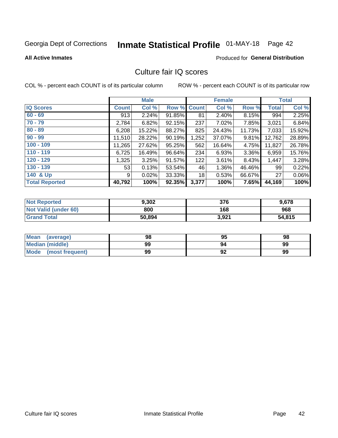# Inmate Statistical Profile 01-MAY-18 Page 42

### **All Active Inmates**

### **Produced for General Distribution**

## Culture fair IQ scores

COL % - percent each COUNT is of its particular column

|                       |              | <b>Male</b> |        |              | <b>Female</b> |          |              | <b>Total</b> |
|-----------------------|--------------|-------------|--------|--------------|---------------|----------|--------------|--------------|
| <b>IQ Scores</b>      | <b>Count</b> | Col %       | Row %  | <b>Count</b> | Col %         | Row %    | <b>Total</b> | Col %        |
| $60 - 69$             | 913          | 2.24%       | 91.85% | 81           | 2.40%         | 8.15%    | 994          | 2.25%        |
| $70 - 79$             | 2,784        | 6.82%       | 92.15% | 237          | 7.02%         | 7.85%    | 3,021        | 6.84%        |
| $80 - 89$             | 6,208        | 15.22%      | 88.27% | 825          | 24.43%        | 11.73%   | 7,033        | 15.92%       |
| $90 - 99$             | 11,510       | 28.22%      | 90.19% | 1,252        | 37.07%        | $9.81\%$ | 12,762       | 28.89%       |
| $100 - 109$           | 11,265       | 27.62%      | 95.25% | 562          | 16.64%        | 4.75%    | 11,827       | 26.78%       |
| $110 - 119$           | 6,725        | 16.49%      | 96.64% | 234          | 6.93%         | $3.36\%$ | 6,959        | 15.76%       |
| $120 - 129$           | 1,325        | 3.25%       | 91.57% | 122          | 3.61%         | 8.43%    | 1,447        | 3.28%        |
| $130 - 139$           | 53           | 0.13%       | 53.54% | 46           | 1.36%         | 46.46%   | 99           | 0.22%        |
| 140 & Up              | 9            | 0.02%       | 33.33% | 18           | 0.53%         | 66.67%   | 27           | $0.06\%$     |
| <b>Total Reported</b> | 40,792       | 100%        | 92.35% | 3,377        | 100%          | 7.65%    | 44,169       | 100%         |

| <b>Not Reported</b>         | 9,302  | 376   | 9,678  |
|-----------------------------|--------|-------|--------|
| <b>Not Valid (under 60)</b> | 800    | 168   | 968    |
| <b>Grand Total</b>          | 50,894 | 3,921 | 54,815 |

| Mean<br>(average)       | 98 | 95 | 98 |
|-------------------------|----|----|----|
| Median (middle)         | 99 | 94 | 99 |
| Mode<br>(most frequent) | 99 | 92 | 99 |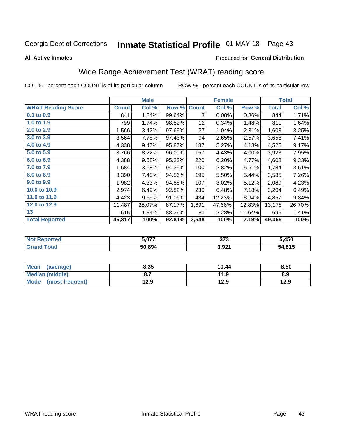# Inmate Statistical Profile 01-MAY-18 Page 43

### **All Active Inmates**

### Produced for General Distribution

## Wide Range Achievement Test (WRAT) reading score

COL % - percent each COUNT is of its particular column

|                           |              | <b>Male</b> |        |              | <b>Female</b> |        |              | <b>Total</b> |
|---------------------------|--------------|-------------|--------|--------------|---------------|--------|--------------|--------------|
| <b>WRAT Reading Score</b> | <b>Count</b> | Col %       | Row %  | <b>Count</b> | Col %         | Row %  | <b>Total</b> | Col %        |
| 0.1 to 0.9                | 841          | 1.84%       | 99.64% | 3            | 0.08%         | 0.36%  | 844          | 1.71%        |
| 1.0 to 1.9                | 799          | 1.74%       | 98.52% | 12           | 0.34%         | 1.48%  | 811          | 1.64%        |
| 2.0 to 2.9                | 1,566        | 3.42%       | 97.69% | 37           | 1.04%         | 2.31%  | 1,603        | 3.25%        |
| 3.0 to 3.9                | 3,564        | 7.78%       | 97.43% | 94           | 2.65%         | 2.57%  | 3,658        | 7.41%        |
| 4.0 to 4.9                | 4,338        | 9.47%       | 95.87% | 187          | 5.27%         | 4.13%  | 4,525        | 9.17%        |
| 5.0 to 5.9                | 3,766        | 8.22%       | 96.00% | 157          | 4.43%         | 4.00%  | 3,923        | 7.95%        |
| 6.0 to 6.9                | 4,388        | 9.58%       | 95.23% | 220          | 6.20%         | 4.77%  | 4,608        | 9.33%        |
| 7.0 to 7.9                | 1,684        | 3.68%       | 94.39% | 100          | 2.82%         | 5.61%  | 1,784        | 3.61%        |
| 8.0 to 8.9                | 3,390        | 7.40%       | 94.56% | 195          | 5.50%         | 5.44%  | 3,585        | 7.26%        |
| 9.0 to 9.9                | 1,982        | 4.33%       | 94.88% | 107          | 3.02%         | 5.12%  | 2,089        | 4.23%        |
| 10.0 to 10.9              | 2,974        | 6.49%       | 92.82% | 230          | 6.48%         | 7.18%  | 3,204        | 6.49%        |
| 11.0 to 11.9              | 4,423        | 9.65%       | 91.06% | 434          | 12.23%        | 8.94%  | 4,857        | 9.84%        |
| 12.0 to 12.9              | 11,487       | 25.07%      | 87.17% | 1,691        | 47.66%        | 12.83% | 13,178       | 26.70%       |
| 13                        | 615          | 1.34%       | 88.36% | 81           | 2.28%         | 11.64% | 696          | 1.41%        |
| <b>Total Reported</b>     | 45,817       | 100%        | 92.81% | 3,548        | 100%          | 7.19%  | 49,365       | 100%         |

| rtea<br>NO | 077,ز  | クフク<br>ა ია | 5,450  |
|------------|--------|-------------|--------|
| $\sim$     | 50.894 | 3,921       | 54,815 |

| <b>Mean</b><br>(average) | 8.35 | 10.44 | 8.50 |
|--------------------------|------|-------|------|
| Median (middle)          |      | 11.9  | 8.9  |
| Mode<br>(most frequent)  | 12.9 | 12.9  | 12.9 |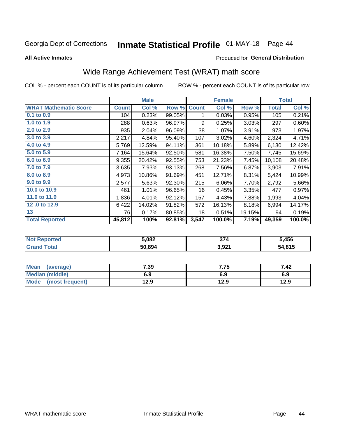# Inmate Statistical Profile 01-MAY-18 Page 44

**All Active Inmates** 

### **Produced for General Distribution**

## Wide Range Achievement Test (WRAT) math score

COL % - percent each COUNT is of its particular column

|                              |              | <b>Male</b> |        |              | <b>Female</b> |        |              | <b>Total</b> |
|------------------------------|--------------|-------------|--------|--------------|---------------|--------|--------------|--------------|
| <b>WRAT Mathematic Score</b> | <b>Count</b> | Col %       | Row %  | <b>Count</b> | Col %         | Row %  | <b>Total</b> | Col %        |
| 0.1 to 0.9                   | 104          | 0.23%       | 99.05% | 1            | 0.03%         | 0.95%  | 105          | 0.21%        |
| 1.0 to 1.9                   | 288          | 0.63%       | 96.97% | 9            | 0.25%         | 3.03%  | 297          | 0.60%        |
| 2.0 to 2.9                   | 935          | 2.04%       | 96.09% | 38           | 1.07%         | 3.91%  | 973          | 1.97%        |
| 3.0 to 3.9                   | 2,217        | 4.84%       | 95.40% | 107          | 3.02%         | 4.60%  | 2,324        | 4.71%        |
| 4.0 to 4.9                   | 5,769        | 12.59%      | 94.11% | 361          | 10.18%        | 5.89%  | 6,130        | 12.42%       |
| 5.0 to 5.9                   | 7,164        | 15.64%      | 92.50% | 581          | 16.38%        | 7.50%  | 7,745        | 15.69%       |
| 6.0 to 6.9                   | 9,355        | 20.42%      | 92.55% | 753          | 21.23%        | 7.45%  | 10,108       | 20.48%       |
| 7.0 to 7.9                   | 3,635        | 7.93%       | 93.13% | 268          | 7.56%         | 6.87%  | 3,903        | 7.91%        |
| 8.0 to 8.9                   | 4,973        | 10.86%      | 91.69% | 451          | 12.71%        | 8.31%  | 5,424        | 10.99%       |
| 9.0 to 9.9                   | 2,577        | 5.63%       | 92.30% | 215          | 6.06%         | 7.70%  | 2,792        | 5.66%        |
| 10.0 to 10.9                 | 461          | 1.01%       | 96.65% | 16           | 0.45%         | 3.35%  | 477          | 0.97%        |
| 11.0 to 11.9                 | 1,836        | 4.01%       | 92.12% | 157          | 4.43%         | 7.88%  | 1,993        | 4.04%        |
| 12.0 to 12.9                 | 6,422        | 14.02%      | 91.82% | 572          | 16.13%        | 8.18%  | 6,994        | 14.17%       |
| 13                           | 76           | 0.17%       | 80.85% | 18           | 0.51%         | 19.15% | 94           | 0.19%        |
| <b>Total Reported</b>        | 45,812       | 100%        | 92.81% | 3,547        | 100.0%        | 7.19%  | 49,359       | 100.0%       |

| <b>Not Reported</b> | 5,082  | 27.<br>1′ ن | 5,456  |
|---------------------|--------|-------------|--------|
| Total<br>' Grand    | 50,894 | 3,921       | 54,815 |

| <b>Mean</b><br>(average) | 7.39 | 7.75 | 7.42 |
|--------------------------|------|------|------|
| Median (middle)          | 6.9  | 6.9  | 6.9  |
| Mode<br>(most frequent)  | 12.9 | 12.9 | 12.9 |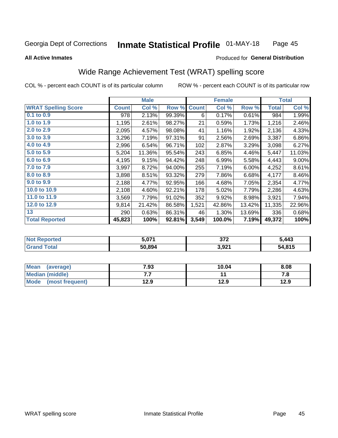#### **Inmate Statistical Profile 01-MAY-18** Page 45

### **All Active Inmates**

### Produced for General Distribution

## Wide Range Achievement Test (WRAT) spelling score

COL % - percent each COUNT is of its particular column

|                            |              | <b>Male</b> |        |              | <b>Female</b> |        |              | <b>Total</b> |
|----------------------------|--------------|-------------|--------|--------------|---------------|--------|--------------|--------------|
| <b>WRAT Spelling Score</b> | <b>Count</b> | Col %       | Row %  | <b>Count</b> | Col %         | Row %  | <b>Total</b> | Col %        |
| $0.1$ to $0.9$             | 978          | 2.13%       | 99.39% | 6            | 0.17%         | 0.61%  | 984          | 1.99%        |
| 1.0 to 1.9                 | 1,195        | 2.61%       | 98.27% | 21           | 0.59%         | 1.73%  | 1,216        | 2.46%        |
| 2.0 to 2.9                 | 2,095        | 4.57%       | 98.08% | 41           | 1.16%         | 1.92%  | 2,136        | 4.33%        |
| 3.0 to 3.9                 | 3,296        | 7.19%       | 97.31% | 91           | 2.56%         | 2.69%  | 3,387        | 6.86%        |
| 4.0 to 4.9                 | 2,996        | 6.54%       | 96.71% | 102          | 2.87%         | 3.29%  | 3,098        | 6.27%        |
| 5.0 to 5.9                 | 5,204        | 11.36%      | 95.54% | 243          | 6.85%         | 4.46%  | 5,447        | 11.03%       |
| 6.0 to 6.9                 | 4,195        | 9.15%       | 94.42% | 248          | 6.99%         | 5.58%  | 4,443        | 9.00%        |
| 7.0 to 7.9                 | 3,997        | 8.72%       | 94.00% | 255          | 7.19%         | 6.00%  | 4,252        | 8.61%        |
| 8.0 to 8.9                 | 3,898        | 8.51%       | 93.32% | 279          | 7.86%         | 6.68%  | 4,177        | 8.46%        |
| 9.0 to 9.9                 | 2,188        | 4.77%       | 92.95% | 166          | 4.68%         | 7.05%  | 2,354        | 4.77%        |
| 10.0 to 10.9               | 2,108        | 4.60%       | 92.21% | 178          | 5.02%         | 7.79%  | 2,286        | 4.63%        |
| 11.0 to 11.9               | 3,569        | 7.79%       | 91.02% | 352          | 9.92%         | 8.98%  | 3,921        | 7.94%        |
| 12.0 to 12.9               | 9,814        | 21.42%      | 86.58% | 1,521        | 42.86%        | 13.42% | 11,335       | 22.96%       |
| 13                         | 290          | 0.63%       | 86.31% | 46           | 1.30%         | 13.69% | 336          | 0.68%        |
| <b>Total Reported</b>      | 45,823       | 100%        | 92.81% | 3,549        | 100.0%        | 7.19%  | 49,372       | 100%         |

| <b>Not Reported</b>    | 5.071  | 272<br>- JI 4 | 5,443  |
|------------------------|--------|---------------|--------|
| <b>Total</b><br>'Grand | 50,894 | 3,921         | 54,815 |

| <b>Mean</b><br>(average) | 7.93 | 10.04 | 8.08 |
|--------------------------|------|-------|------|
| Median (middle)          | . .  |       | 7. I |
| Mode<br>(most frequent)  | 12.9 | 12.9  | 12.9 |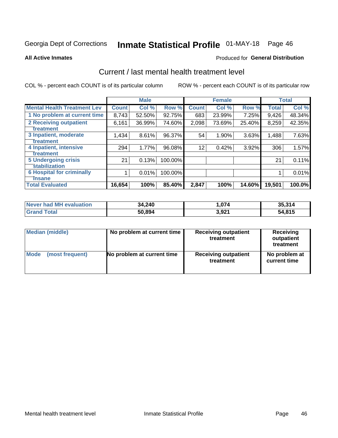# Inmate Statistical Profile 01-MAY-18 Page 46

#### **All Active Inmates**

### **Produced for General Distribution**

## Current / last mental health treatment level

COL % - percent each COUNT is of its particular column

|                                    |                    | <b>Male</b> |         |              | <b>Female</b> |        |              | <b>Total</b> |
|------------------------------------|--------------------|-------------|---------|--------------|---------------|--------|--------------|--------------|
| <b>Mental Health Treatment Lev</b> | Count <sup>1</sup> | Col %       | Row %   | <b>Count</b> | Col %         | Row %  | <b>Total</b> | Col %        |
| 1 No problem at current time       | 8,743              | 52.50%      | 92.75%  | 683          | 23.99%        | 7.25%  | 9,426        | 48.34%       |
| 2 Receiving outpatient             | 6,161              | 36.99%      | 74.60%  | 2,098        | 73.69%        | 25.40% | 8,259        | 42.35%       |
| <b>Treatment</b>                   |                    |             |         |              |               |        |              |              |
| 3 Inpatient, moderate              | 1,434              | 8.61%       | 96.37%  | 54           | 1.90%         | 3.63%  | 1,488        | 7.63%        |
| Treatment                          |                    |             |         |              |               |        |              |              |
| 4 Inpatient, intensive             | 294                | 1.77%       | 96.08%  | 12           | 0.42%         | 3.92%  | 306          | 1.57%        |
| <b>Treatment</b>                   |                    |             |         |              |               |        |              |              |
| <b>5 Undergoing crisis</b>         | 21                 | 0.13%       | 100.00% |              |               |        | 21           | 0.11%        |
| <b>stabilization</b>               |                    |             |         |              |               |        |              |              |
| <b>6 Hospital for criminally</b>   |                    | 0.01%       | 100.00% |              |               |        |              | 0.01%        |
| <b>Tinsane</b>                     |                    |             |         |              |               |        |              |              |
| <b>Total Evaluated</b>             | 16,654             | 100%        | 85.40%  | 2,847        | 100%          | 14.60% | 19,501       | 100.0%       |

| Never had MH evaluation | 34,240 | .074  | 35,314 |
|-------------------------|--------|-------|--------|
| <b>Grand Total</b>      | 50,894 | 3,921 | 54,815 |

| Median (middle) | No problem at current time | <b>Receiving outpatient</b><br>treatment | <b>Receiving</b><br>outpatient<br>treatment |
|-----------------|----------------------------|------------------------------------------|---------------------------------------------|
| <b>Mode</b>     | No problem at current time | <b>Receiving outpatient</b>              | No problem at                               |
| (most frequent) |                            | treatment                                | current time                                |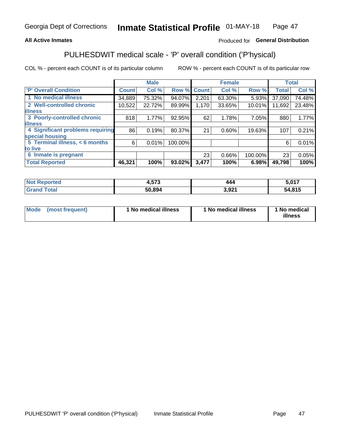### **All Active Inmates**

### Produced for General Distribution

## PULHESDWIT medical scale - 'P' overall condition ('P'hysical)

COL % - percent each COUNT is of its particular column

|                                  |              | <b>Male</b> |         |              | <b>Female</b> |         |              | <b>Total</b> |
|----------------------------------|--------------|-------------|---------|--------------|---------------|---------|--------------|--------------|
| <b>P' Overall Condition</b>      | <b>Count</b> | Col %       | Row %   | <b>Count</b> | Col %         | Row %   | <b>Total</b> | Col %        |
| 1 No medical illness             | 34,889       | 75.32%      | 94.07%  | 2,201        | 63.30%        | 5.93%   | 37,090       | 74.48%       |
| 2 Well-controlled chronic        | 10,522       | 22.72%      | 89.99%  | 1,170        | 33.65%        | 10.01%  | 11,692       | 23.48%       |
| <b>lilness</b>                   |              |             |         |              |               |         |              |              |
| 3 Poorly-controlled chronic      | 818          | 1.77%       | 92.95%  | 62           | 1.78%         | 7.05%   | 880          | 1.77%        |
| <b>illness</b>                   |              |             |         |              |               |         |              |              |
| 4 Significant problems requiring | 86           | 0.19%       | 80.37%  | 21           | 0.60%         | 19.63%  | 107          | 0.21%        |
| special housing                  |              |             |         |              |               |         |              |              |
| 5 Terminal illness, < 6 months   | 6            | 0.01%       | 100.00% |              |               |         | 6            | 0.01%        |
| to live                          |              |             |         |              |               |         |              |              |
| 6 Inmate is pregnant             |              |             |         | 23           | 0.66%         | 100.00% | 23           | 0.05%        |
| <b>Total Reported</b>            | 46,321       | 100%        | 93.02%  | 3,477        | 100%          | 6.98%   | 49,798       | 100%         |

| тео | <b>F70</b> | 144       | 1ת ד<br>U I 1 |
|-----|------------|-----------|---------------|
|     | EA 00.     | ດາ4<br>__ | 54,815        |

| Mode | (most frequent) | 1 No medical illness | 1 No medical illness | 1 No medical<br>illness |
|------|-----------------|----------------------|----------------------|-------------------------|
|------|-----------------|----------------------|----------------------|-------------------------|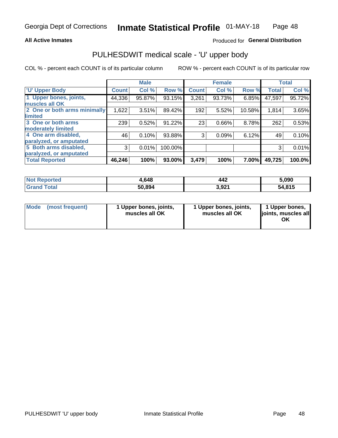### **All Active Inmates**

### Produced for General Distribution

## PULHESDWIT medical scale - 'U' upper body

COL % - percent each COUNT is of its particular column

|                              |              | <b>Male</b> |         |              | <b>Female</b> |        |              | <b>Total</b> |
|------------------------------|--------------|-------------|---------|--------------|---------------|--------|--------------|--------------|
| <b>U' Upper Body</b>         | <b>Count</b> | Col %       | Row %   | <b>Count</b> | Col %         | Row %  | <b>Total</b> | Col %        |
| 1 Upper bones, joints,       | 44,336       | 95.87%      | 93.15%  | 3,261        | 93.73%        | 6.85%  | 47,597       | 95.72%       |
| muscles all OK               |              |             |         |              |               |        |              |              |
| 2 One or both arms minimally | 1,622        | 3.51%       | 89.42%  | 192          | 5.52%         | 10.58% | 1,814        | 3.65%        |
| limited                      |              |             |         |              |               |        |              |              |
| 3 One or both arms           | 239          | 0.52%       | 91.22%  | 23           | 0.66%         | 8.78%  | 262          | 0.53%        |
| <b>moderately limited</b>    |              |             |         |              |               |        |              |              |
| 4 One arm disabled,          | 46           | 0.10%       | 93.88%  | 3            | 0.09%         | 6.12%  | 49           | 0.10%        |
| paralyzed, or amputated      |              |             |         |              |               |        |              |              |
| 5 Both arms disabled,        | 3            | 0.01%       | 100.00% |              |               |        | 3            | 0.01%        |
| paralyzed, or amputated      |              |             |         |              |               |        |              |              |
| <b>Total Reported</b>        | 46,246       | 100%        | 93.00%  | 3,479        | 100%          | 7.00%  | 49,725       | 100.0%       |

| <b>Not Reported</b> | 1,648  | 442   | 5,090  |
|---------------------|--------|-------|--------|
| <b>Grand Total</b>  | 50,894 | 3,921 | 54,815 |

|  | Mode (most frequent) | 1 Upper bones, joints,<br>muscles all OK | 1 Upper bones, joints,<br>muscles all OK | 1 Upper bones,<br>ljoints, muscles all<br>ΟK |
|--|----------------------|------------------------------------------|------------------------------------------|----------------------------------------------|
|--|----------------------|------------------------------------------|------------------------------------------|----------------------------------------------|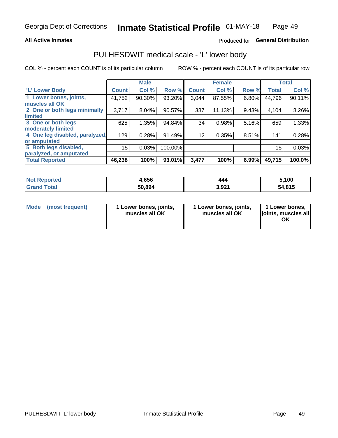### **All Active Inmates**

### Produced for General Distribution

## PULHESDWIT medical scale - 'L' lower body

COL % - percent each COUNT is of its particular column

|                                |              | <b>Male</b> |         |              | <b>Female</b> |       |              | <b>Total</b> |
|--------------------------------|--------------|-------------|---------|--------------|---------------|-------|--------------|--------------|
| 'L' Lower Body                 | <b>Count</b> | Col %       | Row %   | <b>Count</b> | Col %         | Row % | <b>Total</b> | Col %        |
| 1 Lower bones, joints,         | 41,752       | 90.30%      | 93.20%  | 3,044        | 87.55%        | 6.80% | 44,796       | 90.11%       |
| muscles all OK                 |              |             |         |              |               |       |              |              |
| 2 One or both legs minimally   | 3,717        | 8.04%       | 90.57%  | 387          | 11.13%        | 9.43% | 4,104        | 8.26%        |
| limited                        |              |             |         |              |               |       |              |              |
| 3 One or both legs             | 625          | 1.35%       | 94.84%  | 34           | 0.98%         | 5.16% | 659          | 1.33%        |
| moderately limited             |              |             |         |              |               |       |              |              |
| 4 One leg disabled, paralyzed, | 129          | 0.28%       | 91.49%  | 12           | 0.35%         | 8.51% | 141          | 0.28%        |
| or amputated                   |              |             |         |              |               |       |              |              |
| 5 Both legs disabled,          | 15           | 0.03%       | 100.00% |              |               |       | 15           | 0.03%        |
| paralyzed, or amputated        |              |             |         |              |               |       |              |              |
| <b>Total Reported</b>          | 46,238       | 100%        | 93.01%  | 3,477        | 100%          | 6.99% | 49,715       | 100.0%       |

| <b>Not Reported</b> | 1,656  | 444   | 5,100  |
|---------------------|--------|-------|--------|
| <b>Grand Total</b>  | 50,894 | 3,921 | 54,815 |

| Mode | (most frequent) | 1 Lower bones, joints,<br>muscles all OK | I Lower bones, joints,<br>muscles all OK | 1 Lower bones,<br>joints, muscles all<br>ΟK |
|------|-----------------|------------------------------------------|------------------------------------------|---------------------------------------------|
|------|-----------------|------------------------------------------|------------------------------------------|---------------------------------------------|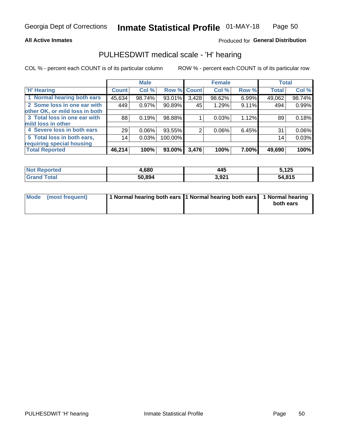### **All Active Inmates**

### Produced for General Distribution

### PULHESDWIT medical scale - 'H' hearing

COL % - percent each COUNT is of its particular column

|                                |              | <b>Male</b> |             |       | <b>Female</b> |          | <b>Total</b> |        |
|--------------------------------|--------------|-------------|-------------|-------|---------------|----------|--------------|--------|
| <b>'H' Hearing</b>             | <b>Count</b> | Col %       | Row % Count |       | Col %         | Row %    | <b>Total</b> | Col %  |
| 1 Normal hearing both ears     | 45,634       | 98.74%      | 93.01%      | 3,428 | 98.62%        | 6.99%    | 49,062       | 98.74% |
| 2 Some loss in one ear with    | 449          | 0.97%       | 90.89%      | 45    | 1.29%         | 9.11%    | 494          | 0.99%  |
| other OK, or mild loss in both |              |             |             |       |               |          |              |        |
| 3 Total loss in one ear with   | 88           | 0.19%       | 98.88%      |       | 0.03%         | 1.12%    | 89           | 0.18%  |
| mild loss in other             |              |             |             |       |               |          |              |        |
| 4 Severe loss in both ears     | 29           | 0.06%       | 93.55%      | 2     | 0.06%         | 6.45%    | 31           | 0.06%  |
| 5 Total loss in both ears,     | 14           | 0.03%       | 100.00%     |       |               |          | 14           | 0.03%  |
| requiring special housing      |              |             |             |       |               |          |              |        |
| <b>Total Reported</b>          | 46,214       | 100%        | 93.00%      | 3,476 | 100%          | $7.00\%$ | 49,690       | 100%   |

| <b>Not Reno</b><br><b>roorted</b> | ,680   | . .<br>445 | 5,125  |
|-----------------------------------|--------|------------|--------|
| Total                             | 50,894 | 3,921      | 54,815 |

| Mode (most frequent) | 1 Normal hearing both ears 1 Normal hearing both ears 1 Normal hearing | both ears |
|----------------------|------------------------------------------------------------------------|-----------|
|                      |                                                                        |           |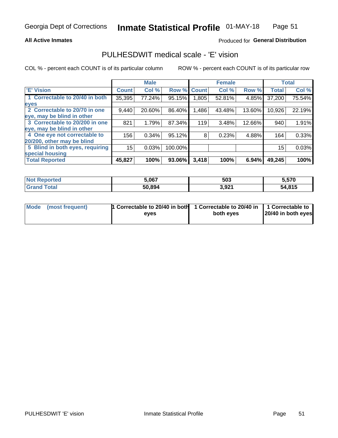### **All Active Inmates**

### Produced for General Distribution

### PULHESDWIT medical scale - 'E' vision

COL % - percent each COUNT is of its particular column

|                                 |              | <b>Male</b> |         |              | <b>Female</b> |        |              | <b>Total</b> |
|---------------------------------|--------------|-------------|---------|--------------|---------------|--------|--------------|--------------|
| <b>E' Vision</b>                | <b>Count</b> | Col %       | Row %   | <b>Count</b> | Col %         | Row %  | <b>Total</b> | Col %        |
| 1 Correctable to 20/40 in both  | 35,395       | 77.24%      | 95.15%  | ا 805.       | 52.81%        | 4.85%  | 37,200       | 75.54%       |
| eyes                            |              |             |         |              |               |        |              |              |
| 2 Correctable to 20/70 in one   | 9,440        | 20.60%      | 86.40%  | 1,486        | 43.48%        | 13.60% | 10,926       | 22.19%       |
| eye, may be blind in other      |              |             |         |              |               |        |              |              |
| 3 Correctable to 20/200 in one  | 821          | 1.79%       | 87.34%  | 119          | 3.48%         | 12.66% | 940          | 1.91%        |
| eye, may be blind in other      |              |             |         |              |               |        |              |              |
| 4 One eye not correctable to    | 156          | 0.34%       | 95.12%  | 8            | 0.23%         | 4.88%  | 164          | 0.33%        |
| 20/200, other may be blind      |              |             |         |              |               |        |              |              |
| 5 Blind in both eyes, requiring | 15           | 0.03%       | 100.00% |              |               |        | 15           | 0.03%        |
| special housing                 |              |             |         |              |               |        |              |              |
| <b>Total Reported</b>           | 45,827       | 100%        | 93.06%  | 3,418        | 100%          | 6.94%  | 49,245       | 100%         |

| <b>Not Reported</b> | 5,067  | 503   | 5,570  |
|---------------------|--------|-------|--------|
| <b>Grand Total</b>  | 50,894 | 3,921 | 54,815 |

| Mode (most frequent) | 1 Correctable to 20/40 in both<br>eves | 1 Correctable to 20/40 in   1 Correctable to  <br>both eves | 20/40 in both eyes |  |
|----------------------|----------------------------------------|-------------------------------------------------------------|--------------------|--|
|                      |                                        |                                                             |                    |  |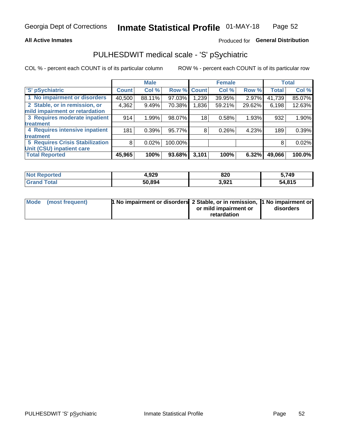### **All Active Inmates**

### Produced for General Distribution

## PULHESDWIT medical scale - 'S' pSychiatric

COL % - percent each COUNT is of its particular column

|                                        |              | <b>Male</b> |         |              | <b>Female</b> |        |              | <b>Total</b> |
|----------------------------------------|--------------|-------------|---------|--------------|---------------|--------|--------------|--------------|
| 'S' pSychiatric                        | <b>Count</b> | Col %       | Row %   | <b>Count</b> | Col %         | Row %  | <b>Total</b> | Col %        |
| 1 No impairment or disorders           | 40,500       | 88.11%      | 97.03%  | 1,239        | 39.95%        | 2.97%  | 41,739       | 85.07%       |
| 2 Stable, or in remission, or          | 4,362        | 9.49%       | 70.38%  | 1,836        | 59.21%        | 29.62% | 6,198        | 12.63%       |
| mild impairment or retardation         |              |             |         |              |               |        |              |              |
| 3 Requires moderate inpatient          | 914          | 1.99%       | 98.07%  | 18           | 0.58%         | 1.93%  | 932          | 1.90%        |
| treatment                              |              |             |         |              |               |        |              |              |
| 4 Requires intensive inpatient         | 181          | 0.39%       | 95.77%  | 8            | 0.26%         | 4.23%  | 189          | 0.39%        |
| treatment                              |              |             |         |              |               |        |              |              |
| <b>5 Requires Crisis Stabilization</b> | 8            | 0.02%       | 100.00% |              |               |        | 8            | 0.02%        |
| Unit (CSU) inpatient care              |              |             |         |              |               |        |              |              |
| <b>Total Reported</b>                  | 45,965       | 100%        | 93.68%  | 3,101        | 100%          | 6.32%  | 49,066       | 100.0%       |

| <b>Not Reported</b>     | 4,929  | 820   | 5,749  |
|-------------------------|--------|-------|--------|
| <b>Total</b><br>' Grand | 50,894 | 3,921 | 54,815 |

| Mode (most frequent) | <b>1 No impairment or disorders 2 Stable, or in remission, 1 No impairment or</b> |                       |           |
|----------------------|-----------------------------------------------------------------------------------|-----------------------|-----------|
|                      |                                                                                   | or mild impairment or | disorders |
|                      |                                                                                   | retardation           |           |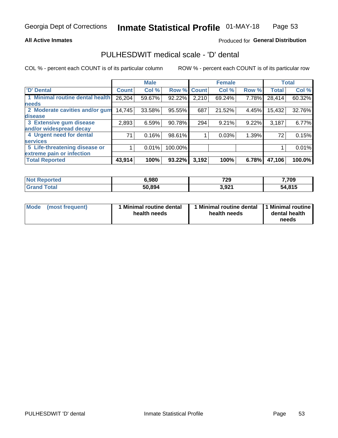### **All Active Inmates**

### Produced for General Distribution

### PULHESDWIT medical scale - 'D' dental

COL % - percent each COUNT is of its particular column

|                                 |              | <b>Male</b> |         |              | <b>Female</b> |       |              | <b>Total</b> |
|---------------------------------|--------------|-------------|---------|--------------|---------------|-------|--------------|--------------|
| <b>D'</b> Dental                | <b>Count</b> | Col %       | Row %   | <b>Count</b> | Col %         | Row % | <b>Total</b> | Col %        |
| 1 Minimal routine dental health | 26,204       | 59.67%      | 92.22%  | 2,210        | 69.24%        | 7.78% | 28,414       | 60.32%       |
| <b>needs</b>                    |              |             |         |              |               |       |              |              |
| 2 Moderate cavities and/or gum  | 14,745       | 33.58%      | 95.55%  | 687          | 21.52%        | 4.45% | 15,432       | 32.76%       |
| disease                         |              |             |         |              |               |       |              |              |
| 3 Extensive gum disease         | 2,893        | 6.59%       | 90.78%  | 294          | 9.21%         | 9.22% | 3,187        | 6.77%        |
| and/or widespread decay         |              |             |         |              |               |       |              |              |
| 4 Urgent need for dental        | 71           | 0.16%       | 98.61%  |              | 0.03%         | 1.39% | 72           | 0.15%        |
| <b>services</b>                 |              |             |         |              |               |       |              |              |
| 5 Life-threatening disease or   |              | 0.01%       | 100.00% |              |               |       |              | 0.01%        |
| extreme pain or infection       |              |             |         |              |               |       |              |              |
| <b>Total Reported</b>           | 43,914       | 100%        | 93.22%  | 3,192        | 100%          | 6.78% | 47,106       | 100.0%       |

| <b>Not Reported</b>          | 6,980  | 729   | 7,709  |
|------------------------------|--------|-------|--------|
| <b>Total</b><br><b>Grand</b> | 50,894 | 3,921 | 54,815 |

| 1 Minimal routine dental<br>Mode<br>(most frequent)<br>health needs | 1 Minimal routine dental 1 Minimal routine<br>health needs | dental health<br>needs |
|---------------------------------------------------------------------|------------------------------------------------------------|------------------------|
|---------------------------------------------------------------------|------------------------------------------------------------|------------------------|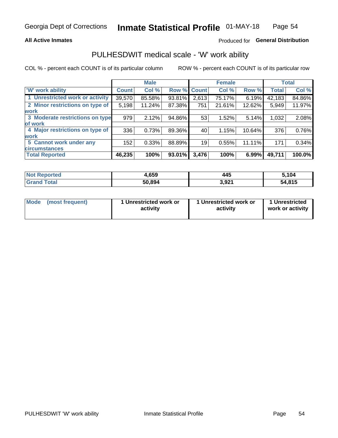### **All Active Inmates**

### Produced for General Distribution

## PULHESDWIT medical scale - 'W' work ability

COL % - percent each COUNT is of its particular column

|                                 |              | <b>Male</b> |             |       | <b>Female</b> |        |              | <b>Total</b> |
|---------------------------------|--------------|-------------|-------------|-------|---------------|--------|--------------|--------------|
| 'W' work ability                | <b>Count</b> | Col %       | Row % Count |       | Col %         | Row %  | <b>Total</b> | Col %        |
| 1 Unrestricted work or activity | 39,570       | 85.58%      | 93.81%      | 2,613 | 75.17%        | 6.19%  | 42,183       | 84.86%       |
| 2 Minor restrictions on type of | 5,198        | 11.24%      | 87.38%      | 751   | 21.61%        | 12.62% | 5,949        | 11.97%       |
| <b>work</b>                     |              |             |             |       |               |        |              |              |
| 3 Moderate restrictions on type | 979          | 2.12%       | 94.86%      | 53    | 1.52%         | 5.14%  | 1,032        | 2.08%        |
| lof work                        |              |             |             |       |               |        |              |              |
| 4 Major restrictions on type of | 336          | 0.73%       | 89.36%      | 40    | 1.15%         | 10.64% | 376          | 0.76%        |
| <b>work</b>                     |              |             |             |       |               |        |              |              |
| 5 Cannot work under any         | 152          | 0.33%       | 88.89%      | 19    | 0.55%         | 11.11% | 171          | 0.34%        |
| <b>circumstances</b>            |              |             |             |       |               |        |              |              |
| <b>Total Reported</b>           | 46,235       | 100%        | 93.01%      | 3,476 | 100%          | 6.99%  | 49,711       | 100.0%       |

| <b>Not Reported</b>     | 4,659  | 445   | 5,104  |
|-------------------------|--------|-------|--------|
| <b>Total</b><br>' Grand | 50,894 | 3,921 | 54,815 |

| Mode            | 1 Unrestricted work or | 1 Unrestricted work or | 1 Unrestricted   |
|-----------------|------------------------|------------------------|------------------|
| (most frequent) | activity               | activity               | work or activity |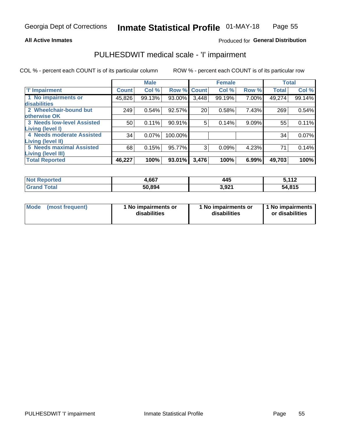### **All Active Inmates**

### Produced for General Distribution

## PULHESDWIT medical scale - 'I' impairment

COL % - percent each COUNT is of its particular column

|                                   |              | <b>Male</b> |             |       | <b>Female</b> |       |              | <b>Total</b> |
|-----------------------------------|--------------|-------------|-------------|-------|---------------|-------|--------------|--------------|
| <b>T' Impairment</b>              | <b>Count</b> | Col %       | Row % Count |       | Col %         | Row % | <b>Total</b> | Col %        |
| 1 No impairments or               | 45,826       | 99.13%      | 93.00%      | 3,448 | 99.19%        | 7.00% | 49,274       | 99.14%       |
| disabilities                      |              |             |             |       |               |       |              |              |
| 2 Wheelchair-bound but            | 249          | 0.54%       | 92.57%      | 20    | 0.58%         | 7.43% | 269          | 0.54%        |
| otherwise OK                      |              |             |             |       |               |       |              |              |
| <b>3 Needs low-level Assisted</b> | 50           | 0.11%       | 90.91%      | 5     | 0.14%         | 9.09% | 55           | 0.11%        |
| Living (level I)                  |              |             |             |       |               |       |              |              |
| 4 Needs moderate Assisted         | 34           | 0.07%       | 100.00%     |       |               |       | 34           | 0.07%        |
| Living (level II)                 |              |             |             |       |               |       |              |              |
| <b>5 Needs maximal Assisted</b>   | 68           | 0.15%       | 95.77%      | 3     | 0.09%         | 4.23% | 71           | 0.14%        |
| Living (level III)                |              |             |             |       |               |       |              |              |
| <b>Total Reported</b>             | 46,227       | 100%        | 93.01%      | 3,476 | 100%          | 6.99% | 49,703       | 100%         |

| Not F<br>Reported            | .,667  | 445   | E 449<br>JIIL |
|------------------------------|--------|-------|---------------|
| <b>Total</b><br><b>Grand</b> | 50,894 | 3,921 | 54,815        |

| Mode | (most frequent) | 1 No impairments or<br>disabilities | 1 No impairments or<br>disabilities | 1 No impairments<br>or disabilities |
|------|-----------------|-------------------------------------|-------------------------------------|-------------------------------------|
|------|-----------------|-------------------------------------|-------------------------------------|-------------------------------------|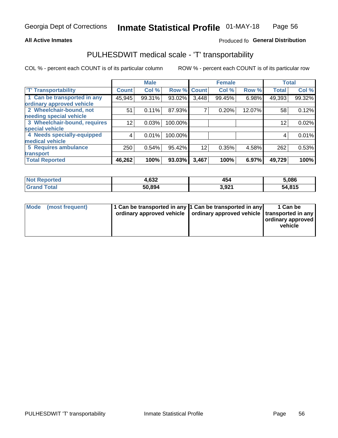### **All Active Inmates**

### Produced fo General Distribution

## PULHESDWIT medical scale - 'T' transportability

COL % - percent each COUNT is of its particular column

|                              |              | <b>Male</b> |         |              | <b>Female</b> |        |              | <b>Total</b> |
|------------------------------|--------------|-------------|---------|--------------|---------------|--------|--------------|--------------|
| <b>T' Transportability</b>   | <b>Count</b> | Col %       | Row %   | <b>Count</b> | Col %         | Row %  | <b>Total</b> | Col %        |
| 1 Can be transported in any  | 45,945       | 99.31%      | 93.02%  | 3,448        | 99.45%        | 6.98%  | 49,393       | 99.32%       |
| ordinary approved vehicle    |              |             |         |              |               |        |              |              |
| 2 Wheelchair-bound, not      | 51           | 0.11%       | 87.93%  | 7            | 0.20%         | 12.07% | 58           | 0.12%        |
| needing special vehicle      |              |             |         |              |               |        |              |              |
| 3 Wheelchair-bound, requires | 12           | 0.03%       | 100.00% |              |               |        | 12           | 0.02%        |
| special vehicle              |              |             |         |              |               |        |              |              |
| 4 Needs specially-equipped   | 4            | 0.01%       | 100.00% |              |               |        | 4            | 0.01%        |
| medical vehicle              |              |             |         |              |               |        |              |              |
| <b>5 Requires ambulance</b>  | 250          | 0.54%       | 95.42%  | 12           | 0.35%         | 4.58%  | 262          | 0.53%        |
| transport                    |              |             |         |              |               |        |              |              |
| <b>Total Reported</b>        | 46,262       | 100%        | 93.03%  | 3,467        | 100%          | 6.97%  | 49,729       | 100%         |

| <b>Not</b><br>Reported | 1,632  | 454   | 5,086  |
|------------------------|--------|-------|--------|
| Total                  | 50,894 | 3,921 | 54,815 |

|  | Mode (most frequent) | 1 Can be transported in any 1 Can be transported in any<br>ordinary approved vehicle   ordinary approved vehicle   transported in any |  | 1 Can be<br>  ordinary approved  <br>vehicle |
|--|----------------------|---------------------------------------------------------------------------------------------------------------------------------------|--|----------------------------------------------|
|--|----------------------|---------------------------------------------------------------------------------------------------------------------------------------|--|----------------------------------------------|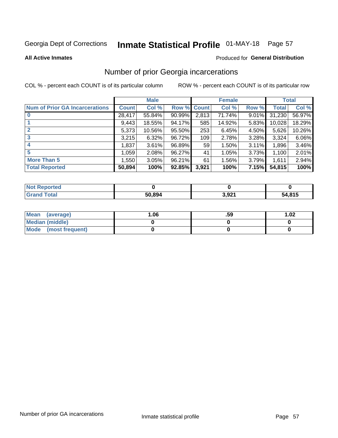# Inmate Statistical Profile 01-MAY-18 Page 57

### **All Active Inmates**

### Produced for General Distribution

### Number of prior Georgia incarcerations

COL % - percent each COUNT is of its particular column

|                                       |              | <b>Male</b> |             |                 | <b>Female</b> |       |        | <b>Total</b> |
|---------------------------------------|--------------|-------------|-------------|-----------------|---------------|-------|--------|--------------|
| <b>Num of Prior GA Incarcerations</b> | <b>Count</b> | Col %       | Row % Count |                 | Col %         | Row % | Total  | Col %        |
| $\bf{0}$                              | 28,417       | 55.84%      | 90.99%      | 2,813           | 71.74%        | 9.01% | 31,230 | 56.97%       |
|                                       | 9,443        | 18.55%      | 94.17%      | 585             | 14.92%        | 5.83% | 10,028 | 18.29%       |
| $\mathbf{2}$                          | 5,373        | 10.56%      | 95.50%      | 253             | 6.45%         | 4.50% | 5,626  | 10.26%       |
| 3                                     | 3,215        | 6.32%       | 96.72%      | 109             | 2.78%         | 3.28% | 3,324  | 6.06%        |
| $\boldsymbol{4}$                      | 1,837        | 3.61%       | 96.89%      | 59 <sub>1</sub> | 1.50%         | 3.11% | 1,896  | 3.46%        |
| 5                                     | 1,059        | 2.08%       | 96.27%      | 41              | 1.05%         | 3.73% | 1,100  | 2.01%        |
| <b>More Than 5</b>                    | 1.550        | 3.05%       | 96.21%      | 61              | 1.56%         | 3.79% | 1,611  | 2.94%        |
| <b>Total Reported</b>                 | 50,894       | 100%        | 92.85%      | 3,921           | 100%          | 7.15% | 54,815 | 100%         |

| enorted<br>NO1   |        |       |                               |
|------------------|--------|-------|-------------------------------|
| <b>ota</b><br>Gr | 50,894 | 3,921 | <b>A 045</b><br>51<br>טוט, די |

| Mean (average)       | 1.06 | .59 | 1.02 |
|----------------------|------|-----|------|
| Median (middle)      |      |     |      |
| Mode (most frequent) |      |     |      |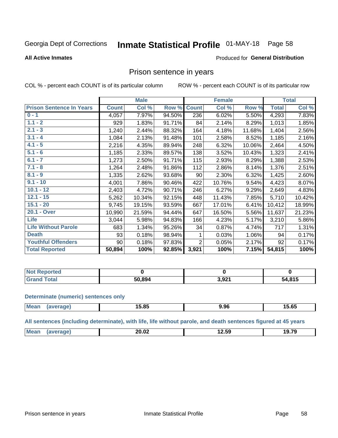#### **Inmate Statistical Profile 01-MAY-18** Page 58

### **All Active Inmates**

### Produced for General Distribution

### Prison sentence in years

COL % - percent each COUNT is of its particular column

ROW % - percent each COUNT is of its particular row

|                                 |              | <b>Male</b> |        |                | <b>Female</b> |        |              | <b>Total</b> |
|---------------------------------|--------------|-------------|--------|----------------|---------------|--------|--------------|--------------|
| <b>Prison Sentence In Years</b> | <b>Count</b> | Col %       | Row %  | <b>Count</b>   | Col %         | Row %  | <b>Total</b> | Col %        |
| $0 - 1$                         | 4,057        | 7.97%       | 94.50% | 236            | 6.02%         | 5.50%  | 4,293        | 7.83%        |
| $1.1 - 2$                       | 929          | 1.83%       | 91.71% | 84             | 2.14%         | 8.29%  | 1,013        | 1.85%        |
| $2.1 - 3$                       | 1,240        | 2.44%       | 88.32% | 164            | 4.18%         | 11.68% | 1,404        | 2.56%        |
| $3.1 - 4$                       | 1,084        | 2.13%       | 91.48% | 101            | 2.58%         | 8.52%  | 1,185        | 2.16%        |
| $4.1 - 5$                       | 2,216        | 4.35%       | 89.94% | 248            | 6.32%         | 10.06% | 2,464        | 4.50%        |
| $5.1 - 6$                       | 1,185        | 2.33%       | 89.57% | 138            | 3.52%         | 10.43% | 1,323        | 2.41%        |
| $6.1 - 7$                       | 1,273        | 2.50%       | 91.71% | 115            | 2.93%         | 8.29%  | 1,388        | 2.53%        |
| $7.1 - 8$                       | 1,264        | 2.48%       | 91.86% | 112            | 2.86%         | 8.14%  | 1,376        | 2.51%        |
| $8.1 - 9$                       | 1,335        | 2.62%       | 93.68% | 90             | 2.30%         | 6.32%  | 1,425        | 2.60%        |
| $9.1 - 10$                      | 4,001        | 7.86%       | 90.46% | 422            | 10.76%        | 9.54%  | 4,423        | 8.07%        |
| $10.1 - 12$                     | 2,403        | 4.72%       | 90.71% | 246            | 6.27%         | 9.29%  | 2,649        | 4.83%        |
| $12.1 - 15$                     | 5,262        | 10.34%      | 92.15% | 448            | 11.43%        | 7.85%  | 5,710        | 10.42%       |
| $15.1 - 20$                     | 9,745        | 19.15%      | 93.59% | 667            | 17.01%        | 6.41%  | 10,412       | 18.99%       |
| 20.1 - Over                     | 10,990       | 21.59%      | 94.44% | 647            | 16.50%        | 5.56%  | 11,637       | 21.23%       |
| Life                            | 3,044        | 5.98%       | 94.83% | 166            | 4.23%         | 5.17%  | 3,210        | 5.86%        |
| <b>Life Without Parole</b>      | 683          | 1.34%       | 95.26% | 34             | 0.87%         | 4.74%  | 717          | 1.31%        |
| <b>Death</b>                    | 93           | 0.18%       | 98.94% |                | 0.03%         | 1.06%  | 94           | 0.17%        |
| <b>Youthful Offenders</b>       | 90           | 0.18%       | 97.83% | $\overline{2}$ | 0.05%         | 2.17%  | 92           | 0.17%        |
| <b>Total Reported</b>           | 50,894       | 100%        | 92.85% | 3,921          | 100%          | 7.15%  | 54,815       | 100%         |

| <b>Not Reported</b> |              |       |        |
|---------------------|--------------|-------|--------|
| Total               | 0.894<br>וור | း ရ၇1 | 54,815 |

### **Determinate (numeric) sentences only**

| <b>Mean</b> | 15.85 | 9.96 | $F \wedge F$<br>⊺ວ.໐ປ |
|-------------|-------|------|-----------------------|
|             |       |      |                       |

All sentences (including determinate), with life, life without parole, and death sentences figured at 45 years

| <b>Mea</b><br>.<br>10.70<br>nn nn<br>20.UZ<br>$\sim$<br>.<br>___<br>____<br>____ |
|----------------------------------------------------------------------------------|
|----------------------------------------------------------------------------------|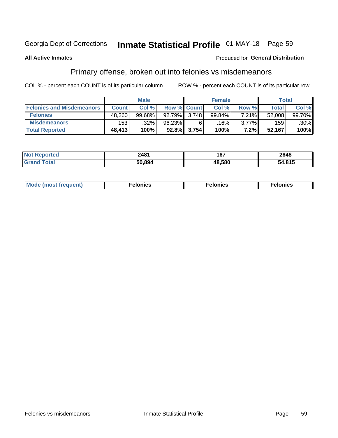## Inmate Statistical Profile 01-MAY-18 Page 59

### **All Active Inmates**

### Produced for General Distribution

## Primary offense, broken out into felonies vs misdemeanors

COL % - percent each COUNT is of its particular column

|                                  |              | <b>Male</b> |              |                    | <b>Female</b> |          | Total  |         |
|----------------------------------|--------------|-------------|--------------|--------------------|---------------|----------|--------|---------|
| <b>Felonies and Misdemeanors</b> | <b>Count</b> | Col%        |              | <b>Row % Count</b> | Col%          | Row %    | Total, | Col %   |
| <b>Felonies</b>                  | 48,260       | $99.68\%$   | 92.79% 3.748 |                    | 99.84%        | 7.21%    | 52,008 | 99.70%  |
| <b>Misdemeanors</b>              | 153          | .32%        | 96.23%       |                    | 16%           | $3.77\%$ | 159    | $.30\%$ |
| <b>Total Reported</b>            | 48,413       | 100%        |              | 92.8% 3,754        | 100%          | 7.2%     | 52,167 | 100%    |

| <b>Not</b><br>rted | 2481   | 167    | 2648          |
|--------------------|--------|--------|---------------|
| Grar<br>ota.       | 50.894 | 48.580 | .04F<br>,,,,, |

| Mo | ____ | 11 C.S<br>. | onies<br>. |
|----|------|-------------|------------|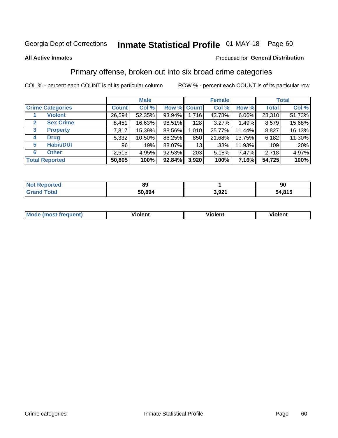## Inmate Statistical Profile 01-MAY-18 Page 60

### **All Active Inmates**

### **Produced for General Distribution**

### Primary offense, broken out into six broad crime categories

COL % - percent each COUNT is of its particular column

|                                 |              | <b>Male</b> |        |             | <b>Female</b> |          |              | <b>Total</b> |
|---------------------------------|--------------|-------------|--------|-------------|---------------|----------|--------------|--------------|
| <b>Crime Categories</b>         | <b>Count</b> | Col %       |        | Row % Count | Col %         | Row %    | <b>Total</b> | Col %        |
| <b>Violent</b>                  | 26,594       | 52.35%      | 93.94% | 1,716       | 43.78%        | $6.06\%$ | 28,310       | 51.73%       |
| <b>Sex Crime</b><br>2           | 8,451        | 16.63%      | 98.51% | 128         | 3.27%         | 1.49%    | 8,579        | 15.68%       |
| $\mathbf{3}$<br><b>Property</b> | 7,817        | 15.39%      | 88.56% | 1,010       | 25.77%        | 11.44%   | 8,827        | 16.13%       |
| <b>Drug</b><br>4                | 5,332        | 10.50%      | 86.25% | 850         | 21.68%        | 13.75%   | 6,182        | 11.30%       |
| <b>Habit/DUI</b><br>5           | 96           | .19%        | 88.07% | 13          | .33%          | 11.93%   | 109          | .20%         |
| <b>Other</b><br>6               | 2,515        | 4.95%       | 92.53% | 203         | 5.18%         | 7.47%    | 2,718        | 4.97%        |
| <b>Total Reported</b>           | 50,805       | 100%        | 92.84% | 3,920       | 100%          | 7.16%    | 54,725       | 100%         |

| rtea<br>NO | 89     |              | 90     |
|------------|--------|--------------|--------|
| Ento.      | 50.894 | രാ∙<br>J.JZ. | 54,815 |

| <b>Mode (most frequent)</b> | .<br>ïolent | 'iolent | ---<br>Violent |
|-----------------------------|-------------|---------|----------------|
|                             |             |         |                |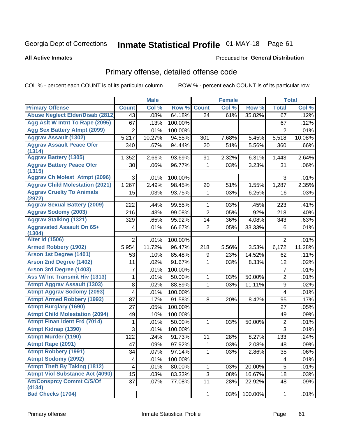# Inmate Statistical Profile 01-MAY-18 Page 61

#### **All Active Inmates**

### Produced for General Distribution

## Primary offense, detailed offense code

COL % - percent each COUNT is of its particular column

| Col %<br><b>Count</b><br>Col %<br>Row %<br>Col %<br><b>Count</b><br>Row %<br><b>Total</b><br><b>Abuse Neglect Elder/Disab (2812)</b><br>64.18%<br>35.82%<br>43<br>.08%<br>24<br>.61%<br>.12%<br>67<br>Agg Aslt W Intnt To Rape (2095)<br>67<br>100.00%<br>.13%<br>67<br>.12%<br><b>Agg Sex Battery Atmpt (2099)</b><br>$\overline{2}$<br>.01%<br>.01%<br>100.00%<br>$\overline{2}$<br><b>Aggrav Assault (1302)</b><br>5,217<br>10.27%<br>94.55%<br>7.68%<br>5,518<br>10.08%<br>301<br>5.45%<br><b>Aggrav Assault Peace Ofcr</b><br>.51%<br>5.56%<br>.67%<br>94.44%<br>20<br>.66%<br>340<br>360<br>(1314)<br><b>Aggrav Battery (1305)</b><br>2.64%<br>1,352<br>2.66%<br>93.69%<br>91<br>2.32%<br>6.31%<br>1,443<br><b>Aggrav Battery Peace Ofcr</b><br>3.23%<br>30<br>.06%<br>96.77%<br>1<br>.03%<br>31<br>.06%<br>(1315)<br><b>Aggrav Ch Molest Atmpt (2096)</b><br>3<br>100.00%<br>3<br>.01%<br>.01%<br><b>Aggrav Child Molestation (2021)</b><br>1,267<br>2.49%<br>98.45%<br>20<br>.51%<br>1,287<br>2.35%<br>1.55%<br><b>Aggrav Cruelty To Animals</b><br>93.75%<br>.03%<br>15<br>6.25%<br>.03%<br>.03%<br>1<br>16<br>(2972)<br><b>Aggrav Sexual Battery (2009)</b><br>222<br>99.55%<br>223<br>.41%<br>.44%<br>1<br>.03%<br>.45%<br><b>Aggrav Sodomy (2003)</b><br>$\overline{2}$<br>216<br>99.08%<br>.05%<br>.92%<br>218<br>.40%<br>.43%<br><b>Aggrav Stalking (1321)</b><br>95.92%<br>329<br>.65%<br>14<br>.36%<br>4.08%<br>343<br>.63%<br><b>Aggravated Assault On 65+</b><br>.01%<br>66.67%<br>$\overline{2}$<br>.05%<br>33.33%<br>.01%<br>4<br>6<br>(1304)<br><b>Alter Id (1506)</b><br>$\overline{2}$<br>100.00%<br>$\overline{2}$<br>.01%<br>.01%<br><b>Armed Robbery (1902)</b><br>11.72%<br>96.47%<br>218<br>5.56%<br>3.53%<br>6,172<br>11.28%<br>5,954<br><b>Arson 1st Degree (1401)</b><br>85.48%<br>.23%<br>14.52%<br>53<br>.10%<br>9<br>62<br>.11%<br><b>Arson 2nd Degree (1402)</b><br>11<br>91.67%<br>.02%<br>1<br>.03%<br>8.33%<br>12<br>.02%<br><b>Arson 3rd Degree (1403)</b><br>7<br>100.00%<br>$\overline{7}$<br>.01%<br>.01%<br>Ass W/ Int Transmit Hiv (1313)<br>$\mathbf{1}$<br>.01%<br>50.00%<br>.03%<br>50.00%<br>$\overline{c}$<br>.01%<br>1<br><b>Atmpt Aggrav Assault (1303)</b><br>8<br>.02%<br>88.89%<br>1<br>11.11%<br>$\boldsymbol{9}$<br>.03%<br>.02%<br><b>Atmpt Aggrav Sodomy (2093)</b><br>4<br>100.00%<br>4<br>.01%<br>.01%<br><b>Atmpt Armed Robbery (1992)</b><br>87<br>91.58%<br>.17%<br>8<br>.20%<br>8.42%<br>95<br>.17%<br><b>Atmpt Burglary (1690)</b><br>27<br>.05%<br>100.00%<br>27<br>.05%<br><b>Atmpt Child Molestation (2094)</b><br>100.00%<br>49<br>.10%<br>49<br>.09%<br><b>Atmpt Finan Ident Frd (7014)</b><br>50.00%<br>$\overline{c}$<br>.01%<br>1<br>.01%<br>1<br>.03%<br>50.00%<br><b>Atmpt Kidnap (1390)</b><br>$\overline{3}$<br>3<br>.01%<br>100.00%<br>.01%<br><b>Atmpt Murder (1190)</b><br>122<br>.24%<br>91.73%<br>11<br>.28%<br>8.27%<br>133<br>.24%<br>Atmpt Rape (2091)<br>$\overline{47}$<br>.09%<br>97.92%<br>.03%<br>2.08%<br>48<br>.09%<br>$\mathbf 1$<br><b>Atmpt Robbery (1991)</b><br>34<br>35<br>.07%<br>97.14%<br>1<br>.03%<br>2.86%<br>.06%<br><b>Atmpt Sodomy (2092)</b><br>.01%<br>100.00%<br>.01%<br>4<br>$\overline{\mathbf{4}}$<br><b>Atmpt Theft By Taking (1812)</b><br>5<br>$\overline{\mathbf{4}}$<br>.01%<br>80.00%<br>.01%<br>1<br>.03%<br>20.00%<br><b>Atmpt Viol Substance Act (4090)</b><br>$\overline{3}$<br>15<br>83.33%<br>16.67%<br>18<br>.03%<br>.08%<br>.03%<br><b>Att/Consprcy Commt C/S/Of</b><br>37<br>77.08%<br>11<br>.07%<br>.28%<br>22.92%<br>.09%<br>48<br>(4134) |                          | <b>Male</b> |              | <b>Female</b> |         |              | <b>Total</b> |
|----------------------------------------------------------------------------------------------------------------------------------------------------------------------------------------------------------------------------------------------------------------------------------------------------------------------------------------------------------------------------------------------------------------------------------------------------------------------------------------------------------------------------------------------------------------------------------------------------------------------------------------------------------------------------------------------------------------------------------------------------------------------------------------------------------------------------------------------------------------------------------------------------------------------------------------------------------------------------------------------------------------------------------------------------------------------------------------------------------------------------------------------------------------------------------------------------------------------------------------------------------------------------------------------------------------------------------------------------------------------------------------------------------------------------------------------------------------------------------------------------------------------------------------------------------------------------------------------------------------------------------------------------------------------------------------------------------------------------------------------------------------------------------------------------------------------------------------------------------------------------------------------------------------------------------------------------------------------------------------------------------------------------------------------------------------------------------------------------------------------------------------------------------------------------------------------------------------------------------------------------------------------------------------------------------------------------------------------------------------------------------------------------------------------------------------------------------------------------------------------------------------------------------------------------------------------------------------------------------------------------------------------------------------------------------------------------------------------------------------------------------------------------------------------------------------------------------------------------------------------------------------------------------------------------------------------------------------------------------------------------------------------------------------------------------------------------------------------------------------------------------------------------------------------------------------------------------------------------------------------------------------------------------------------------------------------------------------------------------------------------------------------------------------------------------------------------------------------------------------------------------------------------------------------------------------------------|--------------------------|-------------|--------------|---------------|---------|--------------|--------------|
|                                                                                                                                                                                                                                                                                                                                                                                                                                                                                                                                                                                                                                                                                                                                                                                                                                                                                                                                                                                                                                                                                                                                                                                                                                                                                                                                                                                                                                                                                                                                                                                                                                                                                                                                                                                                                                                                                                                                                                                                                                                                                                                                                                                                                                                                                                                                                                                                                                                                                                                                                                                                                                                                                                                                                                                                                                                                                                                                                                                                                                                                                                                                                                                                                                                                                                                                                                                                                                                                                                                                                                            | <b>Primary Offense</b>   |             |              |               |         |              |              |
|                                                                                                                                                                                                                                                                                                                                                                                                                                                                                                                                                                                                                                                                                                                                                                                                                                                                                                                                                                                                                                                                                                                                                                                                                                                                                                                                                                                                                                                                                                                                                                                                                                                                                                                                                                                                                                                                                                                                                                                                                                                                                                                                                                                                                                                                                                                                                                                                                                                                                                                                                                                                                                                                                                                                                                                                                                                                                                                                                                                                                                                                                                                                                                                                                                                                                                                                                                                                                                                                                                                                                                            |                          |             |              |               |         |              |              |
|                                                                                                                                                                                                                                                                                                                                                                                                                                                                                                                                                                                                                                                                                                                                                                                                                                                                                                                                                                                                                                                                                                                                                                                                                                                                                                                                                                                                                                                                                                                                                                                                                                                                                                                                                                                                                                                                                                                                                                                                                                                                                                                                                                                                                                                                                                                                                                                                                                                                                                                                                                                                                                                                                                                                                                                                                                                                                                                                                                                                                                                                                                                                                                                                                                                                                                                                                                                                                                                                                                                                                                            |                          |             |              |               |         |              |              |
|                                                                                                                                                                                                                                                                                                                                                                                                                                                                                                                                                                                                                                                                                                                                                                                                                                                                                                                                                                                                                                                                                                                                                                                                                                                                                                                                                                                                                                                                                                                                                                                                                                                                                                                                                                                                                                                                                                                                                                                                                                                                                                                                                                                                                                                                                                                                                                                                                                                                                                                                                                                                                                                                                                                                                                                                                                                                                                                                                                                                                                                                                                                                                                                                                                                                                                                                                                                                                                                                                                                                                                            |                          |             |              |               |         |              |              |
|                                                                                                                                                                                                                                                                                                                                                                                                                                                                                                                                                                                                                                                                                                                                                                                                                                                                                                                                                                                                                                                                                                                                                                                                                                                                                                                                                                                                                                                                                                                                                                                                                                                                                                                                                                                                                                                                                                                                                                                                                                                                                                                                                                                                                                                                                                                                                                                                                                                                                                                                                                                                                                                                                                                                                                                                                                                                                                                                                                                                                                                                                                                                                                                                                                                                                                                                                                                                                                                                                                                                                                            |                          |             |              |               |         |              |              |
|                                                                                                                                                                                                                                                                                                                                                                                                                                                                                                                                                                                                                                                                                                                                                                                                                                                                                                                                                                                                                                                                                                                                                                                                                                                                                                                                                                                                                                                                                                                                                                                                                                                                                                                                                                                                                                                                                                                                                                                                                                                                                                                                                                                                                                                                                                                                                                                                                                                                                                                                                                                                                                                                                                                                                                                                                                                                                                                                                                                                                                                                                                                                                                                                                                                                                                                                                                                                                                                                                                                                                                            |                          |             |              |               |         |              |              |
|                                                                                                                                                                                                                                                                                                                                                                                                                                                                                                                                                                                                                                                                                                                                                                                                                                                                                                                                                                                                                                                                                                                                                                                                                                                                                                                                                                                                                                                                                                                                                                                                                                                                                                                                                                                                                                                                                                                                                                                                                                                                                                                                                                                                                                                                                                                                                                                                                                                                                                                                                                                                                                                                                                                                                                                                                                                                                                                                                                                                                                                                                                                                                                                                                                                                                                                                                                                                                                                                                                                                                                            |                          |             |              |               |         |              |              |
|                                                                                                                                                                                                                                                                                                                                                                                                                                                                                                                                                                                                                                                                                                                                                                                                                                                                                                                                                                                                                                                                                                                                                                                                                                                                                                                                                                                                                                                                                                                                                                                                                                                                                                                                                                                                                                                                                                                                                                                                                                                                                                                                                                                                                                                                                                                                                                                                                                                                                                                                                                                                                                                                                                                                                                                                                                                                                                                                                                                                                                                                                                                                                                                                                                                                                                                                                                                                                                                                                                                                                                            |                          |             |              |               |         |              |              |
|                                                                                                                                                                                                                                                                                                                                                                                                                                                                                                                                                                                                                                                                                                                                                                                                                                                                                                                                                                                                                                                                                                                                                                                                                                                                                                                                                                                                                                                                                                                                                                                                                                                                                                                                                                                                                                                                                                                                                                                                                                                                                                                                                                                                                                                                                                                                                                                                                                                                                                                                                                                                                                                                                                                                                                                                                                                                                                                                                                                                                                                                                                                                                                                                                                                                                                                                                                                                                                                                                                                                                                            |                          |             |              |               |         |              |              |
|                                                                                                                                                                                                                                                                                                                                                                                                                                                                                                                                                                                                                                                                                                                                                                                                                                                                                                                                                                                                                                                                                                                                                                                                                                                                                                                                                                                                                                                                                                                                                                                                                                                                                                                                                                                                                                                                                                                                                                                                                                                                                                                                                                                                                                                                                                                                                                                                                                                                                                                                                                                                                                                                                                                                                                                                                                                                                                                                                                                                                                                                                                                                                                                                                                                                                                                                                                                                                                                                                                                                                                            |                          |             |              |               |         |              |              |
|                                                                                                                                                                                                                                                                                                                                                                                                                                                                                                                                                                                                                                                                                                                                                                                                                                                                                                                                                                                                                                                                                                                                                                                                                                                                                                                                                                                                                                                                                                                                                                                                                                                                                                                                                                                                                                                                                                                                                                                                                                                                                                                                                                                                                                                                                                                                                                                                                                                                                                                                                                                                                                                                                                                                                                                                                                                                                                                                                                                                                                                                                                                                                                                                                                                                                                                                                                                                                                                                                                                                                                            |                          |             |              |               |         |              |              |
|                                                                                                                                                                                                                                                                                                                                                                                                                                                                                                                                                                                                                                                                                                                                                                                                                                                                                                                                                                                                                                                                                                                                                                                                                                                                                                                                                                                                                                                                                                                                                                                                                                                                                                                                                                                                                                                                                                                                                                                                                                                                                                                                                                                                                                                                                                                                                                                                                                                                                                                                                                                                                                                                                                                                                                                                                                                                                                                                                                                                                                                                                                                                                                                                                                                                                                                                                                                                                                                                                                                                                                            |                          |             |              |               |         |              |              |
|                                                                                                                                                                                                                                                                                                                                                                                                                                                                                                                                                                                                                                                                                                                                                                                                                                                                                                                                                                                                                                                                                                                                                                                                                                                                                                                                                                                                                                                                                                                                                                                                                                                                                                                                                                                                                                                                                                                                                                                                                                                                                                                                                                                                                                                                                                                                                                                                                                                                                                                                                                                                                                                                                                                                                                                                                                                                                                                                                                                                                                                                                                                                                                                                                                                                                                                                                                                                                                                                                                                                                                            |                          |             |              |               |         |              |              |
|                                                                                                                                                                                                                                                                                                                                                                                                                                                                                                                                                                                                                                                                                                                                                                                                                                                                                                                                                                                                                                                                                                                                                                                                                                                                                                                                                                                                                                                                                                                                                                                                                                                                                                                                                                                                                                                                                                                                                                                                                                                                                                                                                                                                                                                                                                                                                                                                                                                                                                                                                                                                                                                                                                                                                                                                                                                                                                                                                                                                                                                                                                                                                                                                                                                                                                                                                                                                                                                                                                                                                                            |                          |             |              |               |         |              |              |
|                                                                                                                                                                                                                                                                                                                                                                                                                                                                                                                                                                                                                                                                                                                                                                                                                                                                                                                                                                                                                                                                                                                                                                                                                                                                                                                                                                                                                                                                                                                                                                                                                                                                                                                                                                                                                                                                                                                                                                                                                                                                                                                                                                                                                                                                                                                                                                                                                                                                                                                                                                                                                                                                                                                                                                                                                                                                                                                                                                                                                                                                                                                                                                                                                                                                                                                                                                                                                                                                                                                                                                            |                          |             |              |               |         |              |              |
|                                                                                                                                                                                                                                                                                                                                                                                                                                                                                                                                                                                                                                                                                                                                                                                                                                                                                                                                                                                                                                                                                                                                                                                                                                                                                                                                                                                                                                                                                                                                                                                                                                                                                                                                                                                                                                                                                                                                                                                                                                                                                                                                                                                                                                                                                                                                                                                                                                                                                                                                                                                                                                                                                                                                                                                                                                                                                                                                                                                                                                                                                                                                                                                                                                                                                                                                                                                                                                                                                                                                                                            |                          |             |              |               |         |              |              |
|                                                                                                                                                                                                                                                                                                                                                                                                                                                                                                                                                                                                                                                                                                                                                                                                                                                                                                                                                                                                                                                                                                                                                                                                                                                                                                                                                                                                                                                                                                                                                                                                                                                                                                                                                                                                                                                                                                                                                                                                                                                                                                                                                                                                                                                                                                                                                                                                                                                                                                                                                                                                                                                                                                                                                                                                                                                                                                                                                                                                                                                                                                                                                                                                                                                                                                                                                                                                                                                                                                                                                                            |                          |             |              |               |         |              |              |
|                                                                                                                                                                                                                                                                                                                                                                                                                                                                                                                                                                                                                                                                                                                                                                                                                                                                                                                                                                                                                                                                                                                                                                                                                                                                                                                                                                                                                                                                                                                                                                                                                                                                                                                                                                                                                                                                                                                                                                                                                                                                                                                                                                                                                                                                                                                                                                                                                                                                                                                                                                                                                                                                                                                                                                                                                                                                                                                                                                                                                                                                                                                                                                                                                                                                                                                                                                                                                                                                                                                                                                            |                          |             |              |               |         |              |              |
|                                                                                                                                                                                                                                                                                                                                                                                                                                                                                                                                                                                                                                                                                                                                                                                                                                                                                                                                                                                                                                                                                                                                                                                                                                                                                                                                                                                                                                                                                                                                                                                                                                                                                                                                                                                                                                                                                                                                                                                                                                                                                                                                                                                                                                                                                                                                                                                                                                                                                                                                                                                                                                                                                                                                                                                                                                                                                                                                                                                                                                                                                                                                                                                                                                                                                                                                                                                                                                                                                                                                                                            |                          |             |              |               |         |              |              |
|                                                                                                                                                                                                                                                                                                                                                                                                                                                                                                                                                                                                                                                                                                                                                                                                                                                                                                                                                                                                                                                                                                                                                                                                                                                                                                                                                                                                                                                                                                                                                                                                                                                                                                                                                                                                                                                                                                                                                                                                                                                                                                                                                                                                                                                                                                                                                                                                                                                                                                                                                                                                                                                                                                                                                                                                                                                                                                                                                                                                                                                                                                                                                                                                                                                                                                                                                                                                                                                                                                                                                                            |                          |             |              |               |         |              |              |
|                                                                                                                                                                                                                                                                                                                                                                                                                                                                                                                                                                                                                                                                                                                                                                                                                                                                                                                                                                                                                                                                                                                                                                                                                                                                                                                                                                                                                                                                                                                                                                                                                                                                                                                                                                                                                                                                                                                                                                                                                                                                                                                                                                                                                                                                                                                                                                                                                                                                                                                                                                                                                                                                                                                                                                                                                                                                                                                                                                                                                                                                                                                                                                                                                                                                                                                                                                                                                                                                                                                                                                            |                          |             |              |               |         |              |              |
|                                                                                                                                                                                                                                                                                                                                                                                                                                                                                                                                                                                                                                                                                                                                                                                                                                                                                                                                                                                                                                                                                                                                                                                                                                                                                                                                                                                                                                                                                                                                                                                                                                                                                                                                                                                                                                                                                                                                                                                                                                                                                                                                                                                                                                                                                                                                                                                                                                                                                                                                                                                                                                                                                                                                                                                                                                                                                                                                                                                                                                                                                                                                                                                                                                                                                                                                                                                                                                                                                                                                                                            |                          |             |              |               |         |              |              |
|                                                                                                                                                                                                                                                                                                                                                                                                                                                                                                                                                                                                                                                                                                                                                                                                                                                                                                                                                                                                                                                                                                                                                                                                                                                                                                                                                                                                                                                                                                                                                                                                                                                                                                                                                                                                                                                                                                                                                                                                                                                                                                                                                                                                                                                                                                                                                                                                                                                                                                                                                                                                                                                                                                                                                                                                                                                                                                                                                                                                                                                                                                                                                                                                                                                                                                                                                                                                                                                                                                                                                                            |                          |             |              |               |         |              |              |
|                                                                                                                                                                                                                                                                                                                                                                                                                                                                                                                                                                                                                                                                                                                                                                                                                                                                                                                                                                                                                                                                                                                                                                                                                                                                                                                                                                                                                                                                                                                                                                                                                                                                                                                                                                                                                                                                                                                                                                                                                                                                                                                                                                                                                                                                                                                                                                                                                                                                                                                                                                                                                                                                                                                                                                                                                                                                                                                                                                                                                                                                                                                                                                                                                                                                                                                                                                                                                                                                                                                                                                            |                          |             |              |               |         |              |              |
|                                                                                                                                                                                                                                                                                                                                                                                                                                                                                                                                                                                                                                                                                                                                                                                                                                                                                                                                                                                                                                                                                                                                                                                                                                                                                                                                                                                                                                                                                                                                                                                                                                                                                                                                                                                                                                                                                                                                                                                                                                                                                                                                                                                                                                                                                                                                                                                                                                                                                                                                                                                                                                                                                                                                                                                                                                                                                                                                                                                                                                                                                                                                                                                                                                                                                                                                                                                                                                                                                                                                                                            |                          |             |              |               |         |              |              |
|                                                                                                                                                                                                                                                                                                                                                                                                                                                                                                                                                                                                                                                                                                                                                                                                                                                                                                                                                                                                                                                                                                                                                                                                                                                                                                                                                                                                                                                                                                                                                                                                                                                                                                                                                                                                                                                                                                                                                                                                                                                                                                                                                                                                                                                                                                                                                                                                                                                                                                                                                                                                                                                                                                                                                                                                                                                                                                                                                                                                                                                                                                                                                                                                                                                                                                                                                                                                                                                                                                                                                                            |                          |             |              |               |         |              |              |
|                                                                                                                                                                                                                                                                                                                                                                                                                                                                                                                                                                                                                                                                                                                                                                                                                                                                                                                                                                                                                                                                                                                                                                                                                                                                                                                                                                                                                                                                                                                                                                                                                                                                                                                                                                                                                                                                                                                                                                                                                                                                                                                                                                                                                                                                                                                                                                                                                                                                                                                                                                                                                                                                                                                                                                                                                                                                                                                                                                                                                                                                                                                                                                                                                                                                                                                                                                                                                                                                                                                                                                            |                          |             |              |               |         |              |              |
|                                                                                                                                                                                                                                                                                                                                                                                                                                                                                                                                                                                                                                                                                                                                                                                                                                                                                                                                                                                                                                                                                                                                                                                                                                                                                                                                                                                                                                                                                                                                                                                                                                                                                                                                                                                                                                                                                                                                                                                                                                                                                                                                                                                                                                                                                                                                                                                                                                                                                                                                                                                                                                                                                                                                                                                                                                                                                                                                                                                                                                                                                                                                                                                                                                                                                                                                                                                                                                                                                                                                                                            |                          |             |              |               |         |              |              |
|                                                                                                                                                                                                                                                                                                                                                                                                                                                                                                                                                                                                                                                                                                                                                                                                                                                                                                                                                                                                                                                                                                                                                                                                                                                                                                                                                                                                                                                                                                                                                                                                                                                                                                                                                                                                                                                                                                                                                                                                                                                                                                                                                                                                                                                                                                                                                                                                                                                                                                                                                                                                                                                                                                                                                                                                                                                                                                                                                                                                                                                                                                                                                                                                                                                                                                                                                                                                                                                                                                                                                                            |                          |             |              |               |         |              |              |
|                                                                                                                                                                                                                                                                                                                                                                                                                                                                                                                                                                                                                                                                                                                                                                                                                                                                                                                                                                                                                                                                                                                                                                                                                                                                                                                                                                                                                                                                                                                                                                                                                                                                                                                                                                                                                                                                                                                                                                                                                                                                                                                                                                                                                                                                                                                                                                                                                                                                                                                                                                                                                                                                                                                                                                                                                                                                                                                                                                                                                                                                                                                                                                                                                                                                                                                                                                                                                                                                                                                                                                            |                          |             |              |               |         |              |              |
|                                                                                                                                                                                                                                                                                                                                                                                                                                                                                                                                                                                                                                                                                                                                                                                                                                                                                                                                                                                                                                                                                                                                                                                                                                                                                                                                                                                                                                                                                                                                                                                                                                                                                                                                                                                                                                                                                                                                                                                                                                                                                                                                                                                                                                                                                                                                                                                                                                                                                                                                                                                                                                                                                                                                                                                                                                                                                                                                                                                                                                                                                                                                                                                                                                                                                                                                                                                                                                                                                                                                                                            |                          |             |              |               |         |              |              |
|                                                                                                                                                                                                                                                                                                                                                                                                                                                                                                                                                                                                                                                                                                                                                                                                                                                                                                                                                                                                                                                                                                                                                                                                                                                                                                                                                                                                                                                                                                                                                                                                                                                                                                                                                                                                                                                                                                                                                                                                                                                                                                                                                                                                                                                                                                                                                                                                                                                                                                                                                                                                                                                                                                                                                                                                                                                                                                                                                                                                                                                                                                                                                                                                                                                                                                                                                                                                                                                                                                                                                                            |                          |             |              |               |         |              |              |
|                                                                                                                                                                                                                                                                                                                                                                                                                                                                                                                                                                                                                                                                                                                                                                                                                                                                                                                                                                                                                                                                                                                                                                                                                                                                                                                                                                                                                                                                                                                                                                                                                                                                                                                                                                                                                                                                                                                                                                                                                                                                                                                                                                                                                                                                                                                                                                                                                                                                                                                                                                                                                                                                                                                                                                                                                                                                                                                                                                                                                                                                                                                                                                                                                                                                                                                                                                                                                                                                                                                                                                            |                          |             |              |               |         |              |              |
|                                                                                                                                                                                                                                                                                                                                                                                                                                                                                                                                                                                                                                                                                                                                                                                                                                                                                                                                                                                                                                                                                                                                                                                                                                                                                                                                                                                                                                                                                                                                                                                                                                                                                                                                                                                                                                                                                                                                                                                                                                                                                                                                                                                                                                                                                                                                                                                                                                                                                                                                                                                                                                                                                                                                                                                                                                                                                                                                                                                                                                                                                                                                                                                                                                                                                                                                                                                                                                                                                                                                                                            |                          |             |              |               |         |              |              |
|                                                                                                                                                                                                                                                                                                                                                                                                                                                                                                                                                                                                                                                                                                                                                                                                                                                                                                                                                                                                                                                                                                                                                                                                                                                                                                                                                                                                                                                                                                                                                                                                                                                                                                                                                                                                                                                                                                                                                                                                                                                                                                                                                                                                                                                                                                                                                                                                                                                                                                                                                                                                                                                                                                                                                                                                                                                                                                                                                                                                                                                                                                                                                                                                                                                                                                                                                                                                                                                                                                                                                                            |                          |             |              |               |         |              |              |
|                                                                                                                                                                                                                                                                                                                                                                                                                                                                                                                                                                                                                                                                                                                                                                                                                                                                                                                                                                                                                                                                                                                                                                                                                                                                                                                                                                                                                                                                                                                                                                                                                                                                                                                                                                                                                                                                                                                                                                                                                                                                                                                                                                                                                                                                                                                                                                                                                                                                                                                                                                                                                                                                                                                                                                                                                                                                                                                                                                                                                                                                                                                                                                                                                                                                                                                                                                                                                                                                                                                                                                            |                          |             |              |               |         |              |              |
|                                                                                                                                                                                                                                                                                                                                                                                                                                                                                                                                                                                                                                                                                                                                                                                                                                                                                                                                                                                                                                                                                                                                                                                                                                                                                                                                                                                                                                                                                                                                                                                                                                                                                                                                                                                                                                                                                                                                                                                                                                                                                                                                                                                                                                                                                                                                                                                                                                                                                                                                                                                                                                                                                                                                                                                                                                                                                                                                                                                                                                                                                                                                                                                                                                                                                                                                                                                                                                                                                                                                                                            |                          |             |              |               |         |              |              |
|                                                                                                                                                                                                                                                                                                                                                                                                                                                                                                                                                                                                                                                                                                                                                                                                                                                                                                                                                                                                                                                                                                                                                                                                                                                                                                                                                                                                                                                                                                                                                                                                                                                                                                                                                                                                                                                                                                                                                                                                                                                                                                                                                                                                                                                                                                                                                                                                                                                                                                                                                                                                                                                                                                                                                                                                                                                                                                                                                                                                                                                                                                                                                                                                                                                                                                                                                                                                                                                                                                                                                                            | <b>Bad Checks (1704)</b> |             | $\mathbf{1}$ | .03%          | 100.00% | $\mathbf{1}$ | .01%         |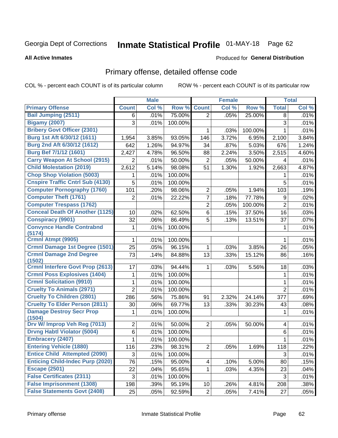# Inmate Statistical Profile 01-MAY-18 Page 62

### **All Active Inmates**

### **Produced for General Distribution**

### Primary offense, detailed offense code

COL % - percent each COUNT is of its particular column

|                                           |                | <b>Male</b> |         |                 | <b>Female</b> |         |                  | <b>Total</b> |
|-------------------------------------------|----------------|-------------|---------|-----------------|---------------|---------|------------------|--------------|
| <b>Primary Offense</b>                    | <b>Count</b>   | Col %       | Row %   | <b>Count</b>    | Col %         | Row %   | <b>Total</b>     | Col %        |
| <b>Bail Jumping (2511)</b>                | 6              | .01%        | 75.00%  | $\overline{2}$  | .05%          | 25.00%  | 8                | .01%         |
| <b>Bigamy (2007)</b>                      | 3              | .01%        | 100.00% |                 |               |         | 3                | .01%         |
| <b>Bribery Govt Officer (2301)</b>        |                |             |         | 1               | .03%          | 100.00% | 1                | .01%         |
| Burg 1st Aft 6/30/12 (1611)               | 1,954          | 3.85%       | 93.05%  | 146             | 3.72%         | 6.95%   | 2,100            | 3.84%        |
| Burg 2nd Aft 6/30/12 (1612)               | 642            | 1.26%       | 94.97%  | 34              | .87%          | 5.03%   | 676              | 1.24%        |
| <b>Burg Bef 7/1/12 (1601)</b>             | 2,427          | 4.78%       | 96.50%  | 88              | 2.24%         | 3.50%   | 2,515            | 4.60%        |
| <b>Carry Weapon At School (2915)</b>      | $\overline{2}$ | .01%        | 50.00%  | $\overline{2}$  | .05%          | 50.00%  | 4                | .01%         |
| <b>Child Molestation (2019)</b>           | 2,612          | 5.14%       | 98.08%  | 51              | 1.30%         | 1.92%   | 2,663            | 4.87%        |
| <b>Chop Shop Violation (5003)</b>         | 1              | .01%        | 100.00% |                 |               |         | 1                | .01%         |
| <b>Cnspire Traffic Cntrl Sub (4130)</b>   | 5              | .01%        | 100.00% |                 |               |         | 5                | .01%         |
| <b>Computer Pornography (1760)</b>        | 101            | .20%        | 98.06%  | $\overline{2}$  | .05%          | 1.94%   | 103              | .19%         |
| <b>Computer Theft (1761)</b>              | $\overline{2}$ | .01%        | 22.22%  | $\overline{7}$  | .18%          | 77.78%  | $\boldsymbol{9}$ | .02%         |
| <b>Computer Trespass (1762)</b>           |                |             |         | $\overline{2}$  | .05%          | 100.00% | $\overline{2}$   | .01%         |
| <b>Conceal Death Of Another (1125)</b>    | 10             | .02%        | 62.50%  | 6               | .15%          | 37.50%  | 16               | .03%         |
| <b>Conspiracy (9901)</b>                  | 32             | .06%        | 86.49%  | 5               | .13%          | 13.51%  | 37               | .07%         |
| <b>Convynce Handle Contrabnd</b>          | 1              | .01%        | 100.00% |                 |               |         | 1                | .01%         |
| (5174)                                    |                |             |         |                 |               |         |                  |              |
| Crmnl Atmpt (9905)                        | 1              | .01%        | 100.00% |                 |               |         | 1                | .01%         |
| Crmnl Damage 1st Degree (1501)            | 25             | .05%        | 96.15%  | 1               | .03%          | 3.85%   | 26               | .05%         |
| <b>Crmnl Damage 2nd Degree</b><br>(1502)  | 73             | .14%        | 84.88%  | 13              | .33%          | 15.12%  | 86               | .16%         |
| <b>Crmnl Interfere Govt Prop (2613)</b>   | 17             | .03%        | 94.44%  | 1               | .03%          | 5.56%   | 18               | .03%         |
| <b>Crmnl Poss Explosives (1404)</b>       | 1              | .01%        | 100.00% |                 |               |         | 1                | .01%         |
| <b>Crmnl Solicitation (9910)</b>          | 1              | .01%        | 100.00% |                 |               |         | $\mathbf{1}$     | .01%         |
| <b>Cruelty To Animals (2971)</b>          | $\overline{2}$ | .01%        | 100.00% |                 |               |         | $\overline{2}$   | .01%         |
| <b>Cruelty To Children (2801)</b>         | 286            | .56%        | 75.86%  | 91              | 2.32%         | 24.14%  | 377              | .69%         |
| <b>Cruelty To Elder Person (2811)</b>     | 30             | .06%        | 69.77%  | 13              | .33%          | 30.23%  | 43               | .08%         |
| <b>Damage Destroy Secr Prop</b><br>(1504) | 1              | .01%        | 100.00% |                 |               |         | 1                | .01%         |
| Drv W/ Improp Veh Reg (7013)              | 2              | .01%        | 50.00%  | $\overline{2}$  | .05%          | 50.00%  | 4                | .01%         |
| <b>Drvng Habtl Violator (5004)</b>        | 6              | .01%        | 100.00% |                 |               |         | $\,6$            | .01%         |
| <b>Embracery (2407)</b>                   | 1              | .01%        | 100.00% |                 |               |         | 1                | .01%         |
| <b>Entering Vehicle (1880)</b>            | 116            | .23%        | 98.31%  | $\overline{2}$  | .05%          | 1.69%   | 118              | .22%         |
| <b>Entice Child Attempted (2090)</b>      | 3              | .01%        | 100.00% |                 |               |         | 3                | .01%         |
| <b>Enticing Child-Indec Purp (2020)</b>   | 76             | .15%        | 95.00%  | 4               | .10%          | 5.00%   | 80               | .15%         |
| <b>Escape (2501)</b>                      | 22             | .04%        | 95.65%  | $\mathbf 1$     | .03%          | 4.35%   | 23               | .04%         |
| <b>False Certificates (2311)</b>          | 3              | .01%        | 100.00% |                 |               |         | $\mathbf{3}$     | .01%         |
| <b>False Imprisonment (1308)</b>          | 198            | .39%        | 95.19%  | 10 <sub>1</sub> | .26%          | 4.81%   | 208              | .38%         |
| <b>False Statements Govt (2408)</b>       | 25             | .05%        | 92.59%  | $\overline{2}$  | .05%          | 7.41%   | 27               | .05%         |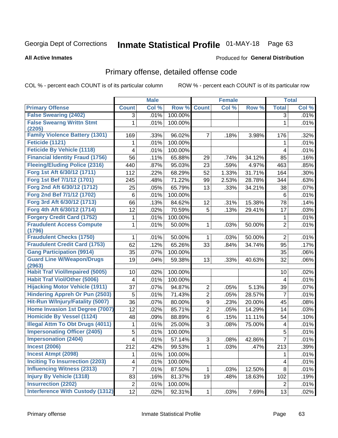# Inmate Statistical Profile 01-MAY-18 Page 63

### **All Active Inmates**

### Produced for General Distribution

## Primary offense, detailed offense code

COL % - percent each COUNT is of its particular column

|                                            |                         | <b>Male</b> |         |                | <b>Female</b> |        |                         | <b>Total</b> |
|--------------------------------------------|-------------------------|-------------|---------|----------------|---------------|--------|-------------------------|--------------|
| <b>Primary Offense</b>                     | <b>Count</b>            | Col %       | Row %   | <b>Count</b>   | Col %         | Row %  | <b>Total</b>            | Col %        |
| <b>False Swearing (2402)</b>               | 3                       | .01%        | 100.00% |                |               |        | $\overline{3}$          | .01%         |
| <b>False Swearng Writtn Stmt</b><br>(2205) | 1                       | .01%        | 100.00% |                |               |        | 1                       | .01%         |
| <b>Family Violence Battery (1301)</b>      | 169                     | .33%        | 96.02%  | $\overline{7}$ | .18%          | 3.98%  | 176                     | .32%         |
| Feticide (1121)                            | 1                       | .01%        | 100.00% |                |               |        | 1                       | .01%         |
| <b>Feticide By Vehicle (1118)</b>          | 4                       | .01%        | 100.00% |                |               |        | 4                       | .01%         |
| <b>Financial Identity Fraud (1756)</b>     | 56                      | .11%        | 65.88%  | 29             | .74%          | 34.12% | 85                      | .16%         |
| <b>Fleeing/Eluding Police (2316)</b>       | 440                     | .87%        | 95.03%  | 23             | .59%          | 4.97%  | 463                     | .85%         |
| Forg 1st Aft 6/30/12 (1711)                | 112                     | .22%        | 68.29%  | 52             | 1.33%         | 31.71% | 164                     | .30%         |
| Forg 1st Bef 7/1/12 (1701)                 | 245                     | .48%        | 71.22%  | 99             | 2.53%         | 28.78% | 344                     | .63%         |
| Forg 2nd Aft 6/30/12 (1712)                | 25                      | .05%        | 65.79%  | 13             | .33%          | 34.21% | 38                      | .07%         |
| Forg 2nd Bef 7/1/12 (1702)                 | 6                       | .01%        | 100.00% |                |               |        | 6                       | .01%         |
| Forg 3rd Aft 6/30/12 (1713)                | 66                      | .13%        | 84.62%  | 12             | .31%          | 15.38% | 78                      | .14%         |
| Forg 4th Aft 6/30/12 (1714)                | 12                      | .02%        | 70.59%  | 5              | .13%          | 29.41% | 17                      | .03%         |
| <b>Forgery Credit Card (1752)</b>          | 1                       | .01%        | 100.00% |                |               |        | 1                       | .01%         |
| <b>Fraudulent Access Compute</b><br>(1796) | 1                       | .01%        | 50.00%  | 1              | .03%          | 50.00% | $\overline{2}$          | .01%         |
| <b>Fraudulent Checks (1750)</b>            | 1                       | .01%        | 50.00%  | 1              | .03%          | 50.00% | $\overline{2}$          | .01%         |
| <b>Fraudulent Credit Card (1753)</b>       | 62                      | .12%        | 65.26%  | 33             | .84%          | 34.74% | 95                      | .17%         |
| <b>Gang Participation (9914)</b>           | 35                      | .07%        | 100.00% |                |               |        | 35                      | .06%         |
| <b>Guard Line W/Weapon/Drugs</b><br>(2963) | 19                      | .04%        | 59.38%  | 13             | .33%          | 40.63% | 32                      | .06%         |
| <b>Habit Traf Viol/Impaired (5005)</b>     | 10                      | .02%        | 100.00% |                |               |        | 10                      | .02%         |
| <b>Habit Traf Viol/Other (5006)</b>        | 4                       | .01%        | 100.00% |                |               |        | 4                       | .01%         |
| <b>Hijacking Motor Vehicle (1911)</b>      | 37                      | .07%        | 94.87%  | 2              | .05%          | 5.13%  | 39                      | .07%         |
| <b>Hindering Appreh Or Pun (2503)</b>      | 5                       | .01%        | 71.43%  | $\overline{2}$ | .05%          | 28.57% | $\overline{7}$          | .01%         |
| Hit-Run W/Injury/Fatality (5007)           | 36                      | .07%        | 80.00%  | 9              | .23%          | 20.00% | 45                      | .08%         |
| Home Invasion 1st Degree (7007)            | 12                      | .02%        | 85.71%  | $\overline{c}$ | .05%          | 14.29% | 14                      | .03%         |
| <b>Homicide By Vessel (1124)</b>           | 48                      | .09%        | 88.89%  | $\,6$          | .15%          | 11.11% | 54                      | .10%         |
| <b>Illegal Attm To Obt Drugs (4011)</b>    | 1                       | .01%        | 25.00%  | 3              | .08%          | 75.00% | $\overline{\mathbf{4}}$ | .01%         |
| <b>Impersonating Officer (2405)</b>        | $\overline{5}$          | .01%        | 100.00% |                |               |        | 5                       | .01%         |
| <b>Impersonation (2404)</b>                | $\overline{\mathbf{4}}$ | .01%        | 57.14%  | 3              | .08%          | 42.86% | $\overline{7}$          | .01%         |
| <b>Incest (2006)</b>                       | 212                     | .42%        | 99.53%  | $\mathbf 1$    | .03%          | .47%   | 213                     | .39%         |
| <b>Incest Atmpt (2098)</b>                 | 1                       | .01%        | 100.00% |                |               |        |                         | .01%         |
| <b>Inciting To Insurrection (2203)</b>     | $\overline{\mathbf{4}}$ | .01%        | 100.00% |                |               |        | $\overline{\mathbf{4}}$ | .01%         |
| <b>Influencing Witness (2313)</b>          | $\overline{7}$          | .01%        | 87.50%  | $\mathbf{1}$   | .03%          | 12.50% | 8                       | .01%         |
| <b>Injury By Vehicle (1318)</b>            | 83                      | .16%        | 81.37%  | 19             | .48%          | 18.63% | 102                     | .19%         |
| <b>Insurrection (2202)</b>                 | $\overline{2}$          | .01%        | 100.00% |                |               |        | $\overline{2}$          | .01%         |
| <b>Interference With Custody (1312)</b>    | $\overline{12}$         | .02%        | 92.31%  | $\mathbf{1}$   | .03%          | 7.69%  | 13                      | .02%         |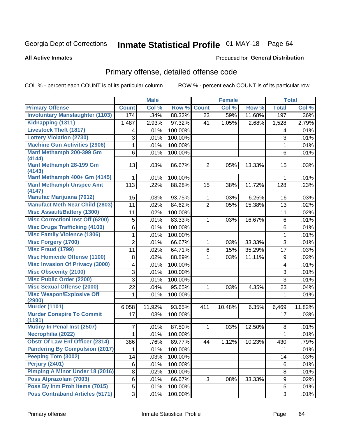# Inmate Statistical Profile 01-MAY-18 Page 64

### **All Active Inmates**

### Produced for General Distribution

## Primary offense, detailed offense code

COL % - percent each COUNT is of its particular column

|                                            |                | <b>Male</b> |         |                | <b>Female</b> |        |                  | <b>Total</b> |
|--------------------------------------------|----------------|-------------|---------|----------------|---------------|--------|------------------|--------------|
| <b>Primary Offense</b>                     | <b>Count</b>   | Col %       | Row %   | <b>Count</b>   | Col %         | Row %  | <b>Total</b>     | Col %        |
| <b>Involuntary Manslaughter (1103)</b>     | 174            | .34%        | 88.32%  | 23             | .59%          | 11.68% | $\overline{197}$ | .36%         |
| Kidnapping (1311)                          | 1,487          | 2.93%       | 97.32%  | 41             | 1.05%         | 2.68%  | 1,528            | 2.79%        |
| <b>Livestock Theft (1817)</b>              | 4              | .01%        | 100.00% |                |               |        | 4                | .01%         |
| <b>Lottery Violation (2730)</b>            | 3              | .01%        | 100.00% |                |               |        | 3                | .01%         |
| <b>Machine Gun Activities (2906)</b>       | 1              | .01%        | 100.00% |                |               |        | 1                | .01%         |
| Manf Methamph 200-399 Gm                   | 6              | .01%        | 100.00% |                |               |        | $6\phantom{1}$   | .01%         |
| (4144)                                     |                |             |         |                |               |        |                  |              |
| Manf Methamph 28-199 Gm<br>(4143)          | 13             | .03%        | 86.67%  | $\overline{2}$ | .05%          | 13.33% | 15               | .03%         |
| Manf Methamph 400+ Gm (4145)               | 1              | .01%        | 100.00% |                |               |        | 1                | .01%         |
| <b>Manf Methamph Unspec Amt</b>            | 113            | .22%        | 88.28%  | 15             | .38%          | 11.72% | 128              | .23%         |
| (4147)                                     |                |             |         |                |               |        |                  |              |
| <b>Manufac Marijuana (7012)</b>            | 15             | .03%        | 93.75%  | 1              | .03%          | 6.25%  | 16               | .03%         |
| <b>Manufact Meth Near Child (2803)</b>     | 11             | .02%        | 84.62%  | $\overline{2}$ | .05%          | 15.38% | 13               | .02%         |
| <b>Misc Assault/Battery (1300)</b>         | 11             | .02%        | 100.00% |                |               |        | 11               | .02%         |
| <b>Misc Correctionl Inst Off (6200)</b>    | 5              | .01%        | 83.33%  | 1              | .03%          | 16.67% | 6                | .01%         |
| <b>Misc Drugs Trafficking (4100)</b>       | 6              | .01%        | 100.00% |                |               |        | 6                | .01%         |
| <b>Misc Family Violence (1306)</b>         | 1              | .01%        | 100.00% |                |               |        | 1                | .01%         |
| <b>Misc Forgery (1700)</b>                 | $\overline{2}$ | .01%        | 66.67%  | 1              | .03%          | 33.33% | 3                | .01%         |
| <b>Misc Fraud (1799)</b>                   | 11             | .02%        | 64.71%  | 6              | .15%          | 35.29% | 17               | .03%         |
| <b>Misc Homicide Offense (1100)</b>        | 8              | .02%        | 88.89%  | 1              | .03%          | 11.11% | $\boldsymbol{9}$ | .02%         |
| <b>Misc Invasion Of Privacy (3000)</b>     | 4              | .01%        | 100.00% |                |               |        | 4                | .01%         |
| <b>Misc Obscenity (2100)</b>               | 3              | .01%        | 100.00% |                |               |        | 3                | .01%         |
| <b>Misc Public Order (2200)</b>            | 3              | .01%        | 100.00% |                |               |        | $\overline{3}$   | .01%         |
| <b>Misc Sexual Offense (2000)</b>          | 22             | .04%        | 95.65%  | 1              | .03%          | 4.35%  | 23               | .04%         |
| <b>Misc Weapon/Explosive Off</b>           | 1              | .01%        | 100.00% |                |               |        | 1                | .01%         |
| (2900)                                     |                |             |         |                |               |        |                  |              |
| <b>Murder (1101)</b>                       | 6,058          | 11.92%      | 93.65%  | 411            | 10.48%        | 6.35%  | 6,469            | 11.82%       |
| <b>Murder Conspire To Commit</b><br>(1191) | 17             | .03%        | 100.00% |                |               |        | 17               | .03%         |
| <b>Mutiny In Penal Inst (2507)</b>         | 7              | .01%        | 87.50%  | 1              | .03%          | 12.50% | 8                | .01%         |
| Necrophilia (2022)                         | 1              | .01%        | 100.00% |                |               |        | 1                | .01%         |
| <b>Obstr Of Law Enf Officer (2314)</b>     | 386            | .76%        | 89.77%  | 44             | 1.12%         | 10.23% | 430              | .79%         |
| <b>Pandering By Compulsion (2017)</b>      | 1              | .01%        | 100.00% |                |               |        | 1                | .01%         |
| Peeping Tom (3002)                         | 14             | .03%        | 100.00% |                |               |        | 14               | .03%         |
| <b>Perjury (2401)</b>                      | 6              | .01%        | 100.00% |                |               |        | 6                | .01%         |
| <b>Pimping A Minor Under 18 (2016)</b>     | 8              | .02%        | 100.00% |                |               |        | 8                | .01%         |
| Poss Alprazolam (7003)                     | 6              | .01%        | 66.67%  | 3              | .08%          | 33.33% | 9                | .02%         |
| Poss By Inm Proh Items (7015)              | 5              | .01%        | 100.00% |                |               |        | 5                | .01%         |
| <b>Poss Contraband Articles (5171)</b>     | 3              | .01%        | 100.00% |                |               |        | 3                | .01%         |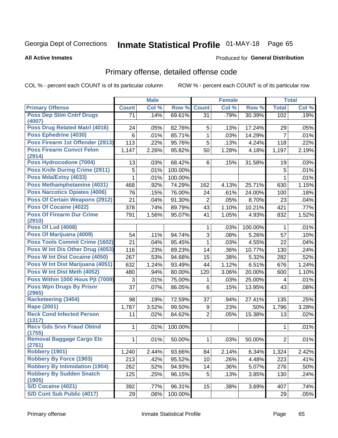# Inmate Statistical Profile 01-MAY-18 Page 65

### **All Active Inmates**

### Produced for General Distribution

## Primary offense, detailed offense code

COL % - percent each COUNT is of its particular column

|                                            |              | <b>Male</b> |         |                | <b>Female</b> |         |                | <b>Total</b> |
|--------------------------------------------|--------------|-------------|---------|----------------|---------------|---------|----------------|--------------|
| <b>Primary Offense</b>                     | <b>Count</b> | Col %       | Row %   | <b>Count</b>   | Col %         | Row %   | <b>Total</b>   | Col %        |
| <b>Poss Dep Stim Cntrf Drugs</b>           | 71           | .14%        | 69.61%  | 31             | .79%          | 30.39%  | 102            | .19%         |
| (4007)                                     |              |             |         |                |               |         |                |              |
| <b>Poss Drug Related Matri (4016)</b>      | 24           | .05%        | 82.76%  | 5              | .13%          | 17.24%  | 29             | .05%         |
| Poss Ephedrine (4030)                      | 6            | .01%        | 85.71%  | $\mathbf{1}$   | .03%          | 14.29%  | $\overline{7}$ | .01%         |
| Poss Firearm 1st Offender (2913)           | 113          | .22%        | 95.76%  | 5              | .13%          | 4.24%   | 118            | .22%         |
| <b>Poss Firearm Convct Felon</b><br>(2914) | 1,147        | 2.26%       | 95.82%  | 50             | 1.28%         | 4.18%   | 1,197          | 2.19%        |
| Poss Hydrocodone (7004)                    | 13           | .03%        | 68.42%  | 6              | .15%          | 31.58%  | 19             | .03%         |
| Poss Knife During Crime (2911)             | 5            | .01%        | 100.00% |                |               |         | 5              | .01%         |
| Poss Mda/Extsy (4033)                      | 1            | .01%        | 100.00% |                |               |         | 1              | .01%         |
| Poss Methamphetamine (4031)                | 468          | .92%        | 74.29%  | 162            | 4.13%         | 25.71%  | 630            | 1.15%        |
| <b>Poss Narcotics Opiates (4006)</b>       | 76           | .15%        | 76.00%  | 24             | .61%          | 24.00%  | 100            | .18%         |
| <b>Poss Of Certain Weapons (2912)</b>      | 21           | .04%        | 91.30%  | $\overline{2}$ | .05%          | 8.70%   | 23             | .04%         |
| Poss Of Cocaine (4022)                     | 378          | .74%        | 89.79%  | 43             | 1.10%         | 10.21%  | 421            | .77%         |
| <b>Poss Of Firearm Dur Crime</b><br>(2910) | 791          | 1.56%       | 95.07%  | 41             | 1.05%         | 4.93%   | 832            | 1.52%        |
| <b>Poss Of Lsd (4008)</b>                  |              |             |         | 1              | .03%          | 100.00% | 1              | .01%         |
| Poss Of Marijuana (4009)                   | 54           | .11%        | 94.74%  | 3              | .08%          | 5.26%   | 57             | .10%         |
| <b>Poss Tools Commit Crime (1602)</b>      | 21           | .04%        | 95.45%  | $\mathbf{1}$   | .03%          | 4.55%   | 22             | .04%         |
| Poss W Int Dis Other Drug (4053)           | 116          | .23%        | 89.23%  | 14             | .36%          | 10.77%  | 130            | .24%         |
| Poss W Int Dist Cocaine (4050)             | 267          | .53%        | 94.68%  | 15             | .38%          | 5.32%   | 282            | .52%         |
| Poss W Int Dist Marijuana (4051)           | 632          | 1.24%       | 93.49%  | 44             | 1.12%         | 6.51%   | 676            | 1.24%        |
| Poss W Int Dist Meth (4052)                | 480          | .94%        | 80.00%  | 120            | 3.06%         | 20.00%  | 600            | 1.10%        |
| Poss Within 1000 Hous Pjt (7009)           | 3            | .01%        | 75.00%  | 1              | .03%          | 25.00%  | 4              | .01%         |
| <b>Poss Wpn Drugs By Prisnr</b>            | 37           | .07%        | 86.05%  | 6              | .15%          | 13.95%  | 43             | .08%         |
| (2965)                                     |              |             |         |                |               |         |                |              |
| <b>Racketeering (3404)</b>                 | 98           | .19%        | 72.59%  | 37             | .94%          | 27.41%  | 135            | .25%         |
| Rape (2001)                                | 1,787        | 3.52%       | 99.50%  | 9              | .23%          | .50%    | 1,796          | 3.28%        |
| <b>Reck Cond Infected Person</b><br>(1317) | 11           | .02%        | 84.62%  | $\overline{2}$ | .05%          | 15.38%  | 13             | .02%         |
| <b>Recv Gds Srvs Fraud Obtnd</b><br>(1755) | 1            | .01%        | 100.00% |                |               |         | 1              | .01%         |
| <b>Removal Baggage Cargo Etc</b><br>(2761) | 1            | .01%        | 50.00%  | 1              | .03%          | 50.00%  | $\overline{2}$ | .01%         |
| <b>Robbery (1901)</b>                      | 1,240        | 2.44%       | 93.66%  | 84             | 2.14%         | 6.34%   | 1,324          | 2.42%        |
| <b>Robbery By Force (1903)</b>             | 213          | .42%        | 95.52%  | 10             | .26%          | 4.48%   | 223            | .41%         |
| <b>Robbery By Intimidation (1904)</b>      | 262          | .52%        | 94.93%  | 14             | .36%          | 5.07%   | 276            | .50%         |
| <b>Robbery By Sudden Snatch</b>            | 125          | .25%        | 96.15%  | 5              | .13%          | 3.85%   | 130            | .24%         |
| (1905)                                     |              |             |         |                |               |         |                |              |
| S/D Cocaine (4021)                         | 392          | .77%        | 96.31%  | 15             | .38%          | 3.69%   | 407            | .74%         |
| S/D Cont Sub Public (4017)                 | 29           | .06%        | 100.00% |                |               |         | 29             | .05%         |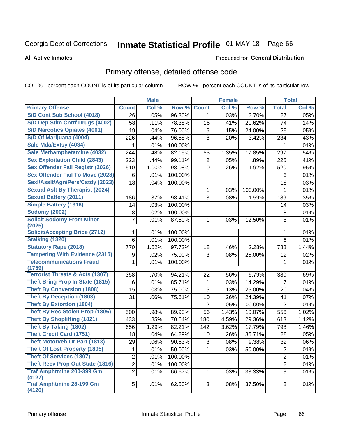# Inmate Statistical Profile 01-MAY-18 Page 66

### **All Active Inmates**

### **Produced for General Distribution**

### Primary offense, detailed offense code

COL % - percent each COUNT is of its particular column

|                                            |                         | <b>Male</b> |         |                | <b>Female</b> |         |                | <b>Total</b> |
|--------------------------------------------|-------------------------|-------------|---------|----------------|---------------|---------|----------------|--------------|
| <b>Primary Offense</b>                     | <b>Count</b>            | Col %       | Row %   | <b>Count</b>   | Col %         | Row %   | <b>Total</b>   | Col %        |
| S/D Cont Sub School (4018)                 | 26                      | .05%        | 96.30%  | $\mathbf{1}$   | .03%          | 3.70%   | 27             | .05%         |
| S/D Dep Stim Cntrf Drugs (4002)            | 58                      | .11%        | 78.38%  | 16             | .41%          | 21.62%  | 74             | .14%         |
| <b>S/D Narcotics Opiates (4001)</b>        | 19                      | .04%        | 76.00%  | 6              | .15%          | 24.00%  | 25             | .05%         |
| S/D Of Marijuana (4004)                    | 226                     | .44%        | 96.58%  | 8              | .20%          | 3.42%   | 234            | .43%         |
| Sale Mda/Extsy (4034)                      | 1                       | .01%        | 100.00% |                |               |         | 1              | .01%         |
| Sale Methamphetamine (4032)                | 244                     | .48%        | 82.15%  | 53             | 1.35%         | 17.85%  | 297            | .54%         |
| <b>Sex Exploitation Child (2843)</b>       | 223                     | .44%        | 99.11%  | $\overline{2}$ | .05%          | .89%    | 225            | .41%         |
| <b>Sex Offender Fail Registr (2026)</b>    | 510                     | 1.00%       | 98.08%  | 10             | .26%          | 1.92%   | 520            | .95%         |
| <b>Sex Offender Fail To Move (2028)</b>    | 6                       | .01%        | 100.00% |                |               |         | 6              | .01%         |
| Sexl/Asslt/Agn/Pers/Cstdy (2023)           | 18                      | .04%        | 100.00% |                |               |         | 18             | .03%         |
| <b>Sexual Aslt By Therapist (2024)</b>     |                         |             |         | 1              | .03%          | 100.00% | 1              | .01%         |
| <b>Sexual Battery (2011)</b>               | 186                     | .37%        | 98.41%  | 3              | .08%          | 1.59%   | 189            | .35%         |
| <b>Simple Battery (1316)</b>               | 14                      | .03%        | 100.00% |                |               |         | 14             | .03%         |
| <b>Sodomy (2002)</b>                       | 8                       | .02%        | 100.00% |                |               |         | 8              | .01%         |
| <b>Solicit Sodomy From Minor</b>           | 7                       | .01%        | 87.50%  | 1              | .03%          | 12.50%  | 8              | .01%         |
| (2025)                                     |                         |             |         |                |               |         |                |              |
| <b>Solicit/Accepting Bribe (2712)</b>      | 1                       | .01%        | 100.00% |                |               |         | 1              | .01%         |
| <b>Stalking (1320)</b>                     | 6                       | .01%        | 100.00% |                |               |         | 6              | .01%         |
| <b>Statutory Rape (2018)</b>               | 770                     | 1.52%       | 97.72%  | 18             | .46%          | 2.28%   | 788            | 1.44%        |
| <b>Tampering With Evidence (2315)</b>      | 9                       | .02%        | 75.00%  | 3              | .08%          | 25.00%  | 12             | .02%         |
| <b>Telecommunications Fraud</b><br>(1759)  | 1                       | .01%        | 100.00% |                |               |         | 1              | .01%         |
| <b>Terrorist Threats &amp; Acts (1307)</b> | 358                     | .70%        | 94.21%  | 22             | .56%          | 5.79%   | 380            | .69%         |
| <b>Theft Bring Prop In State (1815)</b>    | 6                       | .01%        | 85.71%  | 1              | .03%          | 14.29%  | 7              | .01%         |
| <b>Theft By Conversion (1808)</b>          | 15                      | .03%        | 75.00%  | 5              | .13%          | 25.00%  | 20             | .04%         |
| <b>Theft By Deception (1803)</b>           | 31                      | .06%        | 75.61%  | 10             | .26%          | 24.39%  | 41             | .07%         |
| <b>Theft By Extortion (1804)</b>           |                         |             |         | $\overline{2}$ | .05%          | 100.00% | $\overline{2}$ | .01%         |
| Theft By Rec Stolen Prop (1806)            | 500                     | .98%        | 89.93%  | 56             | 1.43%         | 10.07%  | 556            | 1.02%        |
| <b>Theft By Shoplifting (1821)</b>         | 433                     | .85%        | 70.64%  | 180            | 4.59%         | 29.36%  | 613            | 1.12%        |
| <b>Theft By Taking (1802)</b>              | 656                     | 1.29%       | 82.21%  | 142            | 3.62%         | 17.79%  | 798            | 1.46%        |
| <b>Theft Credit Card (1751)</b>            | 18                      | .04%        | 64.29%  | 10             | .26%          | 35.71%  | 28             | .05%         |
| <b>Theft Motorveh Or Part (1813)</b>       | 29                      | .06%        | 90.63%  | 3              | .08%          | 9.38%   | 32             | .06%         |
| <b>Theft Of Lost Property (1805)</b>       | 1                       | .01%        | 50.00%  | 1.             | .03%          | 50.00%  | $\overline{2}$ | .01%         |
| <b>Theft Of Services (1807)</b>            | $\overline{2}$          | .01%        | 100.00% |                |               |         | $\overline{2}$ | .01%         |
| <b>Theft Recv Prop Out State (1816)</b>    | $\overline{\mathbf{c}}$ | .01%        | 100.00% |                |               |         | $\overline{2}$ | .01%         |
| <b>Traf Amphtmine 200-399 Gm</b><br>(4127) | $\overline{2}$          | .01%        | 66.67%  | 1              | .03%          | 33.33%  | 3              | .01%         |
| <b>Traf Amphtmine 28-199 Gm</b><br>(4126)  | 5                       | .01%        | 62.50%  | 3              | .08%          | 37.50%  | 8              | .01%         |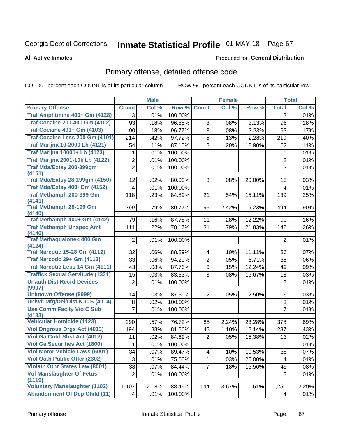# Inmate Statistical Profile 01-MAY-18 Page 67

### **All Active Inmates**

### Produced for General Distribution

## Primary offense, detailed offense code

COL % - percent each COUNT is of its particular column

|                                                |                         | <b>Male</b> |         |                         | <b>Female</b> |        |                | <b>Total</b> |
|------------------------------------------------|-------------------------|-------------|---------|-------------------------|---------------|--------|----------------|--------------|
| <b>Primary Offense</b>                         | <b>Count</b>            | Col %       | Row %   | <b>Count</b>            | Col %         | Row %  | <b>Total</b>   | Col %        |
| Traf Amphtmine 400+ Gm (4128)                  | 3                       | .01%        | 100.00% |                         |               |        | 3              | .01%         |
| <b>Traf Cocaine 201-400 Gm (4102)</b>          | 93                      | .18%        | 96.88%  | 3                       | .08%          | 3.13%  | 96             | .18%         |
| <b>Traf Cocaine 401+ Gm (4103)</b>             | 90                      | .18%        | 96.77%  | $\overline{3}$          | .08%          | 3.23%  | 93             | .17%         |
| Traf Cocaine Less 200 Gm (4101)                | 214                     | .42%        | 97.72%  | $\overline{5}$          | .13%          | 2.28%  | 219            | .40%         |
| <b>Traf Marijna 10-2000 Lb (4121)</b>          | 54                      | .11%        | 87.10%  | 8                       | .20%          | 12.90% | 62             | .11%         |
| <b>Traf Marijna 10001+ Lb (4123)</b>           | 1                       | .01%        | 100.00% |                         |               |        | 1              | .01%         |
| <b>Traf Marijna 2001-10k Lb (4122)</b>         | $\overline{2}$          | .01%        | 100.00% |                         |               |        | $\overline{c}$ | .01%         |
| Traf Mda/Extsy 200-399gm<br>(4151)             | $\overline{2}$          | .01%        | 100.00% |                         |               |        | $\overline{2}$ | .01%         |
| <b>Traf Mda/Extsy 28-199gm (4150)</b>          | 12                      | .02%        | 80.00%  | 3                       | .08%          | 20.00% | 15             | .03%         |
| Traf Mda/Extsy 400+Gm (4152)                   | 4                       | .01%        | 100.00% |                         |               |        | 4              | .01%         |
| Traf Methamph 200-399 Gm                       | 118                     | .23%        | 84.89%  | 21                      | .54%          | 15.11% | 139            | .25%         |
| (4141)<br><b>Traf Methamph 28-199 Gm</b>       |                         |             |         |                         |               |        |                |              |
| (4140)                                         | 399                     | .79%        | 80.77%  | 95                      | 2.42%         | 19.23% | 494            | .90%         |
| Traf Methamph 400+ Gm (4142)                   | 79                      | .16%        | 87.78%  | 11                      | .28%          | 12.22% | 90             | .16%         |
| <b>Traf Methamph Unspec Amt</b>                | 111                     | .22%        | 78.17%  | 31                      | .79%          | 21.83% | 142            | .26%         |
| (4146)                                         |                         |             |         |                         |               |        |                |              |
| <b>Traf Methaqualone&lt; 400 Gm</b>            | $\overline{2}$          | .01%        | 100.00% |                         |               |        | $\overline{2}$ | .01%         |
| (4124)<br><b>Traf Narcotic 15-28 Gm (4112)</b> |                         |             |         |                         |               |        |                |              |
| Traf Narcotic 29+ Gm (4113)                    | 32                      | .06%        | 88.89%  | $\overline{\mathbf{4}}$ | .10%          | 11.11% | 36             | .07%         |
| <b>Traf Narcotic Less 14 Gm (4111)</b>         | 33                      | .06%        | 94.29%  | $\overline{2}$          | .05%          | 5.71%  | 35             | .06%         |
|                                                | 43                      | .08%        | 87.76%  | 6                       | .15%          | 12.24% | 49             | .09%         |
| <b>Traffick Sexual Servitude (1331)</b>        | 15                      | .03%        | 83.33%  | 3                       | .08%          | 16.67% | 18             | .03%         |
| <b>Unauth Dist Recrd Devices</b><br>(9907)     | $\overline{2}$          | .01%        | 100.00% |                         |               |        | $\overline{2}$ | .01%         |
| <b>Unknown Offense (9999)</b>                  | 14                      | .03%        | 87.50%  | $\overline{2}$          | .05%          | 12.50% | 16             | .03%         |
| <b>Uniwfl Mfg/Del/Dist N-C S (4014)</b>        | $\,8\,$                 | .02%        | 100.00% |                         |               |        | $\,8\,$        | .01%         |
| <b>Use Comm Facity Vio C Sub</b>               | 7                       | .01%        | 100.00% |                         |               |        | 7              | .01%         |
| (4133)                                         |                         |             |         |                         |               |        |                |              |
| <b>Vehicular Homicide (1123)</b>               | 290                     | .57%        | 76.72%  | 88                      | 2.24%         | 23.28% | 378            | .69%         |
| <b>Viol Dngrous Drgs Act (4013)</b>            | 194                     | .38%        | 81.86%  | 43                      | 1.10%         | 18.14% | 237            | .43%         |
| Viol Ga Cntrl Sbst Act (4012)                  | 11                      | .02%        | 84.62%  | $\overline{2}$          | .05%          | 15.38% | 13             | .02%         |
| <b>Viol Ga Securities Act (1800)</b>           | 1                       | .01%        | 100.00% |                         |               |        | $\mathbf 1$    | .01%         |
| <b>Viol Motor Vehicle Laws (5001)</b>          | 34                      | .07%        | 89.47%  | 4                       | .10%          | 10.53% | 38             | .07%         |
| <b>Viol Oath Public Offer (2302)</b>           | 3                       | .01%        | 75.00%  | 1                       | .03%          | 25.00% | 4              | .01%         |
| <b>Violatn Othr States Law (8001)</b>          | 38                      | .07%        | 84.44%  | $\overline{7}$          | .18%          | 15.56% | 45             | .08%         |
| <b>Vol Manslaughter Of Fetus</b>               | $\overline{2}$          | .01%        | 100.00% |                         |               |        | $\overline{2}$ | .01%         |
| (1119)                                         |                         |             |         |                         |               |        |                |              |
| <b>Voluntary Manslaughter (1102)</b>           | 1,107                   | 2.18%       | 88.49%  | 144                     | 3.67%         | 11.51% | 1,251          | 2.29%        |
| <b>Abandonment Of Dep Child (11)</b>           | $\overline{\mathbf{4}}$ | .01%        | 100.00% |                         |               |        | 4              | .01%         |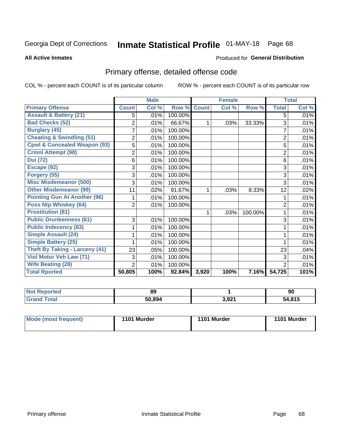## Inmate Statistical Profile 01-MAY-18 Page 68

### **All Active Inmates**

### Produced for General Distribution

## Primary offense, detailed offense code

COL % - percent each COUNT is of its particular column

|                                         |                | <b>Male</b> |                  |              | <b>Female</b> |         |                | <b>Total</b> |
|-----------------------------------------|----------------|-------------|------------------|--------------|---------------|---------|----------------|--------------|
| <b>Primary Offense</b>                  | <b>Count</b>   | Col %       | Row <sup>%</sup> | <b>Count</b> | Col %         | Row %   | <b>Total</b>   | Col %        |
| <b>Assault &amp; Battery (21)</b>       | 5              | .01%        | 100.00%          |              |               |         | 5              | .01%         |
| <b>Bad Checks (52)</b>                  | $\overline{2}$ | .01%        | 66.67%           | 1            | .03%          | 33.33%  | 3              | .01%         |
| <b>Burglary (45)</b>                    | $\overline{7}$ | .01%        | 100.00%          |              |               |         | $\overline{7}$ | .01%         |
| <b>Cheating &amp; Swindling (51)</b>    | 2              | .01%        | 100.00%          |              |               |         | 2              | .01%         |
| <b>Cpwl &amp; Concealed Weapon (93)</b> | 5              | .01%        | 100.00%          |              |               |         | 5              | .01%         |
| <b>Crmnl Attempt (98)</b>               | 2              | .01%        | 100.00%          |              |               |         | $\overline{2}$ | .01%         |
| <b>Dui</b> (72)                         | 6              | .01%        | 100.00%          |              |               |         | 6              | .01%         |
| Escape (92)                             | 3              | .01%        | 100.00%          |              |               |         | 3              | .01%         |
| Forgery (55)                            | 3              | .01%        | 100.00%          |              |               |         | 3              | .01%         |
| <b>Misc Misdemeanor (500)</b>           | 3              | .01%        | 100.00%          |              |               |         | 3              | .01%         |
| <b>Other Misdemeanor (99)</b>           | 11             | .02%        | 91.67%           | 1            | .03%          | 8.33%   | 12             | .02%         |
| <b>Pointing Gun At Another (96)</b>     |                | .01%        | 100.00%          |              |               |         | 1              | .01%         |
| <b>Poss Ntp Whiskey (64)</b>            | $\overline{2}$ | .01%        | 100.00%          |              |               |         | $\overline{2}$ | .01%         |
| <b>Prostitution (81)</b>                |                |             |                  | 1            | .03%          | 100.00% |                | .01%         |
| <b>Public Drunkenness (61)</b>          | 3              | .01%        | 100.00%          |              |               |         | 3              | .01%         |
| <b>Public Indecency (83)</b>            |                | .01%        | 100.00%          |              |               |         |                | .01%         |
| <b>Simple Assault (24)</b>              |                | .01%        | 100.00%          |              |               |         |                | .01%         |
| <b>Simple Battery (25)</b>              |                | .01%        | 100.00%          |              |               |         |                | .01%         |
| <b>Theft By Taking - Larceny (41)</b>   | 23             | .05%        | 100.00%          |              |               |         | 23             | .04%         |
| Viol Motor Veh Law (71)                 | 3              | .01%        | 100.00%          |              |               |         | 3              | .01%         |
| <b>Wife Beating (28)</b>                | $\overline{2}$ | .01%        | 100.00%          |              |               |         | $\overline{2}$ | .01%         |
| <b>Total Rported</b>                    | 50,805         | 100%        | 92.84%           | 3,920        | 100%          | 7.16%   | 54,725         | 101%         |

| 89    |       | 90      |
|-------|-------|---------|
| ג∩ פס | 3,921 | 04E<br> |

| 1101 Murder<br>1101 Murder<br>Mode (most frequent) | 1101 Murder |
|----------------------------------------------------|-------------|
|----------------------------------------------------|-------------|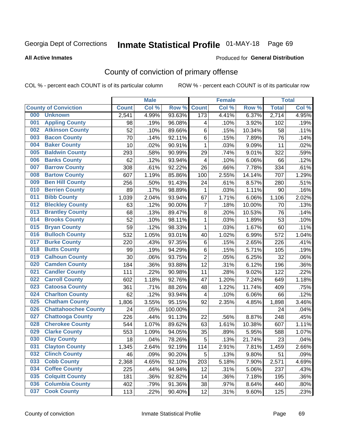## Inmate Statistical Profile 01-MAY-18 Page 69

**All Active Inmates** 

### Produced for General Distribution

## County of conviction of primary offense

COL % - percent each COUNT is of its particular column

|     |                             |              | <b>Male</b> |         |                         | <b>Female</b> |        |              | <b>Total</b> |
|-----|-----------------------------|--------------|-------------|---------|-------------------------|---------------|--------|--------------|--------------|
|     | <b>County of Conviction</b> | <b>Count</b> | Col %       | Row %   | <b>Count</b>            | Col %         | Row %  | <b>Total</b> | Col %        |
| 000 | <b>Unknown</b>              | 2,541        | 4.99%       | 93.63%  | 173                     | 4.41%         | 6.37%  | 2,714        | 4.95%        |
| 001 | <b>Appling County</b>       | 98           | .19%        | 96.08%  | 4                       | .10%          | 3.92%  | 102          | .19%         |
| 002 | <b>Atkinson County</b>      | 52           | .10%        | 89.66%  | 6                       | .15%          | 10.34% | 58           | .11%         |
| 003 | <b>Bacon County</b>         | 70           | .14%        | 92.11%  | 6                       | .15%          | 7.89%  | 76           | .14%         |
| 004 | <b>Baker County</b>         | 10           | .02%        | 90.91%  | $\mathbf{1}$            | .03%          | 9.09%  | 11           | .02%         |
| 005 | <b>Baldwin County</b>       | 293          | .58%        | 90.99%  | 29                      | .74%          | 9.01%  | 322          | .59%         |
| 006 | <b>Banks County</b>         | 62           | .12%        | 93.94%  | $\overline{\mathbf{4}}$ | .10%          | 6.06%  | 66           | .12%         |
| 007 | <b>Barrow County</b>        | 308          | .61%        | 92.22%  | 26                      | .66%          | 7.78%  | 334          | .61%         |
| 008 | <b>Bartow County</b>        | 607          | 1.19%       | 85.86%  | 100                     | 2.55%         | 14.14% | 707          | 1.29%        |
| 009 | <b>Ben Hill County</b>      | 256          | .50%        | 91.43%  | 24                      | .61%          | 8.57%  | 280          | .51%         |
| 010 | <b>Berrien County</b>       | 89           | .17%        | 98.89%  | 1                       | .03%          | 1.11%  | 90           | .16%         |
| 011 | <b>Bibb County</b>          | 1,039        | 2.04%       | 93.94%  | 67                      | 1.71%         | 6.06%  | 1,106        | 2.02%        |
| 012 | <b>Bleckley County</b>      | 63           | .12%        | 90.00%  | $\overline{7}$          | .18%          | 10.00% | 70           | .13%         |
| 013 | <b>Brantley County</b>      | 68           | .13%        | 89.47%  | 8                       | .20%          | 10.53% | 76           | .14%         |
| 014 | <b>Brooks County</b>        | 52           | .10%        | 98.11%  | $\mathbf{1}$            | .03%          | 1.89%  | 53           | .10%         |
| 015 | <b>Bryan County</b>         | 59           | .12%        | 98.33%  | $\mathbf 1$             | .03%          | 1.67%  | 60           | .11%         |
| 016 | <b>Bulloch County</b>       | 532          | 1.05%       | 93.01%  | 40                      | 1.02%         | 6.99%  | 572          | 1.04%        |
| 017 | <b>Burke County</b>         | 220          | .43%        | 97.35%  | 6                       | .15%          | 2.65%  | 226          | .41%         |
| 018 | <b>Butts County</b>         | 99           | .19%        | 94.29%  | 6                       | .15%          | 5.71%  | 105          | .19%         |
| 019 | <b>Calhoun County</b>       | 30           | .06%        | 93.75%  | $\overline{2}$          | .05%          | 6.25%  | 32           | .06%         |
| 020 | <b>Camden County</b>        | 184          | .36%        | 93.88%  | 12                      | .31%          | 6.12%  | 196          | .36%         |
| 021 | <b>Candler County</b>       | 111          | .22%        | 90.98%  | 11                      | .28%          | 9.02%  | 122          | .22%         |
| 022 | <b>Carroll County</b>       | 602          | 1.18%       | 92.76%  | 47                      | 1.20%         | 7.24%  | 649          | 1.18%        |
| 023 | <b>Catoosa County</b>       | 361          | .71%        | 88.26%  | 48                      | 1.22%         | 11.74% | 409          | .75%         |
| 024 | <b>Charlton County</b>      | 62           | .12%        | 93.94%  | 4                       | .10%          | 6.06%  | 66           | .12%         |
| 025 | <b>Chatham County</b>       | 1,806        | 3.55%       | 95.15%  | 92                      | 2.35%         | 4.85%  | 1,898        | 3.46%        |
| 026 | <b>Chattahoochee County</b> | 24           | .05%        | 100.00% |                         |               |        | 24           | .04%         |
| 027 | <b>Chattooga County</b>     | 226          | .44%        | 91.13%  | 22                      | .56%          | 8.87%  | 248          | .45%         |
| 028 | <b>Cherokee County</b>      | 544          | 1.07%       | 89.62%  | 63                      | 1.61%         | 10.38% | 607          | 1.11%        |
| 029 | <b>Clarke County</b>        | 553          | 1.09%       | 94.05%  | 35                      | .89%          | 5.95%  | 588          | 1.07%        |
| 030 | <b>Clay County</b>          | 18           | .04%        | 78.26%  | 5                       | .13%          | 21.74% | 23           | .04%         |
| 031 | <b>Clayton County</b>       | 1,345        | 2.64%       | 92.19%  | 114                     | 2.91%         | 7.81%  | 1,459        | 2.66%        |
| 032 | <b>Clinch County</b>        | 46           | .09%        | 90.20%  | 5                       | .13%          | 9.80%  | 51           | .09%         |
| 033 | <b>Cobb County</b>          | 2,368        | 4.65%       | 92.10%  | 203                     | 5.18%         | 7.90%  | 2,571        | 4.69%        |
| 034 | <b>Coffee County</b>        | 225          | .44%        | 94.94%  | 12                      | .31%          | 5.06%  | 237          | .43%         |
| 035 | <b>Colquitt County</b>      | 181          | .36%        | 92.82%  | 14                      | .36%          | 7.18%  | 195          | .36%         |
| 036 | <b>Columbia County</b>      | 402          | .79%        | 91.36%  | 38                      | .97%          | 8.64%  | 440          | .80%         |
| 037 | <b>Cook County</b>          | 113          | .22%        | 90.40%  | 12                      | .31%          | 9.60%  | 125          | .23%         |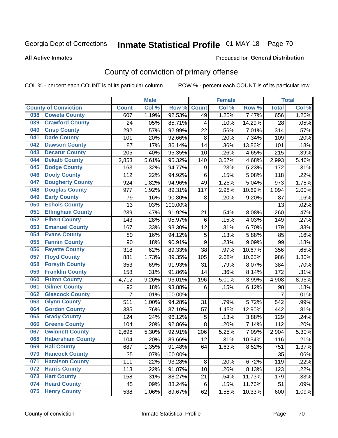# Inmate Statistical Profile 01-MAY-18 Page 70

### **All Active Inmates**

### **Produced for General Distribution**

## County of conviction of primary offense

COL % - percent each COUNT is of its particular column

|                                |                | <b>Male</b> |         |              | <b>Female</b> |        |                | <b>Total</b> |
|--------------------------------|----------------|-------------|---------|--------------|---------------|--------|----------------|--------------|
| <b>County of Conviction</b>    | <b>Count</b>   | Col %       | Row %   | <b>Count</b> | Col %         | Row %  | <b>Total</b>   | Col %        |
| <b>Coweta County</b><br>038    | 607            | 1.19%       | 92.53%  | 49           | 1.25%         | 7.47%  | 656            | 1.20%        |
| <b>Crawford County</b><br>039  | 24             | .05%        | 85.71%  | 4            | .10%          | 14.29% | 28             | .05%         |
| <b>Crisp County</b><br>040     | 292            | .57%        | 92.99%  | 22           | .56%          | 7.01%  | 314            | .57%         |
| <b>Dade County</b><br>041      | 101            | .20%        | 92.66%  | 8            | .20%          | 7.34%  | 109            | .20%         |
| <b>Dawson County</b><br>042    | 87             | .17%        | 86.14%  | 14           | .36%          | 13.86% | 101            | .18%         |
| <b>Decatur County</b><br>043   | 205            | .40%        | 95.35%  | 10           | .26%          | 4.65%  | 215            | .39%         |
| <b>Dekalb County</b><br>044    | 2,853          | 5.61%       | 95.32%  | 140          | 3.57%         | 4.68%  | 2,993          | 5.46%        |
| <b>Dodge County</b><br>045     | 163            | .32%        | 94.77%  | 9            | .23%          | 5.23%  | 172            | .31%         |
| <b>Dooly County</b><br>046     | 112            | .22%        | 94.92%  | 6            | .15%          | 5.08%  | 118            | .22%         |
| <b>Dougherty County</b><br>047 | 924            | 1.82%       | 94.96%  | 49           | 1.25%         | 5.04%  | 973            | 1.78%        |
| <b>Douglas County</b><br>048   | 977            | 1.92%       | 89.31%  | 117          | 2.98%         | 10.69% | 1,094          | 2.00%        |
| <b>Early County</b><br>049     | 79             | .16%        | 90.80%  | 8            | .20%          | 9.20%  | 87             | .16%         |
| <b>Echols County</b><br>050    | 13             | .03%        | 100.00% |              |               |        | 13             | .02%         |
| <b>Effingham County</b><br>051 | 239            | .47%        | 91.92%  | 21           | .54%          | 8.08%  | 260            | .47%         |
| <b>Elbert County</b><br>052    | 143            | .28%        | 95.97%  | 6            | .15%          | 4.03%  | 149            | .27%         |
| <b>Emanuel County</b><br>053   | 167            | .33%        | 93.30%  | 12           | .31%          | 6.70%  | 179            | .33%         |
| <b>Evans County</b><br>054     | 80             | .16%        | 94.12%  | 5            | .13%          | 5.88%  | 85             | .16%         |
| <b>Fannin County</b><br>055    | 90             | .18%        | 90.91%  | 9            | .23%          | 9.09%  | 99             | .18%         |
| <b>Fayette County</b><br>056   | 318            | .62%        | 89.33%  | 38           | .97%          | 10.67% | 356            | .65%         |
| <b>Floyd County</b><br>057     | 881            | 1.73%       | 89.35%  | 105          | 2.68%         | 10.65% | 986            | 1.80%        |
| <b>Forsyth County</b><br>058   | 353            | .69%        | 91.93%  | 31           | .79%          | 8.07%  | 384            | .70%         |
| <b>Franklin County</b><br>059  | 158            | .31%        | 91.86%  | 14           | .36%          | 8.14%  | 172            | .31%         |
| <b>Fulton County</b><br>060    | 4,712          | 9.26%       | 96.01%  | 196          | 5.00%         | 3.99%  | 4,908          | 8.95%        |
| <b>Gilmer County</b><br>061    | 92             | .18%        | 93.88%  | 6            | .15%          | 6.12%  | 98             | .18%         |
| <b>Glascock County</b><br>062  | $\overline{7}$ | .01%        | 100.00% |              |               |        | $\overline{7}$ | .01%         |
| 063<br><b>Glynn County</b>     | 511            | 1.00%       | 94.28%  | 31           | .79%          | 5.72%  | 542            | .99%         |
| <b>Gordon County</b><br>064    | 385            | .76%        | 87.10%  | 57           | 1.45%         | 12.90% | 442            | .81%         |
| 065<br><b>Grady County</b>     | 124            | .24%        | 96.12%  | 5            | .13%          | 3.88%  | 129            | .24%         |
| <b>Greene County</b><br>066    | 104            | .20%        | 92.86%  | 8            | .20%          | 7.14%  | 112            | .20%         |
| <b>Gwinnett County</b><br>067  | 2,698          | 5.30%       | 92.91%  | 206          | 5.25%         | 7.09%  | 2,904          | 5.30%        |
| <b>Habersham County</b><br>068 | 104            | .20%        | 89.66%  | 12           | .31%          | 10.34% | 116            | .21%         |
| 069<br><b>Hall County</b>      | 687            | 1.35%       | 91.48%  | 64           | 1.63%         | 8.52%  | 751            | 1.37%        |
| <b>Hancock County</b><br>070   | 35             | .07%        | 100.00% |              |               |        | 35             | .06%         |
| <b>Haralson County</b><br>071  | 111            | .22%        | 93.28%  | 8            | .20%          | 6.72%  | 119            | .22%         |
| <b>Harris County</b><br>072    | 113            | .22%        | 91.87%  | 10           | .26%          | 8.13%  | 123            | .22%         |
| <b>Hart County</b><br>073      | 158            | .31%        | 88.27%  | 21           | .54%          | 11.73% | 179            | .33%         |
| <b>Heard County</b><br>074     | 45             | .09%        | 88.24%  | 6            | .15%          | 11.76% | 51             | .09%         |
| <b>Henry County</b><br>075     | 538            | 1.06%       | 89.67%  | 62           | 1.58%         | 10.33% | 600            | 1.09%        |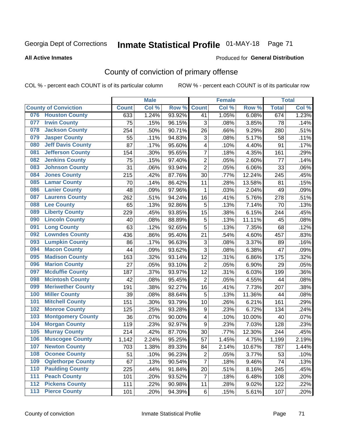# Inmate Statistical Profile 01-MAY-18 Page 71

### **All Active Inmates**

### **Produced for General Distribution**

## County of conviction of primary offense

COL % - percent each COUNT is of its particular column

|     |                             |              | <b>Male</b> |        |                           | <b>Female</b> |        |              | <b>Total</b> |
|-----|-----------------------------|--------------|-------------|--------|---------------------------|---------------|--------|--------------|--------------|
|     | <b>County of Conviction</b> | <b>Count</b> | Col %       | Row %  | <b>Count</b>              | Col %         | Row %  | <b>Total</b> | Col %        |
| 076 | <b>Houston County</b>       | 633          | 1.24%       | 93.92% | 41                        | 1.05%         | 6.08%  | 674          | 1.23%        |
| 077 | <b>Irwin County</b>         | 75           | .15%        | 96.15% | 3                         | .08%          | 3.85%  | 78           | .14%         |
| 078 | <b>Jackson County</b>       | 254          | .50%        | 90.71% | 26                        | .66%          | 9.29%  | 280          | .51%         |
| 079 | <b>Jasper County</b>        | 55           | .11%        | 94.83% | $\ensuremath{\mathsf{3}}$ | .08%          | 5.17%  | 58           | .11%         |
| 080 | <b>Jeff Davis County</b>    | 87           | .17%        | 95.60% | 4                         | .10%          | 4.40%  | 91           | .17%         |
| 081 | <b>Jefferson County</b>     | 154          | .30%        | 95.65% | $\overline{7}$            | .18%          | 4.35%  | 161          | .29%         |
| 082 | <b>Jenkins County</b>       | 75           | .15%        | 97.40% | $\overline{2}$            | .05%          | 2.60%  | 77           | .14%         |
| 083 | <b>Johnson County</b>       | 31           | .06%        | 93.94% | $\overline{2}$            | .05%          | 6.06%  | 33           | .06%         |
| 084 | <b>Jones County</b>         | 215          | .42%        | 87.76% | 30                        | .77%          | 12.24% | 245          | .45%         |
| 085 | <b>Lamar County</b>         | 70           | .14%        | 86.42% | 11                        | .28%          | 13.58% | 81           | .15%         |
| 086 | <b>Lanier County</b>        | 48           | .09%        | 97.96% | 1                         | .03%          | 2.04%  | 49           | .09%         |
| 087 | <b>Laurens County</b>       | 262          | .51%        | 94.24% | 16                        | .41%          | 5.76%  | 278          | .51%         |
| 088 | <b>Lee County</b>           | 65           | .13%        | 92.86% | 5                         | .13%          | 7.14%  | 70           | .13%         |
| 089 | <b>Liberty County</b>       | 229          | .45%        | 93.85% | 15                        | .38%          | 6.15%  | 244          | .45%         |
| 090 | <b>Lincoln County</b>       | 40           | .08%        | 88.89% | $\mathbf 5$               | .13%          | 11.11% | 45           | .08%         |
| 091 | <b>Long County</b>          | 63           | .12%        | 92.65% | 5                         | .13%          | 7.35%  | 68           | .12%         |
| 092 | <b>Lowndes County</b>       | 436          | .86%        | 95.40% | 21                        | .54%          | 4.60%  | 457          | .83%         |
| 093 | <b>Lumpkin County</b>       | 86           | .17%        | 96.63% | $\ensuremath{\mathsf{3}}$ | .08%          | 3.37%  | 89           | .16%         |
| 094 | <b>Macon County</b>         | 44           | .09%        | 93.62% | $\overline{3}$            | .08%          | 6.38%  | 47           | .09%         |
| 095 | <b>Madison County</b>       | 163          | .32%        | 93.14% | 12                        | .31%          | 6.86%  | 175          | .32%         |
| 096 | <b>Marion County</b>        | 27           | .05%        | 93.10% | $\overline{2}$            | .05%          | 6.90%  | 29           | .05%         |
| 097 | <b>Mcduffie County</b>      | 187          | .37%        | 93.97% | $\overline{12}$           | .31%          | 6.03%  | 199          | .36%         |
| 098 | <b>Mcintosh County</b>      | 42           | .08%        | 95.45% | $\overline{2}$            | .05%          | 4.55%  | 44           | .08%         |
| 099 | <b>Meriwether County</b>    | 191          | .38%        | 92.27% | 16                        | .41%          | 7.73%  | 207          | .38%         |
| 100 | <b>Miller County</b>        | 39           | .08%        | 88.64% | 5                         | .13%          | 11.36% | 44           | .08%         |
| 101 | <b>Mitchell County</b>      | 151          | .30%        | 93.79% | 10                        | .26%          | 6.21%  | 161          | .29%         |
| 102 | <b>Monroe County</b>        | 125          | .25%        | 93.28% | $\boldsymbol{9}$          | .23%          | 6.72%  | 134          | .24%         |
| 103 | <b>Montgomery County</b>    | 36           | .07%        | 90.00% | 4                         | .10%          | 10.00% | 40           | .07%         |
| 104 | <b>Morgan County</b>        | 119          | .23%        | 92.97% | $\boldsymbol{9}$          | .23%          | 7.03%  | 128          | .23%         |
| 105 | <b>Murray County</b>        | 214          | .42%        | 87.70% | 30                        | .77%          | 12.30% | 244          | .45%         |
| 106 | <b>Muscogee County</b>      | 1,142        | 2.24%       | 95.25% | 57                        | 1.45%         | 4.75%  | 1,199        | 2.19%        |
| 107 | <b>Newton County</b>        | 703          | 1.38%       | 89.33% | 84                        | 2.14%         | 10.67% | 787          | 1.44%        |
| 108 | <b>Oconee County</b>        | 51           | .10%        | 96.23% | $\overline{2}$            | .05%          | 3.77%  | 53           | .10%         |
| 109 | <b>Oglethorpe County</b>    | 67           | .13%        | 90.54% | $\overline{7}$            | .18%          | 9.46%  | 74           | .13%         |
| 110 | <b>Paulding County</b>      | 225          | .44%        | 91.84% | 20                        | .51%          | 8.16%  | 245          | .45%         |
| 111 | <b>Peach County</b>         | 101          | .20%        | 93.52% | $\overline{7}$            | .18%          | 6.48%  | 108          | .20%         |
| 112 | <b>Pickens County</b>       | 111          | .22%        | 90.98% | 11                        | .28%          | 9.02%  | 122          | .22%         |
| 113 | <b>Pierce County</b>        | 101          | .20%        | 94.39% | 6                         | .15%          | 5.61%  | 107          | .20%         |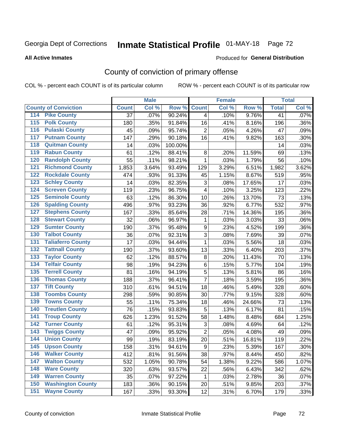# Inmate Statistical Profile 01-MAY-18 Page 72

### **All Active Inmates**

### **Produced for General Distribution**

## County of conviction of primary offense

COL % - percent each COUNT is of its particular column

|                                          |                 | <b>Male</b> |         |                | <b>Female</b> |        |                 | <b>Total</b> |
|------------------------------------------|-----------------|-------------|---------|----------------|---------------|--------|-----------------|--------------|
| <b>County of Conviction</b>              | <b>Count</b>    | Col %       | Row %   | <b>Count</b>   | Col %         | Row %  | <b>Total</b>    | Col %        |
| <b>Pike County</b><br>114                | $\overline{37}$ | .07%        | 90.24%  | $\overline{4}$ | .10%          | 9.76%  | $\overline{41}$ | .07%         |
| <b>Polk County</b><br>$\overline{115}$   | 180             | .35%        | 91.84%  | 16             | .41%          | 8.16%  | 196             | .36%         |
| <b>Pulaski County</b><br>116             | 45              | .09%        | 95.74%  | $\overline{2}$ | .05%          | 4.26%  | 47              | .09%         |
| <b>Putnam County</b><br>117              | 147             | .29%        | 90.18%  | 16             | .41%          | 9.82%  | 163             | .30%         |
| <b>Quitman County</b><br>118             | 14              | .03%        | 100.00% |                |               |        | 14              | .03%         |
| <b>Rabun County</b><br>119               | 61              | .12%        | 88.41%  | 8              | .20%          | 11.59% | 69              | .13%         |
| <b>Randolph County</b><br>120            | 55              | .11%        | 98.21%  | $\mathbf 1$    | .03%          | 1.79%  | 56              | .10%         |
| <b>Richmond County</b><br>121            | 1,853           | 3.64%       | 93.49%  | 129            | 3.29%         | 6.51%  | 1,982           | 3.62%        |
| <b>Rockdale County</b><br>122            | 474             | .93%        | 91.33%  | 45             | 1.15%         | 8.67%  | 519             | .95%         |
| <b>Schley County</b><br>123              | 14              | .03%        | 82.35%  | 3              | .08%          | 17.65% | 17              | .03%         |
| <b>Screven County</b><br>124             | 119             | .23%        | 96.75%  | 4              | .10%          | 3.25%  | 123             | .22%         |
| <b>Seminole County</b><br>125            | 63              | .12%        | 86.30%  | 10             | .26%          | 13.70% | 73              | .13%         |
| <b>Spalding County</b><br>126            | 496             | .97%        | 93.23%  | 36             | .92%          | 6.77%  | 532             | .97%         |
| <b>Stephens County</b><br>127            | 167             | .33%        | 85.64%  | 28             | .71%          | 14.36% | 195             | .36%         |
| <b>Stewart County</b><br>128             | 32              | .06%        | 96.97%  | 1              | .03%          | 3.03%  | 33              | .06%         |
| <b>Sumter County</b><br>129              | 190             | .37%        | 95.48%  | 9              | .23%          | 4.52%  | 199             | .36%         |
| <b>Talbot County</b><br>130              | 36              | .07%        | 92.31%  | 3              | .08%          | 7.69%  | 39              | .07%         |
| <b>Taliaferro County</b><br>131          | 17              | .03%        | 94.44%  | 1              | .03%          | 5.56%  | 18              | .03%         |
| <b>Tattnall County</b><br>132            | 190             | .37%        | 93.60%  | 13             | .33%          | 6.40%  | 203             | .37%         |
| <b>Taylor County</b><br>133              | 62              | .12%        | 88.57%  | 8              | .20%          | 11.43% | 70              | .13%         |
| <b>Telfair County</b><br>134             | 98              | .19%        | 94.23%  | 6              | .15%          | 5.77%  | 104             | .19%         |
| <b>Terrell County</b><br>135             | 81              | .16%        | 94.19%  | 5              | .13%          | 5.81%  | 86              | .16%         |
| <b>Thomas County</b><br>136              | 188             | .37%        | 96.41%  | $\overline{7}$ | .18%          | 3.59%  | 195             | .36%         |
| <b>Tift County</b><br>137                | 310             | .61%        | 94.51%  | 18             | .46%          | 5.49%  | 328             | .60%         |
| <b>Toombs County</b><br>138              | 298             | .59%        | 90.85%  | 30             | .77%          | 9.15%  | 328             | .60%         |
| <b>Towns County</b><br>139               | 55              | .11%        | 75.34%  | 18             | .46%          | 24.66% | 73              | .13%         |
| <b>Treutlen County</b><br>140            | 76              | .15%        | 93.83%  | 5              | .13%          | 6.17%  | 81              | .15%         |
| <b>Troup County</b><br>141               | 626             | 1.23%       | 91.52%  | 58             | 1.48%         | 8.48%  | 684             | 1.25%        |
| <b>Turner County</b><br>142              | 61              | .12%        | 95.31%  | 3              | .08%          | 4.69%  | 64              | .12%         |
| <b>Twiggs County</b><br>$\overline{143}$ | 47              | .09%        | 95.92%  | $\overline{2}$ | .05%          | 4.08%  | 49              | .09%         |
| <b>Union County</b><br>144               | 99              | .19%        | 83.19%  | 20             | .51%          | 16.81% | 119             | .22%         |
| 145<br><b>Upson County</b>               | 158             | .31%        | 94.61%  | 9              | .23%          | 5.39%  | 167             | .30%         |
| <b>Walker County</b><br>146              | 412             | .81%        | 91.56%  | 38             | .97%          | 8.44%  | 450             | .82%         |
| <b>Walton County</b><br>147              | 532             | 1.05%       | 90.78%  | 54             | 1.38%         | 9.22%  | 586             | 1.07%        |
| <b>Ware County</b><br>148                | 320             | .63%        | 93.57%  | 22             | .56%          | 6.43%  | 342             | .62%         |
| <b>Warren County</b><br>149              | 35              | .07%        | 97.22%  | 1              | .03%          | 2.78%  | 36              | .07%         |
| <b>Washington County</b><br>150          | 183             | .36%        | 90.15%  | 20             | .51%          | 9.85%  | 203             | .37%         |
| <b>Wayne County</b><br>151               | 167             | .33%        | 93.30%  | 12             | .31%          | 6.70%  | 179             | .33%         |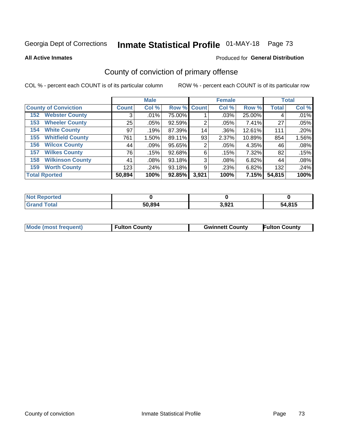# Inmate Statistical Profile 01-MAY-18 Page 73

**All Active Inmates** 

### Produced for General Distribution

## County of conviction of primary offense

COL % - percent each COUNT is of its particular column

|                                | <b>Male</b>  |         |             | <b>Female</b> |       |        | <b>Total</b> |       |
|--------------------------------|--------------|---------|-------------|---------------|-------|--------|--------------|-------|
| <b>County of Conviction</b>    | <b>Count</b> | Col %   | Row % Count |               | Col % | Row %  | <b>Total</b> | Col % |
| <b>Webster County</b><br>152   | 3            | .01%    | 75.00%      |               | .03%  | 25.00% | 4            | .01%  |
| <b>Wheeler County</b><br>153   | 25           | .05%    | 92.59%      | 2             | .05%  | 7.41%  | 27           | .05%  |
| <b>White County</b><br>154     | 97           | .19%    | 87.39%      | 14            | .36%  | 12.61% | 111          | .20%  |
| <b>Whitfield County</b><br>155 | 761          | 1.50%   | 89.11%      | 93            | 2.37% | 10.89% | 854          | 1.56% |
| <b>Wilcox County</b><br>156    | 44           | $.09\%$ | 95.65%      | 2             | .05%  | 4.35%  | 46           | .08%  |
| <b>Wilkes County</b><br>157    | 76           | .15%    | 92.68%      | 6             | .15%  | 7.32%  | 82           | .15%  |
| <b>Wilkinson County</b><br>158 | 41           | $.08\%$ | 93.18%      | 3             | .08%  | 6.82%  | 44           | .08%  |
| <b>Worth County</b><br>159     | 123          | .24%    | 93.18%      | 9             | .23%  | 6.82%  | 132          | .24%  |
| <b>Total Rported</b>           | 50,894       | 100%    | 92.85%      | 3,921         | 100%  | 7.15%  | 54,815       | 100%  |

| <b>Not Reported</b> |        |       |        |
|---------------------|--------|-------|--------|
| <b>Grand Total</b>  | 50,894 | 3,921 | 54,815 |

| <b>Mode (most frequent)</b> | <b>Fulton County</b> | <b>Gwinnett County</b> | <b>Fulton County</b> |
|-----------------------------|----------------------|------------------------|----------------------|
|                             |                      |                        |                      |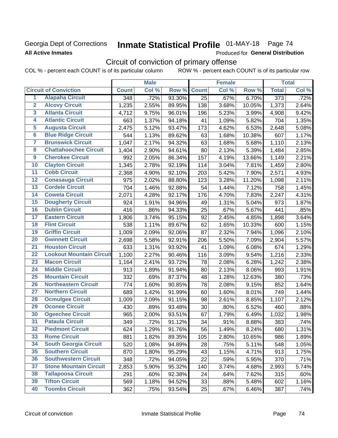### Georgia Dept of Corrections **All Active Inmates**

# Inmate Statistical Profile 01-MAY-18 Page 74

Produced for General Distribution

## Circuit of conviction of primary offense

COL % - percent each COUNT is of its particular column ROW % - percent each COUNT is of its particular row

|                         |                                 |              | <b>Male</b> |        |              | <b>Female</b> |        |                  | <b>Total</b> |
|-------------------------|---------------------------------|--------------|-------------|--------|--------------|---------------|--------|------------------|--------------|
|                         | <b>Circuit of Conviction</b>    | <b>Count</b> | Col %       | Row %  | <b>Count</b> | Col %         | Row %  | <b>Total</b>     | Col %        |
| 1                       | <b>Alapaha Circuit</b>          | 348          | .72%        | 93.30% | 25           | .67%          | 6.70%  | $\overline{373}$ | .72%         |
| $\overline{2}$          | <b>Alcovy Circuit</b>           | 1,235        | 2.55%       | 89.95% | 138          | 3.68%         | 10.05% | 1,373            | 2.64%        |
| $\overline{\mathbf{3}}$ | <b>Atlanta Circuit</b>          | 4,712        | 9.75%       | 96.01% | 196          | 5.23%         | 3.99%  | 4,908            | 9.42%        |
| 4                       | <b>Atlantic Circuit</b>         | 663          | 1.37%       | 94.18% | 41           | 1.09%         | 5.82%  | 704              | 1.35%        |
| 5                       | <b>Augusta Circuit</b>          | 2,475        | 5.12%       | 93.47% | 173          | 4.62%         | 6.53%  | 2,648            | 5.08%        |
| $\overline{\bf{6}}$     | <b>Blue Ridge Circuit</b>       | 544          | 1.13%       | 89.62% | 63           | 1.68%         | 10.38% | 607              | 1.17%        |
| 7                       | <b>Brunswick Circuit</b>        | 1,047        | 2.17%       | 94.32% | 63           | 1.68%         | 5.68%  | 1,110            | 2.13%        |
| $\overline{\mathbf{8}}$ | <b>Chattahoochee Circuit</b>    | 1,404        | 2.90%       | 94.61% | 80           | 2.13%         | 5.39%  | 1,484            | 2.85%        |
| $\overline{9}$          | <b>Cherokee Circuit</b>         | 992          | 2.05%       | 86.34% | 157          | 4.19%         | 13.66% | 1,149            | 2.21%        |
| 10                      | <b>Clayton Circuit</b>          | 1,345        | 2.78%       | 92.19% | 114          | 3.04%         | 7.81%  | 1,459            | 2.80%        |
| $\overline{11}$         | <b>Cobb Circuit</b>             | 2,368        | 4.90%       | 92.10% | 203          | 5.42%         | 7.90%  | 2,571            | 4.93%        |
| $\overline{12}$         | <b>Conasauga Circuit</b>        | 975          | 2.02%       | 88.80% | 123          | 3.28%         | 11.20% | 1,098            | 2.11%        |
| 13                      | <b>Cordele Circuit</b>          | 704          | 1.46%       | 92.88% | 54           | 1.44%         | 7.12%  | 758              | 1.45%        |
| $\overline{14}$         | <b>Coweta Circuit</b>           | 2,071        | 4.28%       | 92.17% | 176          | 4.70%         | 7.83%  | 2,247            | 4.31%        |
| 15                      | <b>Dougherty Circuit</b>        | 924          | 1.91%       | 94.96% | 49           | 1.31%         | 5.04%  | 973              | 1.87%        |
| 16                      | <b>Dublin Circuit</b>           | 416          | .86%        | 94.33% | 25           | .67%          | 5.67%  | 441              | .85%         |
| 17                      | <b>Eastern Circuit</b>          | 1,806        | 3.74%       | 95.15% | 92           | 2.45%         | 4.85%  | 1,898            | 3.64%        |
| $\overline{18}$         | <b>Flint Circuit</b>            | 538          | 1.11%       | 89.67% | 62           | 1.65%         | 10.33% | 600              | 1.15%        |
| 19                      | <b>Griffin Circuit</b>          | 1,009        | 2.09%       | 92.06% | 87           | 2.32%         | 7.94%  | 1,096            | 2.10%        |
| $\overline{20}$         | <b>Gwinnett Circuit</b>         | 2,698        | 5.58%       | 92.91% | 206          | 5.50%         | 7.09%  | 2,904            | 5.57%        |
| $\overline{21}$         | <b>Houston Circuit</b>          | 633          | 1.31%       | 93.92% | 41           | 1.09%         | 6.08%  | 674              | 1.29%        |
| $\overline{22}$         | <b>Lookout Mountain Circuit</b> | 1,100        | 2.27%       | 90.46% | 116          | 3.09%         | 9.54%  | 1,216            | 2.33%        |
| 23                      | <b>Macon Circuit</b>            | 1,164        | 2.41%       | 93.72% | 78           | 2.08%         | 6.28%  | 1,242            | 2.38%        |
| $\overline{24}$         | <b>Middle Circuit</b>           | 913          | 1.89%       | 91.94% | 80           | 2.13%         | 8.06%  | 993              | 1.91%        |
| $\overline{25}$         | <b>Mountain Circuit</b>         | 332          | .69%        | 87.37% | 48           | 1.28%         | 12.63% | 380              | .73%         |
| 26                      | <b>Northeastern Circuit</b>     | 774          | 1.60%       | 90.85% | 78           | 2.08%         | 9.15%  | 852              | 1.64%        |
| $\overline{27}$         | <b>Northern Circuit</b>         | 689          | 1.42%       | 91.99% | 60           | 1.60%         | 8.01%  | 749              | 1.44%        |
| 28                      | <b>Ocmulgee Circuit</b>         | 1,009        | 2.09%       | 91.15% | 98           | 2.61%         | 8.85%  | 1,107            | 2.12%        |
| 29                      | <b>Oconee Circuit</b>           | 430          | .89%        | 93.48% | 30           | .80%          | 6.52%  | 460              | .88%         |
| 30                      | <b>Ogeechee Circuit</b>         | 965          | 2.00%       | 93.51% | 67           | 1.79%         | 6.49%  | 1,032            | 1.98%        |
| $\overline{31}$         | <b>Pataula Circuit</b>          | 349          | .72%        | 91.12% | 34           | .91%          | 8.88%  | 383              | .74%         |
| 32                      | <b>Piedmont Circuit</b>         | 624          | 1.29%       | 91.76% | 56           | 1.49%         | 8.24%  | 680              | 1.31%        |
| 33                      | <b>Rome Circuit</b>             | 881          | 1.82%       | 89.35% | 105          | 2.80%         | 10.65% | 986              | 1.89%        |
| 34                      | <b>South Georgia Circuit</b>    | 520          | 1.08%       | 94.89% | 28           | .75%          | 5.11%  | 548              | 1.05%        |
| 35                      | <b>Southern Circuit</b>         | 870          | 1.80%       | 95.29% | 43           | 1.15%         | 4.71%  | 913              | 1.75%        |
| 36                      | <b>Southwestern Circuit</b>     | 348          | .72%        | 94.05% | 22           | .59%          | 5.95%  | 370              | .71%         |
| 37                      | <b>Stone Mountain Circuit</b>   | 2,853        | 5.90%       | 95.32% | 140          | 3.74%         | 4.68%  | 2,993            | 5.74%        |
| 38                      | <b>Tallapoosa Circuit</b>       | 291          | .60%        | 92.38% | 24           | .64%          | 7.62%  | 315              | .60%         |
| 39                      | <b>Tifton Circuit</b>           | 569          | 1.18%       | 94.52% | 33           | .88%          | 5.48%  | 602              | 1.16%        |
| 40                      | <b>Toombs Circuit</b>           | 362          | .75%        | 93.54% | 25           | .67%          | 6.46%  | 387              | .74%         |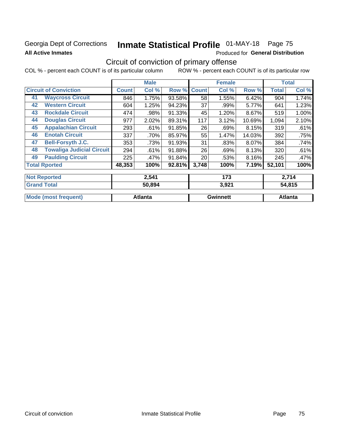### Georgia Dept of Corrections **All Active Inmates**

# Inmate Statistical Profile 01-MAY-18 Page 75

**Produced for General Distribution** 

## Circuit of conviction of primary offense

ROW % - percent each COUNT is of its particular row COL % - percent each COUNT is of its particular column

|    |                                  | <b>Male</b>  |                |        |              | <b>Female</b>   | <b>Total</b> |              |                |  |
|----|----------------------------------|--------------|----------------|--------|--------------|-----------------|--------------|--------------|----------------|--|
|    | <b>Circuit of Conviction</b>     | <b>Count</b> | Col %          | Row %  | <b>Count</b> | Col %           | Row %        | <b>Total</b> | Col %          |  |
| 41 | <b>Waycross Circuit</b>          | 846          | 1.75%          | 93.58% | 58           | 1.55%           | 6.42%        | 904          | 1.74%          |  |
| 42 | <b>Western Circuit</b>           | 604          | 1.25%          | 94.23% | 37           | .99%            | 5.77%        | 641          | 1.23%          |  |
| 43 | <b>Rockdale Circuit</b>          | 474          | .98%           | 91.33% | 45           | 1.20%           | 8.67%        | 519          | 1.00%          |  |
| 44 | <b>Douglas Circuit</b>           | 977          | 2.02%          | 89.31% | 117          | 3.12%           | 10.69%       | 1,094        | 2.10%          |  |
| 45 | <b>Appalachian Circuit</b>       | 293          | .61%           | 91.85% | 26           | .69%            | 8.15%        | 319          | .61%           |  |
| 46 | <b>Enotah Circuit</b>            | 337          | .70%           | 85.97% | 55           | 1.47%           | 14.03%       | 392          | .75%           |  |
| 47 | <b>Bell-Forsyth J.C.</b>         | 353          | .73%           | 91.93% | 31           | .83%            | 8.07%        | 384          | .74%           |  |
| 48 | <b>Towaliga Judicial Circuit</b> | 294          | .61%           | 91.88% | 26           | .69%            | 8.13%        | 320          | .61%           |  |
| 49 | <b>Paulding Circuit</b>          | 225          | .47%           | 91.84% | 20           | .53%            | 8.16%        | 245          | .47%           |  |
|    | <b>Total Rported</b>             | 48,353       | 100%           | 92.81% | 3,748        | 100%            | 7.19%        | 52,101       | 100%           |  |
|    | <b>Not Reported</b>              |              | 2,541          |        |              | 173             |              |              | 2,714          |  |
|    | <b>Grand Total</b>               |              | 50,894         |        |              | 3,921           |              | 54,815       |                |  |
|    | <b>Mode (most frequent)</b>      |              | <b>Atlanta</b> |        |              | <b>Gwinnett</b> |              |              | <b>Atlanta</b> |  |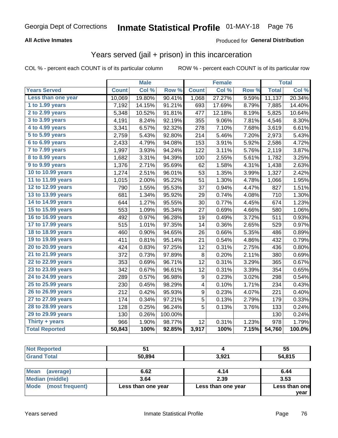#### **All Active Inmates**

#### Produced for **General Distribution**

### Years served (jail + prison) in this incarceration

COL % - percent each COUNT is of its particular column ROW % - percent each COUNT is of its particular row

|                       |              | <b>Male</b> |         |                  | <b>Female</b> |                  |              | <b>Total</b> |
|-----------------------|--------------|-------------|---------|------------------|---------------|------------------|--------------|--------------|
| <b>Years Served</b>   | <b>Count</b> | Col %       | Row %   | <b>Count</b>     | Col %         | Row <sub>%</sub> | <b>Total</b> | Col %        |
| Less than one year    | 10,069       | 19.80%      | 90.41%  | 1,068            | 27.27%        | 9.59%            | 11,137       | 20.34%       |
| 1 to 1.99 years       | 7,192        | 14.15%      | 91.21%  | 693              | 17.69%        | 8.79%            | 7,885        | 14.40%       |
| 2 to 2.99 years       | 5,348        | 10.52%      | 91.81%  | 477              | 12.18%        | 8.19%            | 5,825        | 10.64%       |
| 3 to 3.99 years       | 4,191        | 8.24%       | 92.19%  | 355              | 9.06%         | 7.81%            | 4,546        | 8.30%        |
| 4 to 4.99 years       | 3,341        | 6.57%       | 92.32%  | 278              | 7.10%         | 7.68%            | 3,619        | 6.61%        |
| 5 to 5.99 years       | 2,759        | 5.43%       | 92.80%  | 214              | 5.46%         | 7.20%            | 2,973        | 5.43%        |
| 6 to 6.99 years       | 2,433        | 4.79%       | 94.08%  | 153              | 3.91%         | 5.92%            | 2,586        | 4.72%        |
| 7 to 7.99 years       | 1,997        | 3.93%       | 94.24%  | 122              | 3.11%         | 5.76%            | 2,119        | 3.87%        |
| 8 to 8.99 years       | 1,682        | 3.31%       | 94.39%  | 100              | 2.55%         | 5.61%            | 1,782        | 3.25%        |
| 9 to 9.99 years       | 1,376        | 2.71%       | 95.69%  | 62               | 1.58%         | 4.31%            | 1,438        | 2.63%        |
| 10 to 10.99 years     | 1,274        | 2.51%       | 96.01%  | 53               | 1.35%         | 3.99%            | 1,327        | 2.42%        |
| 11 to 11.99 years     | 1,015        | 2.00%       | 95.22%  | 51               | 1.30%         | 4.78%            | 1,066        | 1.95%        |
| 12 to 12.99 years     | 790          | 1.55%       | 95.53%  | 37               | 0.94%         | 4.47%            | 827          | 1.51%        |
| 13 to 13.99 years     | 681          | 1.34%       | 95.92%  | 29               | 0.74%         | 4.08%            | 710          | 1.30%        |
| 14 to 14.99 years     | 644          | 1.27%       | 95.55%  | 30               | 0.77%         | 4.45%            | 674          | 1.23%        |
| 15 to 15.99 years     | 553          | 1.09%       | 95.34%  | 27               | 0.69%         | 4.66%            | 580          | 1.06%        |
| 16 to 16.99 years     | 492          | 0.97%       | 96.28%  | 19               | 0.49%         | 3.72%            | 511          | 0.93%        |
| 17 to 17.99 years     | 515          | 1.01%       | 97.35%  | 14               | 0.36%         | 2.65%            | 529          | 0.97%        |
| 18 to 18.99 years     | 460          | 0.90%       | 94.65%  | 26               | 0.66%         | 5.35%            | 486          | 0.89%        |
| 19 to 19.99 years     | 411          | 0.81%       | 95.14%  | 21               | 0.54%         | 4.86%            | 432          | 0.79%        |
| 20 to 20.99 years     | 424          | 0.83%       | 97.25%  | 12               | 0.31%         | 2.75%            | 436          | 0.80%        |
| 21 to 21.99 years     | 372          | 0.73%       | 97.89%  | 8                | 0.20%         | 2.11%            | 380          | 0.69%        |
| 22 to 22.99 years     | 353          | 0.69%       | 96.71%  | 12               | 0.31%         | 3.29%            | 365          | 0.67%        |
| 23 to 23.99 years     | 342          | 0.67%       | 96.61%  | 12               | 0.31%         | 3.39%            | 354          | 0.65%        |
| 24 to 24.99 years     | 289          | 0.57%       | 96.98%  | $\boldsymbol{9}$ | 0.23%         | 3.02%            | 298          | 0.54%        |
| 25 to 25.99 years     | 230          | 0.45%       | 98.29%  | 4                | 0.10%         | 1.71%            | 234          | 0.43%        |
| 26 to 26.99 years     | 212          | 0.42%       | 95.93%  | $\boldsymbol{9}$ | 0.23%         | 4.07%            | 221          | 0.40%        |
| 27 to 27.99 years     | 174          | 0.34%       | 97.21%  | $\overline{5}$   | 0.13%         | 2.79%            | 179          | 0.33%        |
| 28 to 28.99 years     | 128          | 0.25%       | 96.24%  | 5                | 0.13%         | 3.76%            | 133          | 0.24%        |
| 29 to 29.99 years     | 130          | 0.26%       | 100.00% |                  |               |                  | 130          | 0.24%        |
| Thirty + years        | 966          | 1.90%       | 98.77%  | 12               | 0.31%         | 1.23%            | 978          | 1.79%        |
| <b>Total Reported</b> | 50,843       | 100%        | 92.85%  | 3,917            | 100%          | 7.15%            | 54,760       | 100.0%       |

| <b>Not Reported</b>            | 51                 |                    | 55                      |
|--------------------------------|--------------------|--------------------|-------------------------|
| <b>Grand Total</b>             | 50,894             | 3,921              | 54,815                  |
| <b>Mean</b><br>(average)       | 6.62               | 4.14               | 6.44                    |
| Median (middle)                | 3.64               | 2.39               | 3.53                    |
| (most frequent)<br><b>Mode</b> | Less than one year | Less than one year | Less than one<br>Vear I |

**year**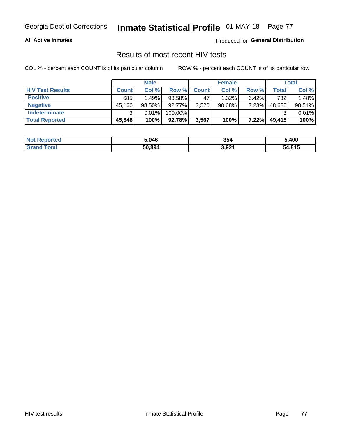#### **All Active Inmates**

Produced for **General Distribution**

### Results of most recent HIV tests

|                         | <b>Male</b>  |        | <b>Female</b> |              |           | Total    |        |        |
|-------------------------|--------------|--------|---------------|--------------|-----------|----------|--------|--------|
| <b>HIV Test Results</b> | <b>Count</b> | Col %  | Row %I        | <b>Count</b> | Col %     | Row %    | Total  | Col %  |
| <b>Positive</b>         | 685          | 1.49%  | 93.58%        | 47           | 1.32%     | $6.42\%$ | 732    | 1.48%  |
| <b>Negative</b>         | 45,160       | 98.50% | 92.77%        | 3,520        | $98.68\%$ | 7.23%    | 48,680 | 98.51% |
| Indeterminate           | າ            | 0.01%  | 100.00%       |              |           |          |        | 0.01%  |
| <b>Total Reported</b>   | 45,848       | 100%   | 92.78%        | 3,567        | 100%      | 7.22%    | 49,415 | 100%   |

| <b>Not Reported</b> | 5,046  | 354   | 5,400  |
|---------------------|--------|-------|--------|
| <b>Grand Total</b>  | 50,894 | 3,921 | 54,815 |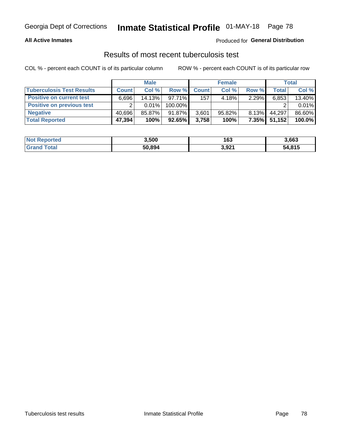#### **All Active Inmates**

#### Produced for **General Distribution**

### Results of most recent tuberculosis test

|                                  | <b>Male</b>  |          | <b>Female</b> |              |           | Total    |        |        |
|----------------------------------|--------------|----------|---------------|--------------|-----------|----------|--------|--------|
| <b>Tuberculosis Test Results</b> | <b>Count</b> | Col%     | Row %         | <b>Count</b> | Col%      | Row %    | Total  | Col %  |
| <b>Positive on current test</b>  | 6,696        | 14.13%   | $97.71\%$     | 157          | 4.18%     | $2.29\%$ | 6,853  | 13.40% |
| <b>Positive on previous test</b> | ົ            | $0.01\%$ | 100.00%       |              |           |          |        | 0.01%  |
| <b>Negative</b>                  | 40.696       | 85.87%   | 91.87%        | 3,601        | $95.82\%$ | $8.13\%$ | 44,297 | 86.60% |
| <b>Total Reported</b>            | 47,394       | 100%     | $92.65\%$     | 3,758        | 100%      | $7.35\%$ | 51,152 | 100.0% |

| <b>Not Reported</b> | 3,500  | 163   | 3,663  |
|---------------------|--------|-------|--------|
| Total<br>' Grand    | 50,894 | 3,921 | 54,815 |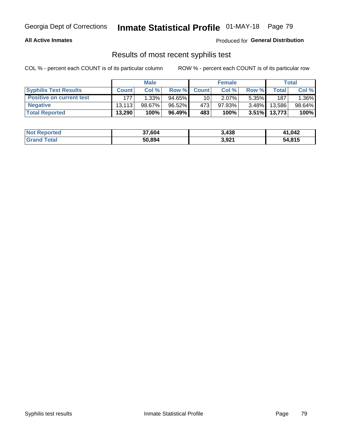#### **All Active Inmates**

Produced for **General Distribution**

### Results of most recent syphilis test

|                                 | <b>Male</b>  |        |           | <b>Female</b>   |           |          | Total   |        |
|---------------------------------|--------------|--------|-----------|-----------------|-----------|----------|---------|--------|
| <b>Syphilis Test Results</b>    | <b>Count</b> | Col%   | Row %     | <b>Count</b>    | Col %     | Row %    | Total I | Col %  |
| <b>Positive on current test</b> | 177          | 1.33%  | $94.65\%$ | 10 <sub>1</sub> | $2.07\%$  | $5.35\%$ | 187     | 1.36%  |
| <b>Negative</b>                 | 13.113       | 98.67% | 96.52%    | 473             | $97.93\%$ | $3.48\%$ | 13.586  | 98.64% |
| <b>Total Reported</b>           | 13,290       | 100%   | 96.49%    | 483             | 100%      | $3.51\%$ | 13,773  | 100%   |

| <b>Not Reported</b> | 37,604 | 3,438 | 41,042 |
|---------------------|--------|-------|--------|
| <b>Grand Total</b>  | 50,894 | 3,921 | 54,815 |